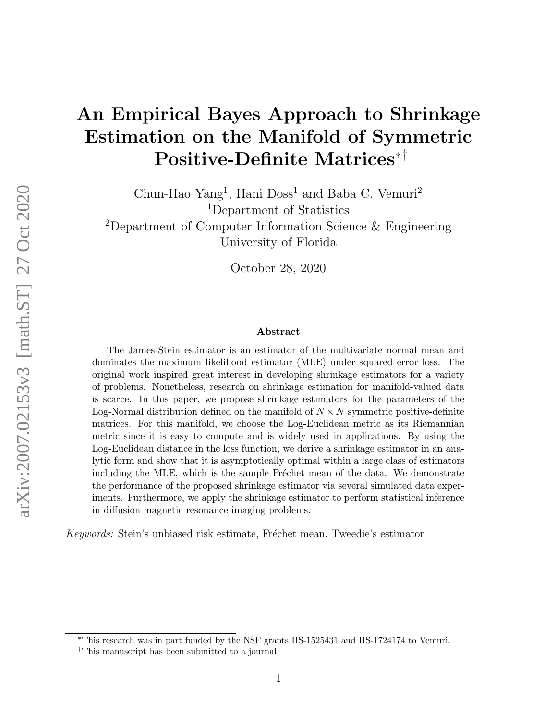# An Empirical Bayes Approach to Shrinkage Estimation on the Manifold of Symmetric Positive-Definite Matrices∗†

Chun-Hao Yang<sup>1</sup>, Hani Doss<sup>1</sup> and Baba C. Vemuri<sup>2</sup> <sup>1</sup>Department of Statistics <sup>2</sup>Department of Computer Information Science & Engineering University of Florida

October 28, 2020

#### Abstract

The James-Stein estimator is an estimator of the multivariate normal mean and dominates the maximum likelihood estimator (MLE) under squared error loss. The original work inspired great interest in developing shrinkage estimators for a variety of problems. Nonetheless, research on shrinkage estimation for manifold-valued data is scarce. In this paper, we propose shrinkage estimators for the parameters of the Log-Normal distribution defined on the manifold of  $N \times N$  symmetric positive-definite matrices. For this manifold, we choose the Log-Euclidean metric as its Riemannian metric since it is easy to compute and is widely used in applications. By using the Log-Euclidean distance in the loss function, we derive a shrinkage estimator in an analytic form and show that it is asymptotically optimal within a large class of estimators including the MLE, which is the sample Fréchet mean of the data. We demonstrate the performance of the proposed shrinkage estimator via several simulated data experiments. Furthermore, we apply the shrinkage estimator to perform statistical inference in diffusion magnetic resonance imaging problems.

Keywords: Stein's unbiased risk estimate, Fréchet mean, Tweedie's estimator

<sup>∗</sup>This research was in part funded by the NSF grants IIS-1525431 and IIS-1724174 to Vemuri.

<sup>†</sup>This manuscript has been submitted to a journal.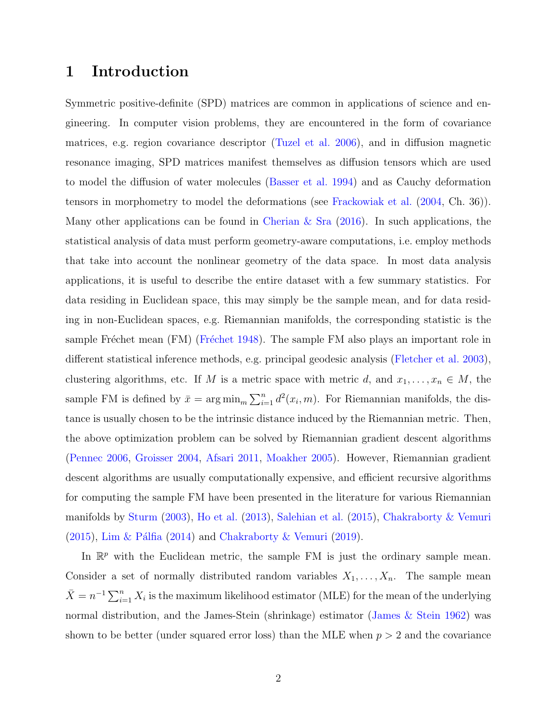## <span id="page-1-0"></span>1 Introduction

Symmetric positive-definite (SPD) matrices are common in applications of science and engineering. In computer vision problems, they are encountered in the form of covariance matrices, e.g. region covariance descriptor [\(Tuzel et al.](#page-53-0) [2006\)](#page-53-0), and in diffusion magnetic resonance imaging, SPD matrices manifest themselves as diffusion tensors which are used to model the diffusion of water molecules [\(Basser et al.](#page-46-0) [1994\)](#page-46-0) and as Cauchy deformation tensors in morphometry to model the deformations (see [Frackowiak et al.](#page-49-0) [\(2004,](#page-49-0) Ch. 36)). Many other applications can be found in [Cherian & Sra](#page-47-0)  $(2016)$ . In such applications, the statistical analysis of data must perform geometry-aware computations, i.e. employ methods that take into account the nonlinear geometry of the data space. In most data analysis applications, it is useful to describe the entire dataset with a few summary statistics. For data residing in Euclidean space, this may simply be the sample mean, and for data residing in non-Euclidean spaces, e.g. Riemannian manifolds, the corresponding statistic is the sample Fréchet mean (FM) (Fréchet [1948\)](#page-49-1). The sample FM also plays an important role in different statistical inference methods, e.g. principal geodesic analysis [\(Fletcher et al.](#page-49-2) [2003\)](#page-49-2), clustering algorithms, etc. If M is a metric space with metric d, and  $x_1, \ldots, x_n \in M$ , the sample FM is defined by  $\bar{x} = \arg \min_{m} \sum_{i=1}^{n} d^2(x_i, m)$ . For Riemannian manifolds, the distance is usually chosen to be the intrinsic distance induced by the Riemannian metric. Then, the above optimization problem can be solved by Riemannian gradient descent algorithms [\(Pennec](#page-51-0) [2006,](#page-51-0) [Groisser](#page-49-3) [2004,](#page-49-3) [Afsari](#page-46-1) [2011,](#page-46-1) [Moakher](#page-51-1) [2005\)](#page-51-1). However, Riemannian gradient descent algorithms are usually computationally expensive, and efficient recursive algorithms for computing the sample FM have been presented in the literature for various Riemannian manifolds by [Sturm](#page-52-0) [\(2003\)](#page-52-0), [Ho et al.](#page-50-0) [\(2013\)](#page-50-0), [Salehian et al.](#page-51-2) [\(2015\)](#page-51-2), [Chakraborty & Vemuri](#page-47-1)  $(2015)$ , Lim & Pálfia [\(2014\)](#page-51-3) and [Chakraborty & Vemuri](#page-47-2) [\(2019\)](#page-47-2).

In  $\mathbb{R}^p$  with the Euclidean metric, the sample FM is just the ordinary sample mean. Consider a set of normally distributed random variables  $X_1, \ldots, X_n$ . The sample mean  $\bar{X} = n^{-1} \sum_{i=1}^{n} X_i$  is the maximum likelihood estimator (MLE) for the mean of the underlying normal distribution, and the James-Stein (shrinkage) estimator [\(James & Stein](#page-50-1) [1962\)](#page-50-1) was shown to be better (under squared error loss) than the MLE when  $p > 2$  and the covariance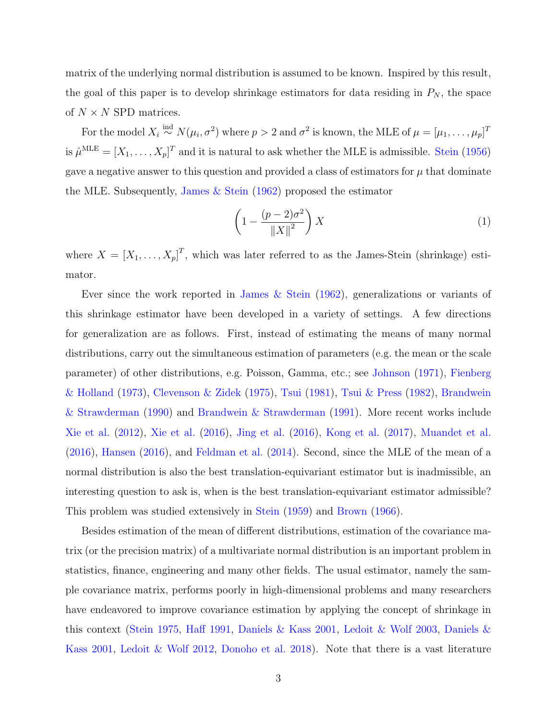matrix of the underlying normal distribution is assumed to be known. Inspired by this result, the goal of this paper is to develop shrinkage estimators for data residing in  $P_N$ , the space of  $N \times N$  SPD matrices.

For the model  $X_i \stackrel{\text{ind}}{\sim} N(\mu_i, \sigma^2)$  where  $p > 2$  and  $\sigma^2$  is known, the MLE of  $\mu = [\mu_1, \dots, \mu_p]^T$ is  $\hat{\mu}^{\text{MLE}} = [X_1, \dots, X_p]^T$  and it is natural to ask whether the MLE is admissible. [Stein](#page-52-1) [\(1956\)](#page-52-1) gave a negative answer to this question and provided a class of estimators for  $\mu$  that dominate the MLE. Subsequently, [James & Stein](#page-50-1) [\(1962\)](#page-50-1) proposed the estimator

<span id="page-2-0"></span>
$$
\left(1 - \frac{(p-2)\sigma^2}{\left\|X\right\|^2}\right)X\tag{1}
$$

where  $X = [X_1, \ldots, X_p]^T$ , which was later referred to as the James-Stein (shrinkage) estimator.

Ever since the work reported in [James & Stein](#page-50-1) [\(1962\)](#page-50-1), generalizations or variants of this shrinkage estimator have been developed in a variety of settings. A few directions for generalization are as follows. First, instead of estimating the means of many normal distributions, carry out the simultaneous estimation of parameters (e.g. the mean or the scale parameter) of other distributions, e.g. Poisson, Gamma, etc.; see [Johnson](#page-50-2) [\(1971\)](#page-50-2), [Fienberg](#page-49-4) [& Holland](#page-49-4) [\(1973\)](#page-49-4), [Clevenson & Zidek](#page-48-0) [\(1975\)](#page-48-0), [Tsui](#page-53-1) [\(1981\)](#page-53-1), [Tsui & Press](#page-53-2) [\(1982\)](#page-53-2), [Brandwein](#page-47-3) [& Strawderman](#page-47-3) [\(1990\)](#page-47-3) and [Brandwein & Strawderman](#page-47-4) [\(1991\)](#page-47-4). More recent works include [Xie et al.](#page-53-3) [\(2012\)](#page-53-3), [Xie et al.](#page-53-4) [\(2016\)](#page-53-4), [Jing et al.](#page-50-3) [\(2016\)](#page-50-3), [Kong et al.](#page-50-4) [\(2017\)](#page-50-4), [Muandet et al.](#page-51-4) [\(2016\)](#page-51-4), [Hansen](#page-50-5) [\(2016\)](#page-50-5), and [Feldman et al.](#page-49-5) [\(2014\)](#page-49-5). Second, since the MLE of the mean of a normal distribution is also the best translation-equivariant estimator but is inadmissible, an interesting question to ask is, when is the best translation-equivariant estimator admissible? This problem was studied extensively in [Stein](#page-52-2) [\(1959\)](#page-52-2) and [Brown](#page-47-5) [\(1966\)](#page-47-5).

Besides estimation of the mean of different distributions, estimation of the covariance matrix (or the precision matrix) of a multivariate normal distribution is an important problem in statistics, finance, engineering and many other fields. The usual estimator, namely the sample covariance matrix, performs poorly in high-dimensional problems and many researchers have endeavored to improve covariance estimation by applying the concept of shrinkage in this context [\(Stein](#page-52-3) [1975,](#page-52-3) [Haff](#page-49-6) [1991,](#page-49-6) [Daniels & Kass](#page-48-1) [2001,](#page-48-1) [Ledoit & Wolf](#page-50-6) [2003,](#page-50-6) [Daniels &](#page-48-1) [Kass](#page-48-1) [2001,](#page-48-1) [Ledoit & Wolf](#page-50-7) [2012,](#page-50-7) [Donoho et al.](#page-48-2) [2018\)](#page-48-2). Note that there is a vast literature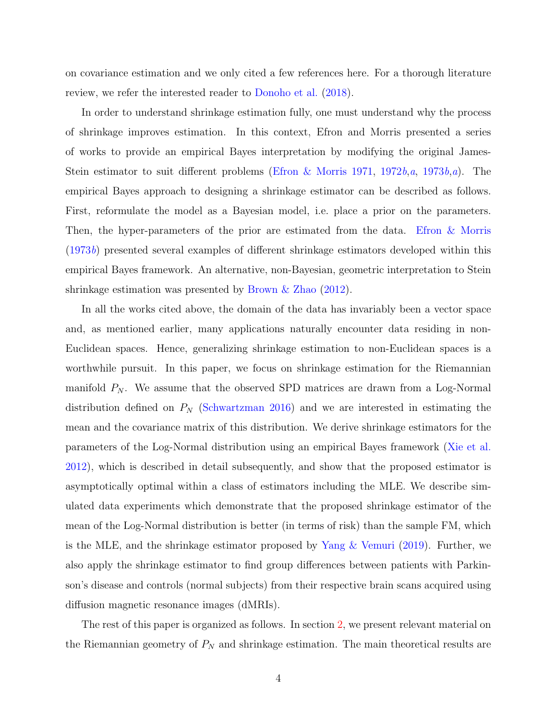on covariance estimation and we only cited a few references here. For a thorough literature review, we refer the interested reader to [Donoho et al.](#page-48-2) [\(2018\)](#page-48-2).

In order to understand shrinkage estimation fully, one must understand why the process of shrinkage improves estimation. In this context, Efron and Morris presented a series of works to provide an empirical Bayes interpretation by modifying the original James-Stein estimator to suit different problems [\(Efron & Morris](#page-48-3) [1971,](#page-48-3) [1972](#page-48-4)b, [a](#page-48-6), [1973](#page-49-7)b, a). The empirical Bayes approach to designing a shrinkage estimator can be described as follows. First, reformulate the model as a Bayesian model, i.e. place a prior on the parameters. Then, the hyper-parameters of the prior are estimated from the data. [Efron & Morris](#page-49-7) [\(1973](#page-49-7)b) presented several examples of different shrinkage estimators developed within this empirical Bayes framework. An alternative, non-Bayesian, geometric interpretation to Stein shrinkage estimation was presented by [Brown & Zhao](#page-47-6) [\(2012\)](#page-47-6).

In all the works cited above, the domain of the data has invariably been a vector space and, as mentioned earlier, many applications naturally encounter data residing in non-Euclidean spaces. Hence, generalizing shrinkage estimation to non-Euclidean spaces is a worthwhile pursuit. In this paper, we focus on shrinkage estimation for the Riemannian manifold  $P_N$ . We assume that the observed SPD matrices are drawn from a Log-Normal distribution defined on  $P_N$  [\(Schwartzman](#page-52-4) [2016\)](#page-52-4) and we are interested in estimating the mean and the covariance matrix of this distribution. We derive shrinkage estimators for the parameters of the Log-Normal distribution using an empirical Bayes framework [\(Xie et al.](#page-53-3) [2012\)](#page-53-3), which is described in detail subsequently, and show that the proposed estimator is asymptotically optimal within a class of estimators including the MLE. We describe simulated data experiments which demonstrate that the proposed shrinkage estimator of the mean of the Log-Normal distribution is better (in terms of risk) than the sample FM, which is the MLE, and the shrinkage estimator proposed by [Yang & Vemuri](#page-53-5) [\(2019\)](#page-53-5). Further, we also apply the shrinkage estimator to find group differences between patients with Parkinson's disease and controls (normal subjects) from their respective brain scans acquired using diffusion magnetic resonance images (dMRIs).

The rest of this paper is organized as follows. In section [2,](#page-4-0) we present relevant material on the Riemannian geometry of  $P_N$  and shrinkage estimation. The main theoretical results are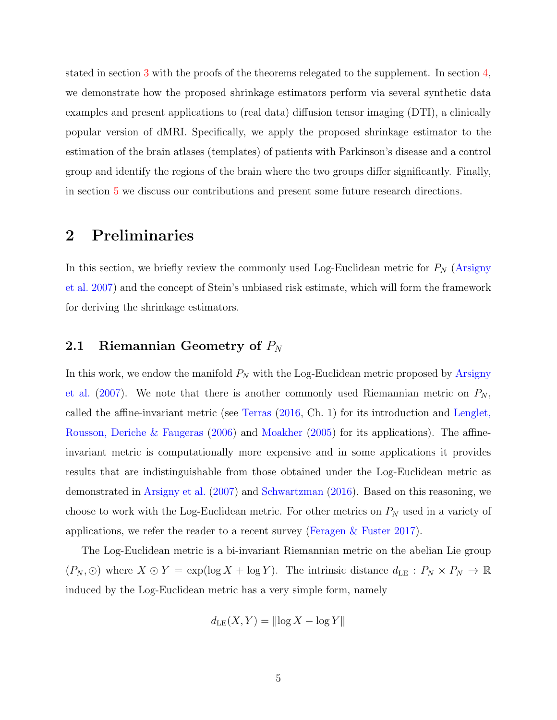stated in section [3](#page-7-0) with the proofs of the theorems relegated to the supplement. In section [4,](#page-15-0) we demonstrate how the proposed shrinkage estimators perform via several synthetic data examples and present applications to (real data) diffusion tensor imaging (DTI), a clinically popular version of dMRI. Specifically, we apply the proposed shrinkage estimator to the estimation of the brain atlases (templates) of patients with Parkinson's disease and a control group and identify the regions of the brain where the two groups differ significantly. Finally, in section [5](#page-25-0) we discuss our contributions and present some future research directions.

## <span id="page-4-0"></span>2 Preliminaries

In this section, we briefly review the commonly used Log-Euclidean metric for  $P<sub>N</sub>$  [\(Arsigny](#page-46-2) [et al.](#page-46-2) [2007\)](#page-46-2) and the concept of Stein's unbiased risk estimate, which will form the framework for deriving the shrinkage estimators.

# 2.1 Riemannian Geometry of  $P_N$

In this work, we endow the manifold  $P_N$  with the Log-Euclidean metric proposed by [Arsigny](#page-46-2) [et al.](#page-46-2) [\(2007\)](#page-46-2). We note that there is another commonly used Riemannian metric on  $P_N$ , called the affine-invariant metric (see [Terras](#page-53-6) [\(2016,](#page-53-6) Ch. 1) for its introduction and [Lenglet,](#page-50-8) [Rousson, Deriche & Faugeras](#page-50-8) [\(2006\)](#page-50-8) and [Moakher](#page-51-1) [\(2005\)](#page-51-1) for its applications). The affineinvariant metric is computationally more expensive and in some applications it provides results that are indistinguishable from those obtained under the Log-Euclidean metric as demonstrated in [Arsigny et al.](#page-46-2) [\(2007\)](#page-46-2) and [Schwartzman](#page-52-4) [\(2016\)](#page-52-4). Based on this reasoning, we choose to work with the Log-Euclidean metric. For other metrics on  $P<sub>N</sub>$  used in a variety of applications, we refer the reader to a recent survey (Feragen  $\&$  Fuster [2017\)](#page-49-8).

The Log-Euclidean metric is a bi-invariant Riemannian metric on the abelian Lie group  $(P_N, \odot)$  where  $X \odot Y = \exp(\log X + \log Y)$ . The intrinsic distance  $d_{\text{LE}} : P_N \times P_N \to \mathbb{R}$ induced by the Log-Euclidean metric has a very simple form, namely

$$
d_{\mathrm{LE}}(X, Y) = ||\log X - \log Y||
$$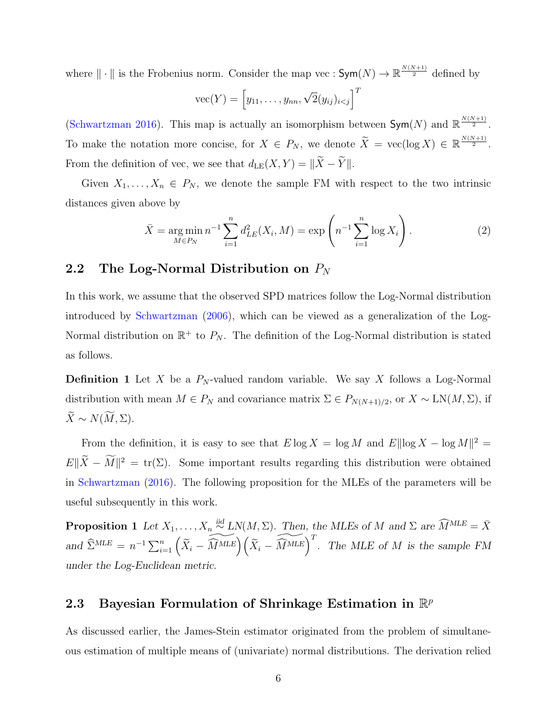where  $\|\cdot\|$  is the Frobenius norm. Consider the map vec :  $\mathsf{Sym}(N) \to \mathbb{R}^{\frac{N(N+1)}{2}}$  defined by

$$
\text{vec}(Y) = \left[y_{11}, \ldots, y_{nn}, \sqrt{2}(y_{ij})_{i < j}\right]^T
$$

[\(Schwartzman](#page-52-4) [2016\)](#page-52-4). This map is actually an isomorphism between  $Sym(N)$  and  $\mathbb{R}^{\frac{N(N+1)}{2}}$ . To make the notation more concise, for  $X \in P_N$ , we denote  $\widetilde{X} = \text{vec}(\log X) \in \mathbb{R}^{\frac{N(N+1)}{2}}$ . From the definition of vec, we see that  $d_{LE}(X, Y) = ||\widetilde{X} - \widetilde{Y}||$ .

Given  $X_1, \ldots, X_n \in P_N$ , we denote the sample FM with respect to the two intrinsic distances given above by

$$
\bar{X} = \underset{M \in P_N}{\arg \min} n^{-1} \sum_{i=1}^n d_{LE}^2(X_i, M) = \exp\left(n^{-1} \sum_{i=1}^n \log X_i\right). \tag{2}
$$

## 2.2 The Log-Normal Distribution on  $P_N$

In this work, we assume that the observed SPD matrices follow the Log-Normal distribution introduced by [Schwartzman](#page-51-5) [\(2006\)](#page-51-5), which can be viewed as a generalization of the Log-Normal distribution on  $\mathbb{R}^+$  to  $P_N$ . The definition of the Log-Normal distribution is stated as follows.

**Definition 1** Let X be a  $P_N$ -valued random variable. We say X follows a Log-Normal distribution with mean  $M \in P_N$  and covariance matrix  $\Sigma \in P_{N(N+1)/2}$ , or  $X \sim \text{LN}(M, \Sigma)$ , if  $\widetilde{X} \sim N(\widetilde{M}, \Sigma).$ 

From the definition, it is easy to see that  $E \log X = \log M$  and  $E ||\log X - \log M||^2 =$  $E\|\tilde{X}-M\|^2 = \text{tr}(\Sigma)$ . Some important results regarding this distribution were obtained in [Schwartzman](#page-52-4) [\(2016\)](#page-52-4). The following proposition for the MLEs of the parameters will be useful subsequently in this work.

<span id="page-5-0"></span>**Proposition 1** Let  $X_1, \ldots, X_n \stackrel{\text{iid}}{\sim} LN(M, \Sigma)$ . Then, the MLEs of M and  $\Sigma$  are  $\widehat{M}^{MLE} = \overline{X}$ and  $\widehat{\Sigma}^{MLE} = n^{-1} \sum_{i=1}^{n} (\widetilde{X}_{i} - \widetilde{M}^{MLE}) (\widetilde{X}_{i} - \widetilde{M}^{MLE})^{T}$ . The MLE of M is the sample FM under the Log-Euclidean metric.

# 2.3 Bayesian Formulation of Shrinkage Estimation in  $\mathbb{R}^p$

As discussed earlier, the James-Stein estimator originated from the problem of simultaneous estimation of multiple means of (univariate) normal distributions. The derivation relied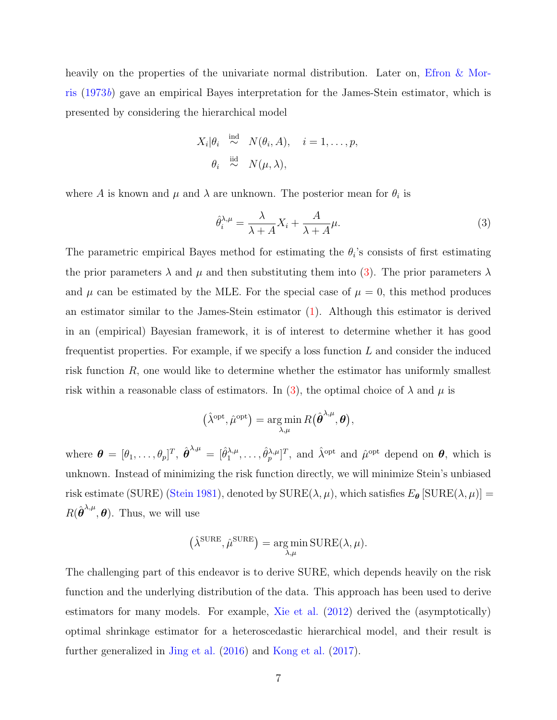heavily on the properties of the univariate normal distribution. Later on, [Efron & Mor](#page-49-7)[ris](#page-49-7) [\(1973](#page-49-7)b) gave an empirical Bayes interpretation for the James-Stein estimator, which is presented by considering the hierarchical model

$$
X_i | \theta_i \stackrel{\text{ind}}{\sim} N(\theta_i, A), \quad i = 1, \dots, p,
$$

$$
\theta_i \stackrel{\text{iid}}{\sim} N(\mu, \lambda),
$$

where A is known and  $\mu$  and  $\lambda$  are unknown. The posterior mean for  $\theta_i$  is

<span id="page-6-0"></span>
$$
\hat{\theta}_i^{\lambda,\mu} = \frac{\lambda}{\lambda + A} X_i + \frac{A}{\lambda + A} \mu.
$$
\n(3)

The parametric empirical Bayes method for estimating the  $\theta_i$ 's consists of first estimating the prior parameters  $\lambda$  and  $\mu$  and then substituting them into [\(3\)](#page-6-0). The prior parameters  $\lambda$ and  $\mu$  can be estimated by the MLE. For the special case of  $\mu = 0$ , this method produces an estimator similar to the James-Stein estimator [\(1\)](#page-2-0). Although this estimator is derived in an (empirical) Bayesian framework, it is of interest to determine whether it has good frequentist properties. For example, if we specify a loss function  $L$  and consider the induced risk function  $R$ , one would like to determine whether the estimator has uniformly smallest risk within a reasonable class of estimators. In [\(3\)](#page-6-0), the optimal choice of  $\lambda$  and  $\mu$  is

$$
(\hat{\lambda}^{\text{opt}}, \hat{\mu}^{\text{opt}}) = \argmin_{\lambda,\mu} R(\hat{\boldsymbol{\theta}}^{\lambda,\mu}, \boldsymbol{\theta}),
$$

where  $\boldsymbol{\theta} = [\theta_1, \ldots, \theta_p]^T$ ,  $\hat{\boldsymbol{\theta}}^{\lambda,\mu} = [\hat{\theta}_1^{\lambda,\mu}]$  $[\hat{\theta}_p^{\lambda,\mu}, \dots, \hat{\theta}_p^{\lambda,\mu}]^T$ , and  $\hat{\lambda}^{\text{opt}}$  and  $\hat{\mu}^{\text{opt}}$  depend on  $\theta$ , which is unknown. Instead of minimizing the risk function directly, we will minimize Stein's unbiased risk estimate (SURE) [\(Stein](#page-52-5) [1981\)](#page-52-5), denoted by  $\text{SURE}(\lambda, \mu)$ , which satisfies  $E_{\theta}$  [SURE( $\lambda, \mu$ )] =  $R(\hat{\boldsymbol{\theta}}^{\lambda,\mu},\boldsymbol{\theta})$ . Thus, we will use

$$
(\hat{\lambda}^{\text{SURE}}, \hat{\mu}^{\text{SURE}}) = \underset{\lambda,\mu}{\arg\min} \text{SURE}(\lambda,\mu).
$$

The challenging part of this endeavor is to derive SURE, which depends heavily on the risk function and the underlying distribution of the data. This approach has been used to derive estimators for many models. For example, [Xie et al.](#page-53-3) [\(2012\)](#page-53-3) derived the (asymptotically) optimal shrinkage estimator for a heteroscedastic hierarchical model, and their result is further generalized in [Jing et al.](#page-50-3) [\(2016\)](#page-50-3) and [Kong et al.](#page-50-4) [\(2017\)](#page-50-4).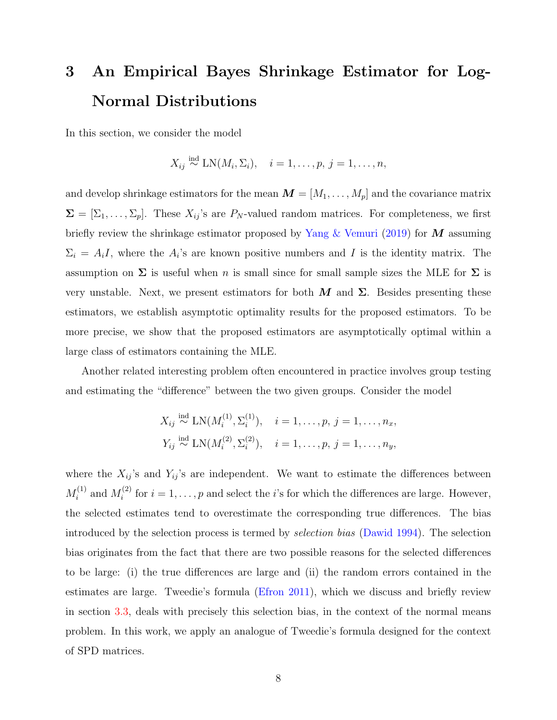# <span id="page-7-0"></span>3 An Empirical Bayes Shrinkage Estimator for Log-Normal Distributions

In this section, we consider the model

$$
X_{ij} \stackrel{\text{ind}}{\sim} \text{LN}(M_i, \Sigma_i), \quad i = 1, \dots, p, \ j = 1, \dots, n,
$$

and develop shrinkage estimators for the mean  $\mathbf{M} = [M_1, \ldots, M_p]$  and the covariance matrix  $\Sigma = [\Sigma_1, \ldots, \Sigma_p]$ . These  $X_{ij}$ 's are  $P_N$ -valued random matrices. For completeness, we first briefly review the shrinkage estimator proposed by [Yang & Vemuri](#page-53-5) [\(2019\)](#page-53-5) for  $\vec{M}$  assuming  $\Sigma_i = A_i I$ , where the  $A_i$ 's are known positive numbers and I is the identity matrix. The assumption on  $\Sigma$  is useful when n is small since for small sample sizes the MLE for  $\Sigma$  is very unstable. Next, we present estimators for both  $M$  and  $\Sigma$ . Besides presenting these estimators, we establish asymptotic optimality results for the proposed estimators. To be more precise, we show that the proposed estimators are asymptotically optimal within a large class of estimators containing the MLE.

Another related interesting problem often encountered in practice involves group testing and estimating the "difference" between the two given groups. Consider the model

$$
X_{ij} \stackrel{\text{ind}}{\sim} \text{LN}(M_i^{(1)}, \Sigma_i^{(1)}), \quad i = 1, \dots, p, j = 1, \dots, n_x,
$$
  
 $Y_{ij} \stackrel{\text{ind}}{\sim} \text{LN}(M_i^{(2)}, \Sigma_i^{(2)}), \quad i = 1, \dots, p, j = 1, \dots, n_y,$ 

where the  $X_{ij}$ 's and  $Y_{ij}$ 's are independent. We want to estimate the differences between  $M_i^{(1)}$  $i^{(1)}$  and  $M_i^{(2)}$  $i^{(2)}$  for  $i = 1, \ldots, p$  and select the *i*'s for which the differences are large. However, the selected estimates tend to overestimate the corresponding true differences. The bias introduced by the selection process is termed by selection bias [\(Dawid](#page-48-7) [1994\)](#page-48-7). The selection bias originates from the fact that there are two possible reasons for the selected differences to be large: (i) the true differences are large and (ii) the random errors contained in the estimates are large. Tweedie's formula [\(Efron](#page-48-8) [2011\)](#page-48-8), which we discuss and briefly review in section [3.3,](#page-12-0) deals with precisely this selection bias, in the context of the normal means problem. In this work, we apply an analogue of Tweedie's formula designed for the context of SPD matrices.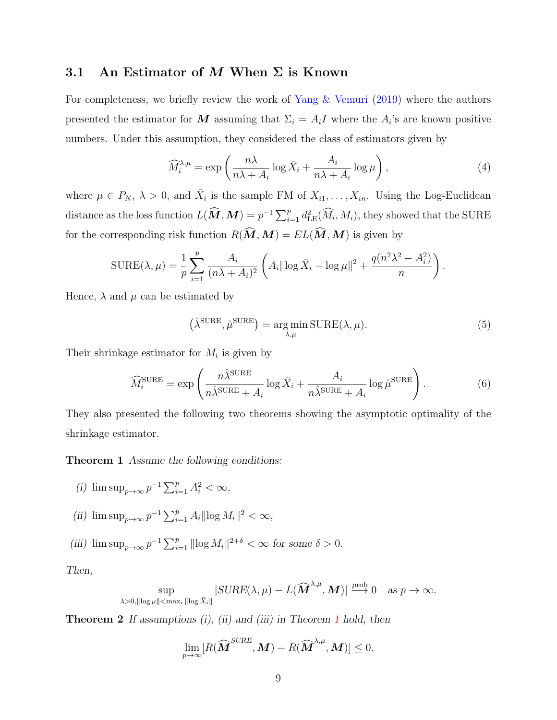## 3.1 An Estimator of M When  $\Sigma$  is Known

For completeness, we briefly review the work of [Yang & Vemuri](#page-53-5) [\(2019\)](#page-53-5) where the authors presented the estimator for M assuming that  $\Sigma_i = A_i I$  where the  $A_i$ 's are known positive numbers. Under this assumption, they considered the class of estimators given by

$$
\widehat{M}_i^{\lambda,\mu} = \exp\left(\frac{n\lambda}{n\lambda + A_i}\log\bar{X}_i + \frac{A_i}{n\lambda + A_i}\log\mu\right),\tag{4}
$$

where  $\mu \in P_N$ ,  $\lambda > 0$ , and  $\bar{X}_i$  is the sample FM of  $X_{i_1}, \ldots, X_{i_n}$ . Using the Log-Euclidean distance as the loss function  $L(\widehat{M},M) = p^{-1} \sum_{i=1}^p d_{\text{LE}}^2(\widehat{M}_i,M_i)$ , they showed that the SURE for the corresponding risk function  $R(\widehat{M},M) = EL(\widehat{M},M)$  is given by

$$
SURE(\lambda, \mu) = \frac{1}{p} \sum_{i=1}^{p} \frac{A_i}{(n\lambda + A_i)^2} \left( A_i || \log \bar{X}_i - \log \mu ||^2 + \frac{q(n^2\lambda^2 - A_i^2)}{n} \right).
$$

Hence,  $\lambda$  and  $\mu$  can be estimated by

$$
(\hat{\lambda}^{\text{SURE}}, \hat{\mu}^{\text{SURE}}) = \underset{\lambda, \mu}{\text{arg min}} \, \text{SURE}(\lambda, \mu). \tag{5}
$$

Their shrinkage estimator for  $M_i$  is given by

<span id="page-8-2"></span>
$$
\widehat{M}_i^{\text{SURE}} = \exp\left(\frac{n\widehat{\lambda}^{\text{SURE}}}{n\widehat{\lambda}^{\text{SURE}} + A_i} \log \bar{X}_i + \frac{A_i}{n\widehat{\lambda}^{\text{SURE}} + A_i} \log \widehat{\mu}^{\text{SURE}}\right).
$$
(6)

They also presented the following two theorems showing the asymptotic optimality of the shrinkage estimator.

<span id="page-8-0"></span>Theorem 1 Assume the following conditions:

(i) 
$$
\limsup_{p\to\infty}p^{-1}\sum_{i=1}^pA_i^2<\infty,
$$

- (ii)  $\limsup_{p \to \infty} p^{-1} \sum_{i=1}^p A_i ||\log M_i||^2 < \infty$ ,
- (iii)  $\limsup_{p\to\infty} p^{-1} \sum_{i=1}^p ||\log M_i||^{2+\delta} < \infty$  for some  $\delta > 0$ .

Then,

$$
\sup_{\lambda>0, \|\log \mu\|<\max_i\|\log \bar{X}_i\|} |SURE(\lambda, \mu) - L(\widehat{\boldsymbol{M}}^{\lambda,\mu}, \boldsymbol{M})| \stackrel{prob}{\longrightarrow} 0 \quad as \; p \to \infty.
$$

<span id="page-8-1"></span>**Theorem 2** If assumptions  $(i)$ ,  $(ii)$  and  $(iii)$  in Theorem [1](#page-8-0) hold, then

$$
\lim_{p\to\infty}[R(\widehat{\boldsymbol{M}}^{SURE},\boldsymbol{M})-R(\widehat{\boldsymbol{M}}^{\lambda,\mu},\boldsymbol{M})]\leq 0.
$$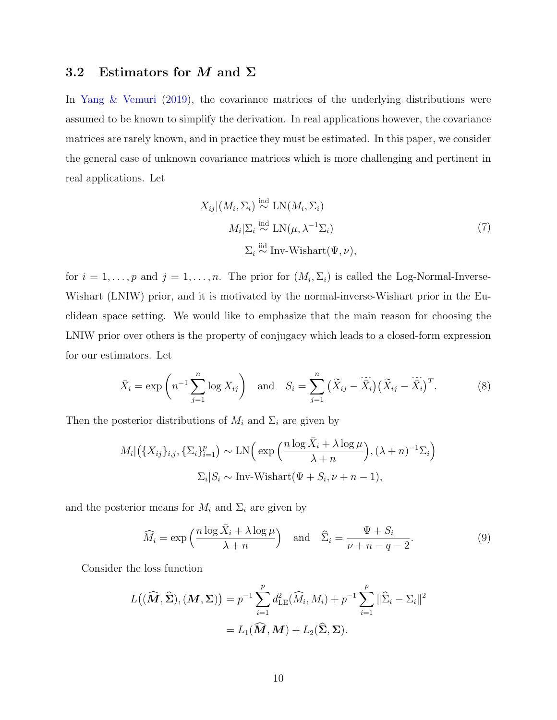## 3.2 Estimators for M and  $\Sigma$

In [Yang & Vemuri](#page-53-5) [\(2019\)](#page-53-5), the covariance matrices of the underlying distributions were assumed to be known to simplify the derivation. In real applications however, the covariance matrices are rarely known, and in practice they must be estimated. In this paper, we consider the general case of unknown covariance matrices which is more challenging and pertinent in real applications. Let

<span id="page-9-2"></span><span id="page-9-1"></span>
$$
X_{ij}|(M_i, \Sigma_i) \stackrel{\text{ind}}{\sim} \text{LN}(M_i, \Sigma_i)
$$
  

$$
M_i|\Sigma_i \stackrel{\text{ind}}{\sim} \text{LN}(\mu, \lambda^{-1}\Sigma_i)
$$
  

$$
\Sigma_i \stackrel{\text{iid}}{\sim} \text{Inv-Wishart}(\Psi, \nu),
$$
 (7)

for  $i = 1, \ldots, p$  and  $j = 1, \ldots, n$ . The prior for  $(M_i, \Sigma_i)$  is called the Log-Normal-Inverse-Wishart (LNIW) prior, and it is motivated by the normal-inverse-Wishart prior in the Euclidean space setting. We would like to emphasize that the main reason for choosing the LNIW prior over others is the property of conjugacy which leads to a closed-form expression for our estimators. Let

$$
\bar{X}_i = \exp\left(n^{-1}\sum_{j=1}^n \log X_{ij}\right) \quad \text{and} \quad S_i = \sum_{j=1}^n \left(\widetilde{X}_{ij} - \widetilde{X}_i\right) \left(\widetilde{X}_{ij} - \widetilde{X}_i\right)^T. \tag{8}
$$

Then the posterior distributions of  $M_i$  and  $\Sigma_i$  are given by

$$
M_i|\left(\{X_{ij}\}_{i,j}, \{\Sigma_i\}_{i=1}^p\right) \sim \text{LN}\left(\exp\left(\frac{n\log\bar{X}_i + \lambda\log\mu}{\lambda + n}\right), (\lambda + n)^{-1}\Sigma_i\right)
$$

$$
\Sigma_i|S_i \sim \text{Inv-Wishart}(\Psi + S_i, \nu + n - 1),
$$

and the posterior means for  $M_i$  and  $\Sigma_i$  are given by

<span id="page-9-0"></span>
$$
\widehat{M}_i = \exp\left(\frac{n\log\bar{X}_i + \lambda\log\mu}{\lambda + n}\right) \quad \text{and} \quad \widehat{\Sigma}_i = \frac{\Psi + S_i}{\nu + n - q - 2}.\tag{9}
$$

Consider the loss function

$$
L((\widehat{M}, \widehat{\Sigma}), (M, \Sigma)) = p^{-1} \sum_{i=1}^{p} d_{\text{LE}}^2(\widehat{M}_i, M_i) + p^{-1} \sum_{i=1}^{p} ||\widehat{\Sigma}_i - \Sigma_i||^2
$$
  
=  $L_1(\widehat{M}, M) + L_2(\widehat{\Sigma}, \Sigma).$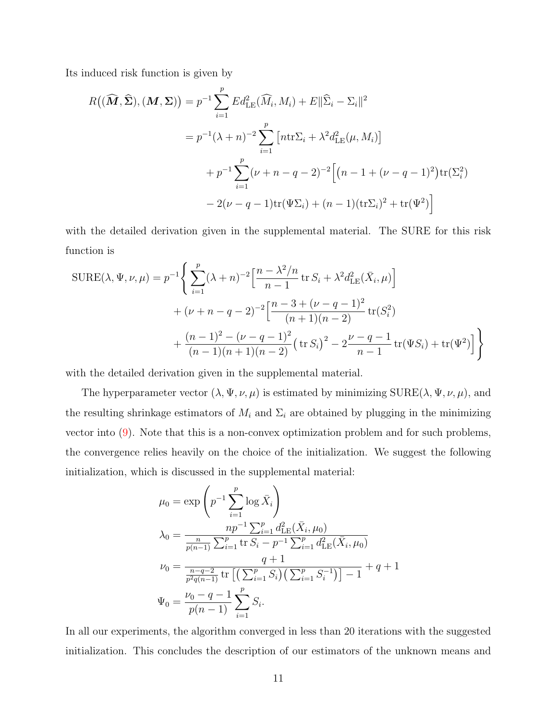Its induced risk function is given by

$$
R((\widehat{M}, \widehat{\Sigma}), (M, \Sigma)) = p^{-1} \sum_{i=1}^{p} Ed_{\text{LE}}^{2}(\widehat{M}_{i}, M_{i}) + E ||\widehat{\Sigma}_{i} - \Sigma_{i}||^{2}
$$
  
=  $p^{-1}(\lambda + n)^{-2} \sum_{i=1}^{p} \left[ n \text{tr} \Sigma_{i} + \lambda^{2} d_{\text{LE}}^{2}(\mu, M_{i}) \right]$   
+  $p^{-1} \sum_{i=1}^{p} (\nu + n - q - 2)^{-2} \left[ (n - 1 + (\nu - q - 1)^{2}) \text{tr}(\Sigma_{i}^{2}) - 2(\nu - q - 1) \text{tr}(\Psi \Sigma_{i}) + (n - 1)(\text{tr} \Sigma_{i})^{2} + \text{tr}(\Psi^{2}) \right]$ 

with the detailed derivation given in the supplemental material. The SURE for this risk function is

$$
SUBE(\lambda, \Psi, \nu, \mu) = p^{-1} \Bigg\{ \sum_{i=1}^{p} (\lambda + n)^{-2} \Big[ \frac{n - \lambda^2/n}{n - 1} \operatorname{tr} S_i + \lambda^2 d_{\text{LE}}^2(\bar{X}_i, \mu) \Big] + (\nu + n - q - 2)^{-2} \Big[ \frac{n - 3 + (\nu - q - 1)^2}{(n + 1)(n - 2)} \operatorname{tr} (S_i^2) + \frac{(n - 1)^2 - (\nu - q - 1)^2}{(n - 1)(n + 1)(n - 2)} \big( \operatorname{tr} S_i \big)^2 - 2 \frac{\nu - q - 1}{n - 1} \operatorname{tr} (\Psi S_i) + \operatorname{tr} (\Psi^2) \Big] \Bigg\}
$$

with the detailed derivation given in the supplemental material.

The hyperparameter vector  $(\lambda, \Psi, \nu, \mu)$  is estimated by minimizing SURE $(\lambda, \Psi, \nu, \mu)$ , and the resulting shrinkage estimators of  $M_i$  and  $\Sigma_i$  are obtained by plugging in the minimizing vector into [\(9\)](#page-9-0). Note that this is a non-convex optimization problem and for such problems, the convergence relies heavily on the choice of the initialization. We suggest the following initialization, which is discussed in the supplemental material:

$$
\mu_0 = \exp\left(p^{-1} \sum_{i=1}^p \log \bar{X}_i\right)
$$
  
\n
$$
\lambda_0 = \frac{np^{-1} \sum_{i=1}^p d_{\text{LE}}^2(\bar{X}_i, \mu_0)}{\frac{n}{p(n-1)} \sum_{i=1}^p \text{tr } S_i - p^{-1} \sum_{i=1}^p d_{\text{LE}}^2(\bar{X}_i, \mu_0)}
$$
  
\n
$$
\nu_0 = \frac{q+1}{\frac{n-q-2}{p^2q(n-1)} \text{tr } \left[\left(\sum_{i=1}^p S_i\right) \left(\sum_{i=1}^p S_i^{-1}\right)\right] - 1} + q + 1
$$
  
\n
$$
\Psi_0 = \frac{\nu_0 - q - 1}{p(n-1)} \sum_{i=1}^p S_i.
$$

In all our experiments, the algorithm converged in less than 20 iterations with the suggested initialization. This concludes the description of our estimators of the unknown means and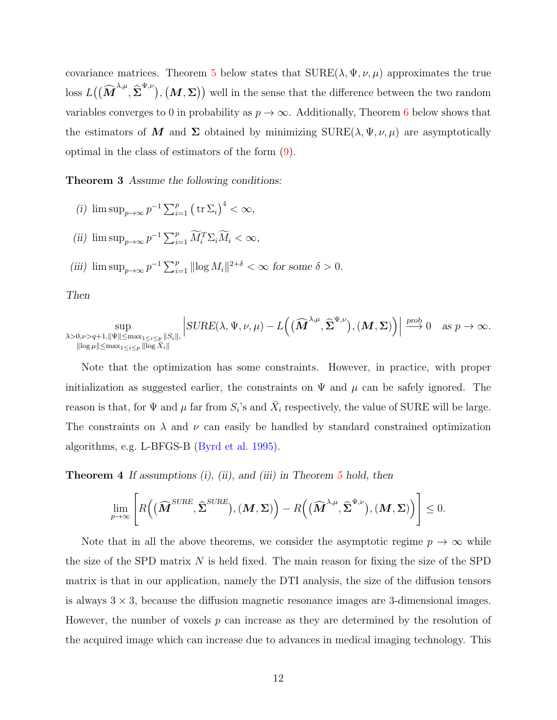covariance matrices. Theorem [5](#page-32-0) below states that  $\text{SURE}(\lambda, \Psi, \nu, \mu)$  approximates the true loss  $L((\widehat{M}^{\lambda,\mu},\widehat{\Sigma}^{\Psi,\nu}), (M,\Sigma))$  well in the sense that the difference between the two random variables converges to 0 in probability as  $p \to \infty$ . Additionally, Theorem [6](#page-44-0) below shows that the estimators of M and  $\Sigma$  obtained by minimizing  $\text{SURE}(\lambda, \Psi, \nu, \mu)$  are asymptotically optimal in the class of estimators of the form [\(9\)](#page-9-0).

Theorem 3 Assume the following conditions:

- (i)  $\limsup_{p\to\infty} p^{-1} \sum_{i=1}^p (\operatorname{tr} \Sigma_i)^4 < \infty$ ,
- (ii)  $\limsup_{p\to\infty} p^{-1} \sum_{i=1}^p \widetilde{M}_i^T \Sigma_i \widetilde{M}_i < \infty$ ,
- (iii)  $\limsup_{p\to\infty} p^{-1} \sum_{i=1}^p ||\log M_i||^{2+\delta} < \infty$  for some  $\delta > 0$ .

Then

$$
\sup_{\substack{\lambda>0,\nu>q+1,\|\Psi\|\leq \max_{1\leq i\leq p} \|S_i\|,\\ \|\log\mu\|\leq \max_{1\leq i\leq p} \|\log\bar{X}_i\|}} \left|\mathrm{SURE}(\lambda,\Psi,\nu,\mu)-L\Big(\big(\widehat{\mathbf{M}}^{\lambda,\mu},\widehat{\boldsymbol{\Sigma}}^{\Psi,\nu}\big),(\mathbf{M},\boldsymbol{\Sigma})\Big)\right|\overset{\text{prob}}{\longrightarrow} 0 \quad as \; p\to\infty.
$$

Note that the optimization has some constraints. However, in practice, with proper initialization as suggested earlier, the constraints on  $\Psi$  and  $\mu$  can be safely ignored. The reason is that, for  $\Psi$  and  $\mu$  far from  $S_i$ 's and  $\bar{X}_i$  respectively, the value of SURE will be large. The constraints on  $\lambda$  and  $\nu$  can easily be handled by standard constrained optimization algorithms, e.g. L-BFGS-B [\(Byrd et al.](#page-47-7) [1995\)](#page-47-7).

**Theorem 4** If assumptions  $(i)$ ,  $(ii)$ , and  $(iii)$  in Theorem [5](#page-32-0) hold, then

$$
\lim_{p\to\infty}\left[R\Big(\big(\widehat{\boldsymbol{M}}^{SURE},\widehat{\boldsymbol{\Sigma}}^{SURE}\big),(\boldsymbol{M},\boldsymbol{\Sigma})\Big)-R\Big(\big(\widehat{\boldsymbol{M}}^{\lambda,\mu},\widehat{\boldsymbol{\Sigma}}^{\Psi,\nu}\big),(\boldsymbol{M},\boldsymbol{\Sigma})\Big)\right]\leq 0.
$$

Note that in all the above theorems, we consider the asymptotic regime  $p \to \infty$  while the size of the SPD matrix  $N$  is held fixed. The main reason for fixing the size of the SPD matrix is that in our application, namely the DTI analysis, the size of the diffusion tensors is always  $3 \times 3$ , because the diffusion magnetic resonance images are 3-dimensional images. However, the number of voxels  $p$  can increase as they are determined by the resolution of the acquired image which can increase due to advances in medical imaging technology. This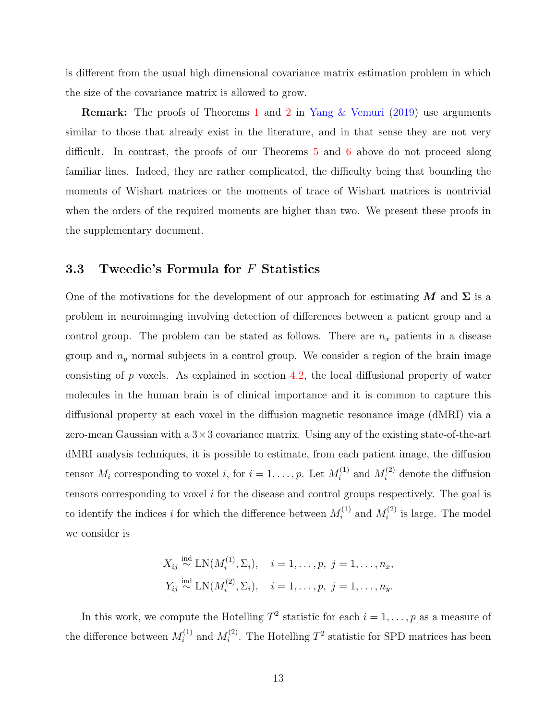is different from the usual high dimensional covariance matrix estimation problem in which the size of the covariance matrix is allowed to grow.

**Remark:** The proofs of Theorems [1](#page-8-0) and [2](#page-8-1) in [Yang & Vemuri](#page-53-5) [\(2019\)](#page-53-5) use arguments similar to those that already exist in the literature, and in that sense they are not very difficult. In contrast, the proofs of our Theorems [5](#page-32-0) and [6](#page-44-0) above do not proceed along familiar lines. Indeed, they are rather complicated, the difficulty being that bounding the moments of Wishart matrices or the moments of trace of Wishart matrices is nontrivial when the orders of the required moments are higher than two. We present these proofs in the supplementary document.

## <span id="page-12-0"></span>3.3 Tweedie's Formula for F Statistics

One of the motivations for the development of our approach for estimating M and  $\Sigma$  is a problem in neuroimaging involving detection of differences between a patient group and a control group. The problem can be stated as follows. There are  $n_x$  patients in a disease group and  $n_y$  normal subjects in a control group. We consider a region of the brain image consisting of  $p$  voxels. As explained in section [4.2,](#page-20-0) the local diffusional property of water molecules in the human brain is of clinical importance and it is common to capture this diffusional property at each voxel in the diffusion magnetic resonance image (dMRI) via a zero-mean Gaussian with a  $3 \times 3$  covariance matrix. Using any of the existing state-of-the-art dMRI analysis techniques, it is possible to estimate, from each patient image, the diffusion tensor  $M_i$  corresponding to voxel i, for  $i = 1, \ldots, p$ . Let  $M_i^{(1)}$  $u_i^{(1)}$  and  $M_i^{(2)}$  denote the diffusion tensors corresponding to voxel  $i$  for the disease and control groups respectively. The goal is to identify the indices *i* for which the difference between  $M_i^{(1)}$  $i^{(1)}$  and  $M_i^{(2)}$  $i^{(2)}$  is large. The model we consider is

$$
X_{ij} \stackrel{\text{ind}}{\sim} \text{LN}(M_i^{(1)}, \Sigma_i), \quad i = 1, ..., p, \ j = 1, ..., n_x,
$$
  
 $Y_{ij} \stackrel{\text{ind}}{\sim} \text{LN}(M_i^{(2)}, \Sigma_i), \quad i = 1, ..., p, \ j = 1, ..., n_y.$ 

In this work, we compute the Hotelling  $T^2$  statistic for each  $i = 1, \ldots, p$  as a measure of the difference between  $M_i^{(1)}$  $i^{(1)}$  and  $M_i^{(2)}$  $i^{(2)}$ . The Hotelling  $T^2$  statistic for SPD matrices has been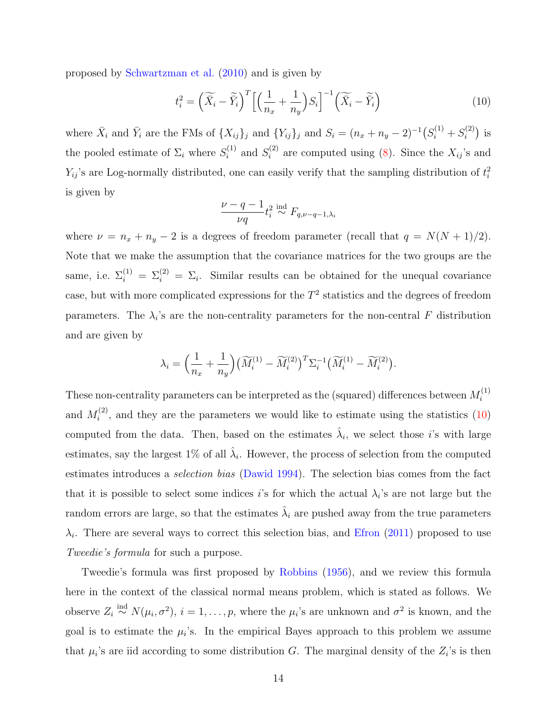proposed by [Schwartzman et al.](#page-52-6) [\(2010\)](#page-52-6) and is given by

<span id="page-13-0"></span>
$$
t_i^2 = \left(\widetilde{\bar{X}}_i - \widetilde{\bar{Y}}_i\right)^T \left[ \left(\frac{1}{n_x} + \frac{1}{n_y}\right) S_i \right]^{-1} \left(\widetilde{\bar{X}}_i - \widetilde{\bar{Y}}_i\right)
$$
(10)

where  $\bar{X}_i$  and  $\bar{Y}_i$  are the FMs of  $\{X_{ij}\}_j$  and  $\{Y_{ij}\}_j$  and  $S_i = (n_x + n_y - 2)^{-1} (S_i^{(1)} + S_i^{(2)})$  $i^{(2)}$ ) is the pooled estimate of  $\Sigma_i$  where  $S_i^{(1)}$  $s_i^{(1)}$  and  $S_i^{(2)}$  $i^{(2)}$  are computed using [\(8\)](#page-9-1). Since the  $X_{ij}$ 's and  $Y_{ij}$ 's are Log-normally distributed, one can easily verify that the sampling distribution of  $t_i^2$ is given by

$$
\frac{\nu-q-1}{\nu q}t_i^2 \stackrel{\text{ind}}{\sim} F_{q,\nu-q-1,\lambda_i}
$$

where  $\nu = n_x + n_y - 2$  is a degrees of freedom parameter (recall that  $q = N(N + 1)/2$ ). Note that we make the assumption that the covariance matrices for the two groups are the same, i.e.  $\Sigma_i^{(1)} = \Sigma_i^{(2)} = \Sigma_i$ . Similar results can be obtained for the unequal covariance case, but with more complicated expressions for the  $T^2$  statistics and the degrees of freedom parameters. The  $\lambda_i$ 's are the non-centrality parameters for the non-central F distribution and are given by

$$
\lambda_i = \left(\frac{1}{n_x} + \frac{1}{n_y}\right) \left(\widetilde{M}_i^{(1)} - \widetilde{M}_i^{(2)}\right)^T \Sigma_i^{-1} \left(\widetilde{M}_i^{(1)} - \widetilde{M}_i^{(2)}\right).
$$

These non-centrality parameters can be interpreted as the (squared) differences between  $M_i^{(1)}$ i and  $M_i^{(2)}$  $i^{(2)}$ , and they are the parameters we would like to estimate using the statistics  $(10)$ computed from the data. Then, based on the estimates  $\hat{\lambda}_i$ , we select those *i*'s with large estimates, say the largest  $1\%$  of all  $\hat{\lambda}_i$ . However, the process of selection from the computed estimates introduces a selection bias [\(Dawid](#page-48-7) [1994\)](#page-48-7). The selection bias comes from the fact that it is possible to select some indices i's for which the actual  $\lambda_i$ 's are not large but the random errors are large, so that the estimates  $\hat{\lambda}_i$  are pushed away from the true parameters  $\lambda_i$ . There are several ways to correct this selection bias, and [Efron](#page-48-8) [\(2011\)](#page-48-8) proposed to use Tweedie's formula for such a purpose.

Tweedie's formula was first proposed by [Robbins](#page-51-6) [\(1956\)](#page-51-6), and we review this formula here in the context of the classical normal means problem, which is stated as follows. We observe  $Z_i \stackrel{\text{ind}}{\sim} N(\mu_i, \sigma^2), i = 1, \ldots, p$ , where the  $\mu_i$ 's are unknown and  $\sigma^2$  is known, and the goal is to estimate the  $\mu_i$ 's. In the empirical Bayes approach to this problem we assume that  $\mu_i$ 's are iid according to some distribution G. The marginal density of the  $Z_i$ 's is then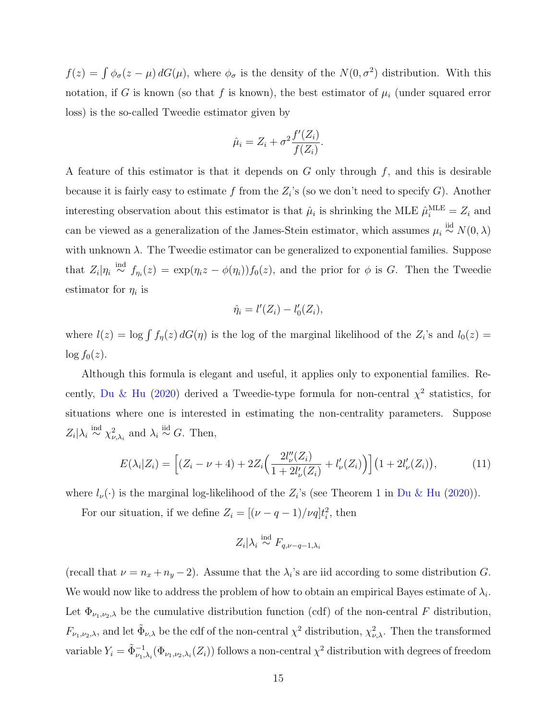$f(z) = \int \phi_{\sigma}(z - \mu) dG(\mu)$ , where  $\phi_{\sigma}$  is the density of the  $N(0, \sigma^2)$  distribution. With this notation, if G is known (so that f is known), the best estimator of  $\mu_i$  (under squared error loss) is the so-called Tweedie estimator given by

$$
\hat{\mu}_i = Z_i + \sigma^2 \frac{f'(Z_i)}{f(Z_i)}.
$$

A feature of this estimator is that it depends on  $G$  only through  $f$ , and this is desirable because it is fairly easy to estimate f from the  $Z_i$ 's (so we don't need to specify G). Another interesting observation about this estimator is that  $\hat{\mu}_i$  is shrinking the MLE  $\hat{\mu}_i^{\text{MLE}} = Z_i$  and can be viewed as a generalization of the James-Stein estimator, which assumes  $\mu_i \stackrel{\text{iid}}{\sim} N(0, \lambda)$ with unknown  $\lambda$ . The Tweedie estimator can be generalized to exponential families. Suppose that  $Z_i|\eta_i \stackrel{\text{ind}}{\sim} f_{\eta_i}(z) = \exp(\eta_i z - \phi(\eta_i))f_0(z)$ , and the prior for  $\phi$  is G. Then the Tweedie estimator for  $\eta_i$  is

$$
\hat{\eta}_i = l'(Z_i) - l'_0(Z_i),
$$

where  $l(z) = \log \int f_{\eta}(z) dG(\eta)$  is the log of the marginal likelihood of the  $Z_i$ 's and  $l_0(z) =$  $\log f_0(z)$ .

Although this formula is elegant and useful, it applies only to exponential families. Re-cently, [Du & Hu](#page-48-9) [\(2020\)](#page-48-9) derived a Tweedie-type formula for non-central  $\chi^2$  statistics, for situations where one is interested in estimating the non-centrality parameters. Suppose  $Z_i | \lambda_i \stackrel{\text{ind}}{\sim} \chi^2_{\nu,\lambda_i}$  and  $\lambda_i \stackrel{\text{iid}}{\sim} G$ . Then,

$$
E(\lambda_i | Z_i) = \left[ (Z_i - \nu + 4) + 2Z_i \left( \frac{2l''_{\nu}(Z_i)}{1 + 2l'_{\nu}(Z_i)} + l'_{\nu}(Z_i) \right) \right] \left( 1 + 2l'_{\nu}(Z_i) \right),\tag{11}
$$

where  $l_{\nu}(\cdot)$  is the marginal log-likelihood of the  $Z_i$ 's (see Theorem 1 in [Du & Hu](#page-48-9) [\(2020\)](#page-48-9)).

For our situation, if we define  $Z_i = [(\nu - q - 1)/\nu q]t_i^2$ , then

$$
Z_i|\lambda_i \stackrel{\text{ind}}{\sim} F_{q,\nu-q-1,\lambda_i}
$$

(recall that  $\nu = n_x + n_y - 2$ ). Assume that the  $\lambda_i$ 's are iid according to some distribution G. We would now like to address the problem of how to obtain an empirical Bayes estimate of  $\lambda_i$ . Let  $\Phi_{\nu_1,\nu_2,\lambda}$  be the cumulative distribution function (cdf) of the non-central F distribution,  $F_{\nu_1,\nu_2,\lambda}$ , and let  $\tilde{\Phi}_{\nu,\lambda}$  be the cdf of the non-central  $\chi^2$  distribution,  $\chi^2_{\nu,\lambda}$ . Then the transformed variable  $Y_i = \tilde{\Phi}_{\nu_1,\lambda_i}^{-1}(\Phi_{\nu_1,\nu_2,\lambda_i}(Z_i))$  follows a non-central  $\chi^2$  distribution with degrees of freedom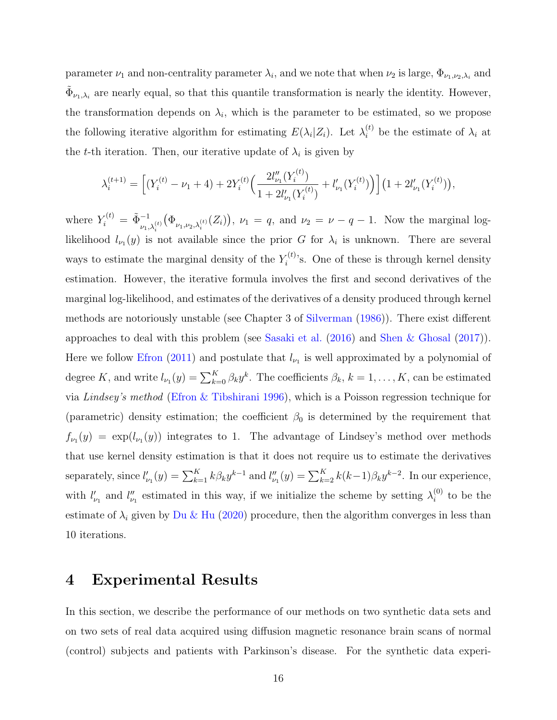parameter  $\nu_1$  and non-centrality parameter  $\lambda_i$ , and we note that when  $\nu_2$  is large,  $\Phi_{\nu_1,\nu_2,\lambda_i}$  and  $\tilde{\Phi}_{\nu_1,\lambda_i}$  are nearly equal, so that this quantile transformation is nearly the identity. However, the transformation depends on  $\lambda_i$ , which is the parameter to be estimated, so we propose the following iterative algorithm for estimating  $E(\lambda_i|Z_i)$ . Let  $\lambda_i^{(t)}$  be the estimate of  $\lambda_i$  at the t-th iteration. Then, our iterative update of  $\lambda_i$  is given by

$$
\lambda_i^{(t+1)} = \left[ (Y_i^{(t)} - \nu_1 + 4) + 2Y_i^{(t)} \Big( \frac{2l_{\nu_1}''(Y_i^{(t)})}{1 + 2l_{\nu_1}'(Y_i^{(t)})} + l_{\nu_1}'(Y_i^{(t)}) \Big) \right] \left( 1 + 2l_{\nu_1}'(Y_i^{(t)}) \right),
$$

where  $Y_i^{(t)} = \tilde{\Phi}_{\nu_1, \lambda_i^{(t)}}^{-1}$  $(\Phi_{\nu_1,\nu_2,\lambda_i^{(t)}}(Z_i)), \nu_1 = q$ , and  $\nu_2 = \nu - q - 1$ . Now the marginal loglikelihood  $l_{\nu_1}(y)$  is not available since the prior G for  $\lambda_i$  is unknown. There are several ways to estimate the marginal density of the  $Y_i^{(t)}$  $i^{(t)}$ 's. One of these is through kernel density estimation. However, the iterative formula involves the first and second derivatives of the marginal log-likelihood, and estimates of the derivatives of a density produced through kernel methods are notoriously unstable (see Chapter 3 of [Silverman](#page-52-7) [\(1986\)](#page-52-7)). There exist different approaches to deal with this problem (see [Sasaki et al.](#page-51-7) [\(2016\)](#page-51-7) and [Shen & Ghosal](#page-52-8) [\(2017\)](#page-52-8)). Here we follow [Efron](#page-48-8) [\(2011\)](#page-48-8) and postulate that  $l_{\nu_1}$  is well approximated by a polynomial of degree K, and write  $l_{\nu_1}(y) = \sum_{k=0}^{K} \beta_k y^k$ . The coefficients  $\beta_k$ ,  $k = 1, \ldots, K$ , can be estimated via Lindsey's method [\(Efron & Tibshirani](#page-49-9) [1996\)](#page-49-9), which is a Poisson regression technique for (parametric) density estimation; the coefficient  $\beta_0$  is determined by the requirement that  $f_{\nu_1}(y) = \exp(l_{\nu_1}(y))$  integrates to 1. The advantage of Lindsey's method over methods that use kernel density estimation is that it does not require us to estimate the derivatives separately, since  $l'_{\nu_1}(y) = \sum_{k=1}^K k \beta_k y^{k-1}$  and  $l''_{\nu_1}(y) = \sum_{k=2}^K k(k-1) \beta_k y^{k-2}$ . In our experience, with  $l'_{\nu_1}$  and  $l''_{\nu_1}$  estimated in this way, if we initialize the scheme by setting  $\lambda_i^{(0)}$  $i^{(0)}$  to be the estimate of  $\lambda_i$  given by [Du & Hu](#page-48-9) [\(2020\)](#page-48-9) procedure, then the algorithm converges in less than 10 iterations.

## <span id="page-15-0"></span>4 Experimental Results

In this section, we describe the performance of our methods on two synthetic data sets and on two sets of real data acquired using diffusion magnetic resonance brain scans of normal (control) subjects and patients with Parkinson's disease. For the synthetic data experi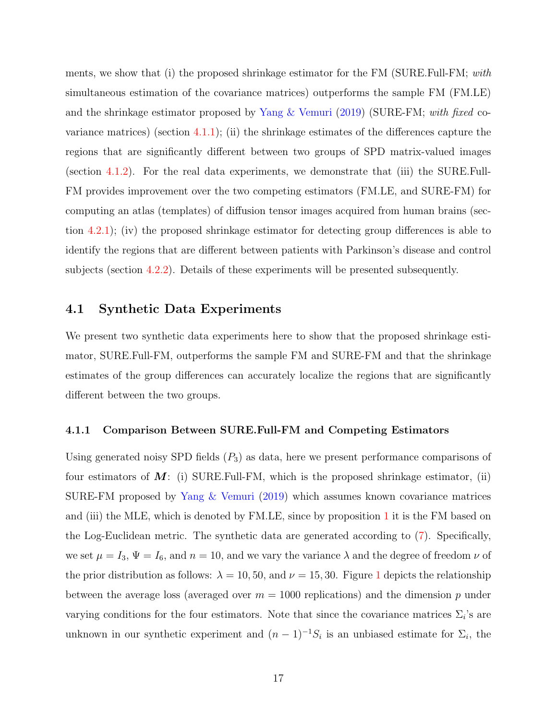ments, we show that (i) the proposed shrinkage estimator for the FM (SURE.Full-FM; with simultaneous estimation of the covariance matrices) outperforms the sample FM (FM.LE) and the shrinkage estimator proposed by Yang  $\&$  Vemuri [\(2019\)](#page-53-5) (SURE-FM; with fixed covariance matrices) (section  $(4.1.1)$  $(4.1.1)$ ; (ii) the shrinkage estimates of the differences capture the regions that are significantly different between two groups of SPD matrix-valued images (section [4.1.2\)](#page-18-0). For the real data experiments, we demonstrate that (iii) the SURE.Full-FM provides improvement over the two competing estimators (FM.LE, and SURE-FM) for computing an atlas (templates) of diffusion tensor images acquired from human brains (section [4.2.1\)](#page-22-0); (iv) the proposed shrinkage estimator for detecting group differences is able to identify the regions that are different between patients with Parkinson's disease and control subjects (section [4.2.2\)](#page-24-0). Details of these experiments will be presented subsequently.

### <span id="page-16-1"></span>4.1 Synthetic Data Experiments

We present two synthetic data experiments here to show that the proposed shrinkage estimator, SURE.Full-FM, outperforms the sample FM and SURE-FM and that the shrinkage estimates of the group differences can accurately localize the regions that are significantly different between the two groups.

#### <span id="page-16-0"></span>4.1.1 Comparison Between SURE.Full-FM and Competing Estimators

Using generated noisy SPD fields  $(P_3)$  as data, here we present performance comparisons of four estimators of  $M$ : (i) SURE. Full-FM, which is the proposed shrinkage estimator, (ii) SURE-FM proposed by [Yang & Vemuri](#page-53-5) [\(2019\)](#page-53-5) which assumes known covariance matrices and (iii) the MLE, which is denoted by FM.LE, since by proposition [1](#page-5-0) it is the FM based on the Log-Euclidean metric. The synthetic data are generated according to [\(7\)](#page-9-2). Specifically, we set  $\mu = I_3$ ,  $\Psi = I_6$ , and  $n = 10$ , and we vary the variance  $\lambda$  and the degree of freedom  $\nu$  of the prior distribution as follows:  $\lambda = 10, 50,$  $\lambda = 10, 50,$  $\lambda = 10, 50,$  and  $\nu = 15, 30$ . Figure 1 depicts the relationship between the average loss (averaged over  $m = 1000$  replications) and the dimension p under varying conditions for the four estimators. Note that since the covariance matrices  $\Sigma_i$ 's are unknown in our synthetic experiment and  $(n-1)^{-1}S_i$  is an unbiased estimate for  $\Sigma_i$ , the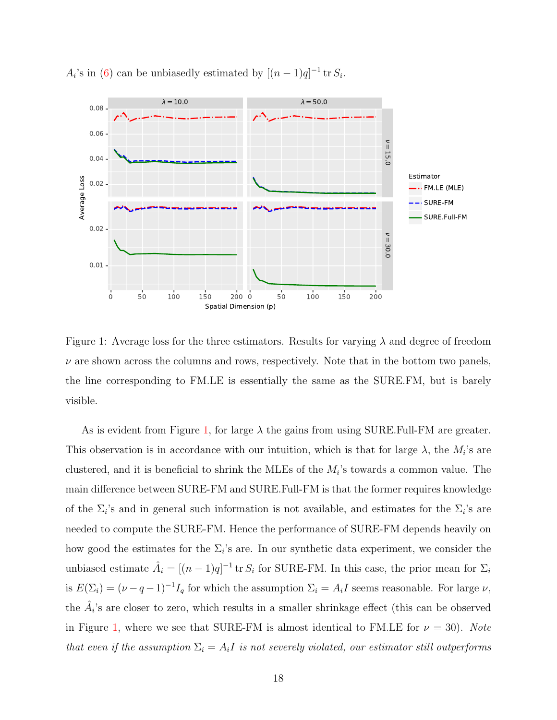

 $A_i$ 's in [\(6\)](#page-8-2) can be unbiasedly estimated by  $[(n-1)q]^{-1}$  tr $S_i$ .

<span id="page-17-0"></span>Figure 1: Average loss for the three estimators. Results for varying  $\lambda$  and degree of freedom  $\nu$  are shown across the columns and rows, respectively. Note that in the bottom two panels, the line corresponding to FM.LE is essentially the same as the SURE.FM, but is barely visible.

As is evident from Figure [1,](#page-17-0) for large  $\lambda$  the gains from using SURE. Full-FM are greater. This observation is in accordance with our intuition, which is that for large  $\lambda$ , the  $M_i$ 's are clustered, and it is beneficial to shrink the MLEs of the  $M_i$ 's towards a common value. The main difference between SURE-FM and SURE.Full-FM is that the former requires knowledge of the  $\Sigma_i$ 's and in general such information is not available, and estimates for the  $\Sigma_i$ 's are needed to compute the SURE-FM. Hence the performance of SURE-FM depends heavily on how good the estimates for the  $\Sigma_i$ 's are. In our synthetic data experiment, we consider the unbiased estimate  $\hat{A}_i = [(n-1)q]^{-1}$  tr  $S_i$  for SURE-FM. In this case, the prior mean for  $\Sigma_i$ is  $E(\Sigma_i) = (\nu - q - 1)^{-1} I_q$  for which the assumption  $\Sigma_i = A_i I$  seems reasonable. For large  $\nu$ , the  $\hat{A}_i$ 's are closer to zero, which results in a smaller shrinkage effect (this can be observed in Figure [1,](#page-17-0) where we see that SURE-FM is almost identical to FM.LE for  $\nu = 30$ ). Note that even if the assumption  $\Sigma_i = A_i I$  is not severely violated, our estimator still outperforms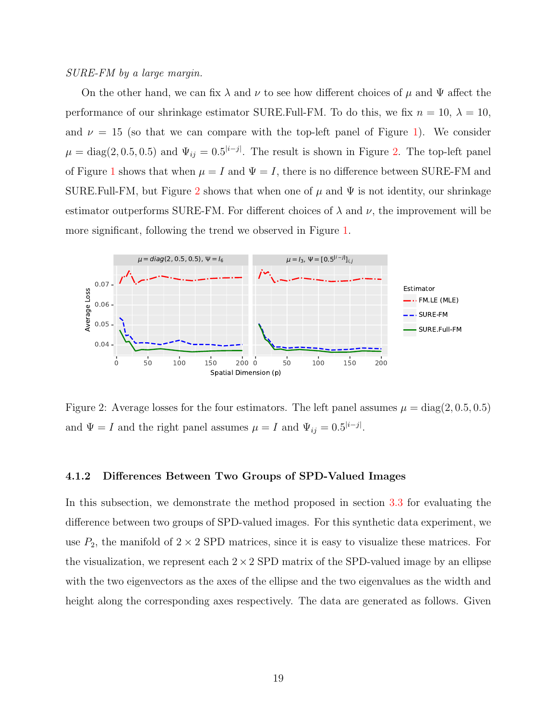#### SURE-FM by a large margin.

On the other hand, we can fix  $\lambda$  and  $\nu$  to see how different choices of  $\mu$  and  $\Psi$  affect the performance of our shrinkage estimator SURE.Full-FM. To do this, we fix  $n = 10$ ,  $\lambda = 10$ , and  $\nu = 15$  (so that we can compare with the top-left panel of Figure [1\)](#page-17-0). We consider  $\mu = \text{diag}(2, 0.5, 0.5)$  and  $\Psi_{ij} = 0.5^{|i-j|}$ . The result is shown in Figure [2.](#page-18-1) The top-left panel of Figure [1](#page-17-0) shows that when  $\mu = I$  and  $\Psi = I$ , there is no difference between SURE-FM and SURE.Full-FM, but Figure [2](#page-18-1) shows that when one of  $\mu$  and  $\Psi$  is not identity, our shrinkage estimator outperforms SURE-FM. For different choices of  $\lambda$  and  $\nu$ , the improvement will be more significant, following the trend we observed in Figure [1.](#page-17-0)



<span id="page-18-1"></span>Figure 2: Average losses for the four estimators. The left panel assumes  $\mu = \text{diag}(2, 0.5, 0.5)$ and  $\Psi = I$  and the right panel assumes  $\mu = I$  and  $\Psi_{ij} = 0.5^{|i-j|}$ .

#### <span id="page-18-0"></span>4.1.2 Differences Between Two Groups of SPD-Valued Images

In this subsection, we demonstrate the method proposed in section [3.3](#page-12-0) for evaluating the difference between two groups of SPD-valued images. For this synthetic data experiment, we use  $P_2$ , the manifold of  $2 \times 2$  SPD matrices, since it is easy to visualize these matrices. For the visualization, we represent each  $2 \times 2$  SPD matrix of the SPD-valued image by an ellipse with the two eigenvectors as the axes of the ellipse and the two eigenvalues as the width and height along the corresponding axes respectively. The data are generated as follows. Given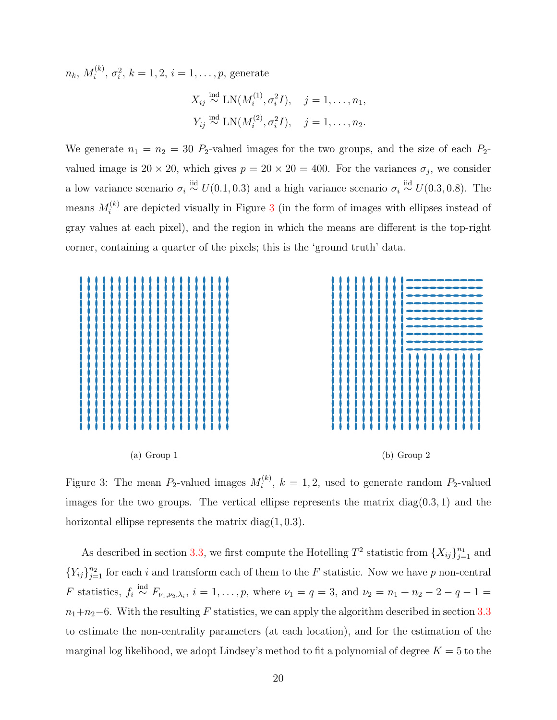$n_k,\,M_i^{(k)}$  $\sigma_i^{(k)}$ ,  $\sigma_i^2$ ,  $k = 1, 2, i = 1, \ldots, p$ , generate

$$
X_{ij} \stackrel{\text{ind}}{\sim} \text{LN}(M_i^{(1)}, \sigma_i^2 I), \quad j = 1, ..., n_1,
$$
  
\n $Y_{ij} \stackrel{\text{ind}}{\sim} \text{LN}(M_i^{(2)}, \sigma_i^2 I), \quad j = 1, ..., n_2.$ 

We generate  $n_1 = n_2 = 30$  P<sub>2</sub>-valued images for the two groups, and the size of each P<sub>2</sub>valued image is  $20 \times 20$ , which gives  $p = 20 \times 20 = 400$ . For the variances  $\sigma_j$ , we consider a low variance scenario  $\sigma_i \stackrel{\text{iid}}{\sim} U(0.1, 0.3)$  and a high variance scenario  $\sigma_i \stackrel{\text{iid}}{\sim} U(0.3, 0.8)$ . The means  $M_i^{(k)}$  $i^{(k)}$  are depicted visually in Figure [3](#page-19-0) (in the form of images with ellipses instead of gray values at each pixel), and the region in which the means are different is the top-right corner, containing a quarter of the pixels; this is the 'ground truth' data.



<span id="page-19-0"></span>Figure 3: The mean  $P_2$ -valued images  $M_i^{(k)}$  $i^{(k)}$ ,  $k = 1, 2$ , used to generate random  $P_2$ -valued images for the two groups. The vertical ellipse represents the matrix  $diag(0.3, 1)$  and the horizontal ellipse represents the matrix diag $(1, 0.3)$ .

As described in section [3.3,](#page-12-0) we first compute the Hotelling  $T^2$  statistic from  $\{X_{ij}\}_{j=1}^{n_1}$  and  ${Y_{ij}}_{j=1}^{n_2}$  for each i and transform each of them to the F statistic. Now we have p non-central *F* statistics,  $f_i \stackrel{\text{ind}}{\sim} F_{\nu_1,\nu_2,\lambda_i}$ ,  $i = 1,\ldots,p$ , where  $\nu_1 = q = 3$ , and  $\nu_2 = n_1 + n_2 - 2 - q - 1 =$  $n_1+n_2-6$ . With the resulting F statistics, we can apply the algorithm described in section [3.3](#page-12-0) to estimate the non-centrality parameters (at each location), and for the estimation of the marginal log likelihood, we adopt Lindsey's method to fit a polynomial of degree  $K = 5$  to the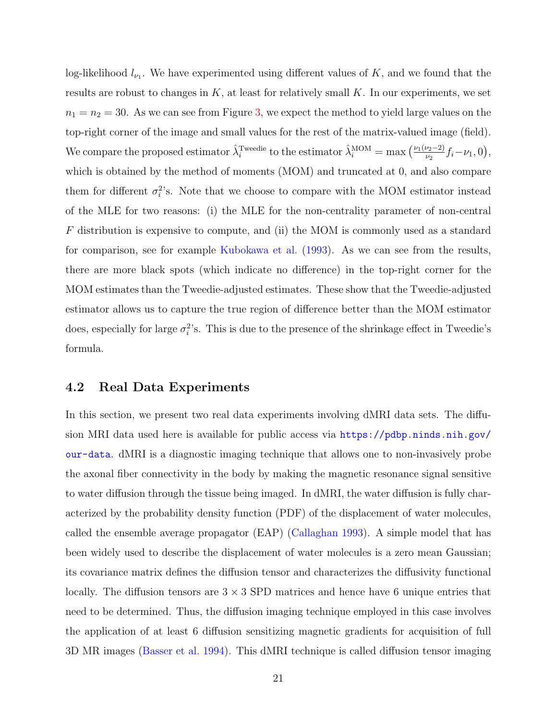log-likelihood  $l_{\nu_1}$ . We have experimented using different values of K, and we found that the results are robust to changes in  $K$ , at least for relatively small  $K$ . In our experiments, we set  $n_1 = n_2 = 30$ . As we can see from Figure [3,](#page-19-0) we expect the method to yield large values on the top-right corner of the image and small values for the rest of the matrix-valued image (field). We compare the proposed estimator  $\hat{\lambda}_i^{\text{Tweedie}}$  to the estimator  $\hat{\lambda}_i^{\text{MOM}} = \max \left( \frac{\nu_1(\nu_2 - 2)}{\nu_2} f_i - \nu_1, 0 \right)$ , which is obtained by the method of moments (MOM) and truncated at 0, and also compare them for different  $\sigma_i^2$ 's. Note that we choose to compare with the MOM estimator instead of the MLE for two reasons: (i) the MLE for the non-centrality parameter of non-central F distribution is expensive to compute, and (ii) the MOM is commonly used as a standard for comparison, see for example [Kubokawa et al.](#page-50-9) [\(1993\)](#page-50-9). As we can see from the results, there are more black spots (which indicate no difference) in the top-right corner for the MOM estimates than the Tweedie-adjusted estimates. These show that the Tweedie-adjusted estimator allows us to capture the true region of difference better than the MOM estimator does, especially for large  $\sigma_i^2$ 's. This is due to the presence of the shrinkage effect in Tweedie's formula.

## <span id="page-20-0"></span>4.2 Real Data Experiments

In this section, we present two real data experiments involving dMRI data sets. The diffusion MRI data used here is available for public access via [https://pdbp.ninds.nih.gov/](https://pdbp.ninds.nih.gov/our-data) [our-data](https://pdbp.ninds.nih.gov/our-data). dMRI is a diagnostic imaging technique that allows one to non-invasively probe the axonal fiber connectivity in the body by making the magnetic resonance signal sensitive to water diffusion through the tissue being imaged. In dMRI, the water diffusion is fully characterized by the probability density function (PDF) of the displacement of water molecules, called the ensemble average propagator (EAP) [\(Callaghan](#page-47-8) [1993\)](#page-47-8). A simple model that has been widely used to describe the displacement of water molecules is a zero mean Gaussian; its covariance matrix defines the diffusion tensor and characterizes the diffusivity functional locally. The diffusion tensors are  $3 \times 3$  SPD matrices and hence have 6 unique entries that need to be determined. Thus, the diffusion imaging technique employed in this case involves the application of at least 6 diffusion sensitizing magnetic gradients for acquisition of full 3D MR images [\(Basser et al.](#page-46-0) [1994\)](#page-46-0). This dMRI technique is called diffusion tensor imaging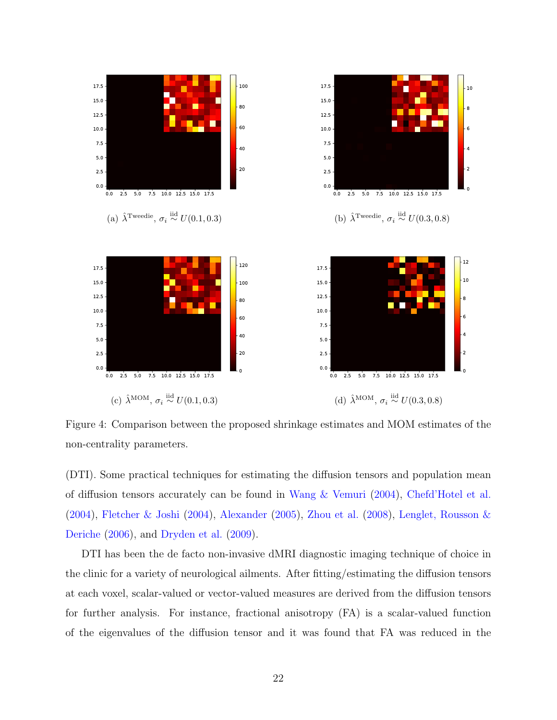

Figure 4: Comparison between the proposed shrinkage estimates and MOM estimates of the non-centrality parameters.

(DTI). Some practical techniques for estimating the diffusion tensors and population mean of diffusion tensors accurately can be found in [Wang & Vemuri](#page-53-7) [\(2004\)](#page-53-7), [Chefd'Hotel et al.](#page-47-9) [\(2004\)](#page-47-9), [Fletcher & Joshi](#page-49-10) [\(2004\)](#page-49-10), [Alexander](#page-46-3) [\(2005\)](#page-46-3), [Zhou et al.](#page-53-8) [\(2008\)](#page-53-8), [Lenglet, Rousson &](#page-50-10) [Deriche](#page-50-10) [\(2006\)](#page-50-10), and [Dryden et al.](#page-48-10) [\(2009\)](#page-48-10).

DTI has been the de facto non-invasive dMRI diagnostic imaging technique of choice in the clinic for a variety of neurological ailments. After fitting/estimating the diffusion tensors at each voxel, scalar-valued or vector-valued measures are derived from the diffusion tensors for further analysis. For instance, fractional anisotropy (FA) is a scalar-valued function of the eigenvalues of the diffusion tensor and it was found that FA was reduced in the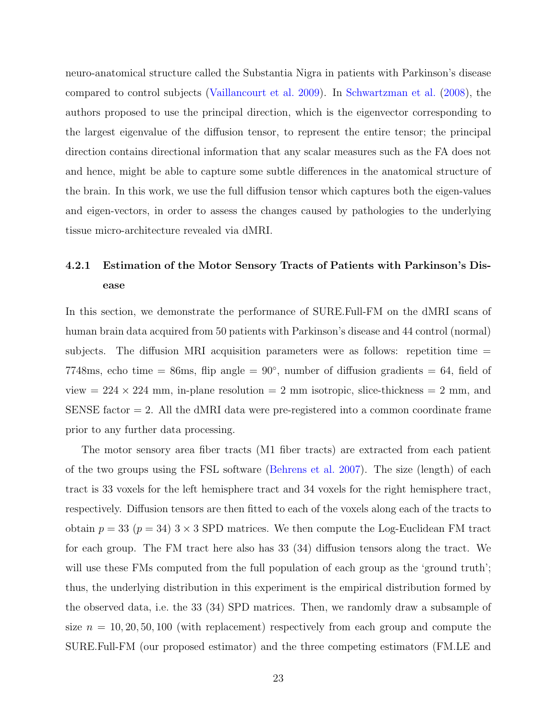neuro-anatomical structure called the Substantia Nigra in patients with Parkinson's disease compared to control subjects [\(Vaillancourt et al.](#page-53-9) [2009\)](#page-53-9). In [Schwartzman et al.](#page-52-9) [\(2008\)](#page-52-9), the authors proposed to use the principal direction, which is the eigenvector corresponding to the largest eigenvalue of the diffusion tensor, to represent the entire tensor; the principal direction contains directional information that any scalar measures such as the FA does not and hence, might be able to capture some subtle differences in the anatomical structure of the brain. In this work, we use the full diffusion tensor which captures both the eigen-values and eigen-vectors, in order to assess the changes caused by pathologies to the underlying tissue micro-architecture revealed via dMRI.

# <span id="page-22-0"></span>4.2.1 Estimation of the Motor Sensory Tracts of Patients with Parkinson's Disease

In this section, we demonstrate the performance of SURE.Full-FM on the dMRI scans of human brain data acquired from 50 patients with Parkinson's disease and 44 control (normal) subjects. The diffusion MRI acquisition parameters were as follows: repetition time = 7748ms, echo time = 86ms, flip angle =  $90^{\circ}$ , number of diffusion gradients = 64, field of view  $= 224 \times 224$  mm, in-plane resolution  $= 2$  mm isotropic, slice-thickness  $= 2$  mm, and SENSE factor  $= 2$ . All the dMRI data were pre-registered into a common coordinate frame prior to any further data processing.

The motor sensory area fiber tracts (M1 fiber tracts) are extracted from each patient of the two groups using the FSL software [\(Behrens et al.](#page-47-10) [2007\)](#page-47-10). The size (length) of each tract is 33 voxels for the left hemisphere tract and 34 voxels for the right hemisphere tract, respectively. Diffusion tensors are then fitted to each of the voxels along each of the tracts to obtain  $p = 33$  ( $p = 34$ )  $3 \times 3$  SPD matrices. We then compute the Log-Euclidean FM tract for each group. The FM tract here also has 33 (34) diffusion tensors along the tract. We will use these FMs computed from the full population of each group as the 'ground truth'; thus, the underlying distribution in this experiment is the empirical distribution formed by the observed data, i.e. the 33 (34) SPD matrices. Then, we randomly draw a subsample of size  $n = 10, 20, 50, 100$  (with replacement) respectively from each group and compute the SURE.Full-FM (our proposed estimator) and the three competing estimators (FM.LE and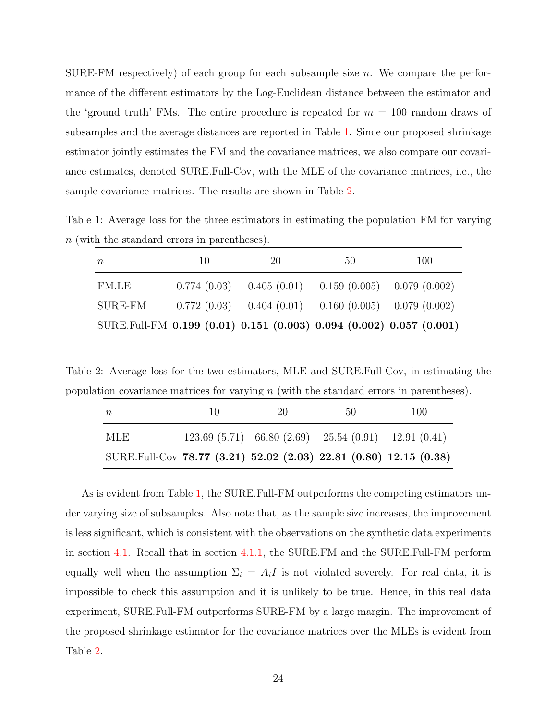SURE-FM respectively) of each group for each subsample size  $n$ . We compare the performance of the different estimators by the Log-Euclidean distance between the estimator and the 'ground truth' FMs. The entire procedure is repeated for  $m = 100$  random draws of subsamples and the average distances are reported in Table [1.](#page-23-0) Since our proposed shrinkage estimator jointly estimates the FM and the covariance matrices, we also compare our covariance estimates, denoted SURE.Full-Cov, with the MLE of the covariance matrices, i.e., the sample covariance matrices. The results are shown in Table [2.](#page-23-1)

<span id="page-23-0"></span>Table 1: Average loss for the three estimators in estimating the population FM for varying n (with the standard errors in parentheses).

| $\boldsymbol{n}$                                                    | 10          | 20 | 50                                                        | 100 |
|---------------------------------------------------------------------|-------------|----|-----------------------------------------------------------|-----|
| FM.LE                                                               | 0.774(0.03) |    | $0.405(0.01)$ $0.159(0.005)$ $0.079(0.002)$               |     |
| SURE-FM                                                             |             |    | $0.772(0.03)$ $0.404(0.01)$ $0.160(0.005)$ $0.079(0.002)$ |     |
| SURE.Full-FM 0.199 (0.01) 0.151 (0.003) 0.094 (0.002) 0.057 (0.001) |             |    |                                                           |     |

<span id="page-23-1"></span>Table 2: Average loss for the two estimators, MLE and SURE.Full-Cov, in estimating the population covariance matrices for varying  $n$  (with the standard errors in parentheses).

| $\overline{n}$                                                    | 10 | 20 | 50                                                          | 100 |
|-------------------------------------------------------------------|----|----|-------------------------------------------------------------|-----|
| MLE                                                               |    |    | $123.69(5.71)$ 66.80 $(2.69)$ 25.54 $(0.91)$ 12.91 $(0.41)$ |     |
| SURE.Full-Cov 78.77 (3.21) 52.02 (2.03) 22.81 (0.80) 12.15 (0.38) |    |    |                                                             |     |

As is evident from Table [1,](#page-23-0) the SURE.Full-FM outperforms the competing estimators under varying size of subsamples. Also note that, as the sample size increases, the improvement is less significant, which is consistent with the observations on the synthetic data experiments in section [4.1.](#page-16-1) Recall that in section [4.1.1,](#page-16-0) the SURE.FM and the SURE.Full-FM perform equally well when the assumption  $\Sigma_i = A_i I$  is not violated severely. For real data, it is impossible to check this assumption and it is unlikely to be true. Hence, in this real data experiment, SURE.Full-FM outperforms SURE-FM by a large margin. The improvement of the proposed shrinkage estimator for the covariance matrices over the MLEs is evident from Table [2.](#page-23-1)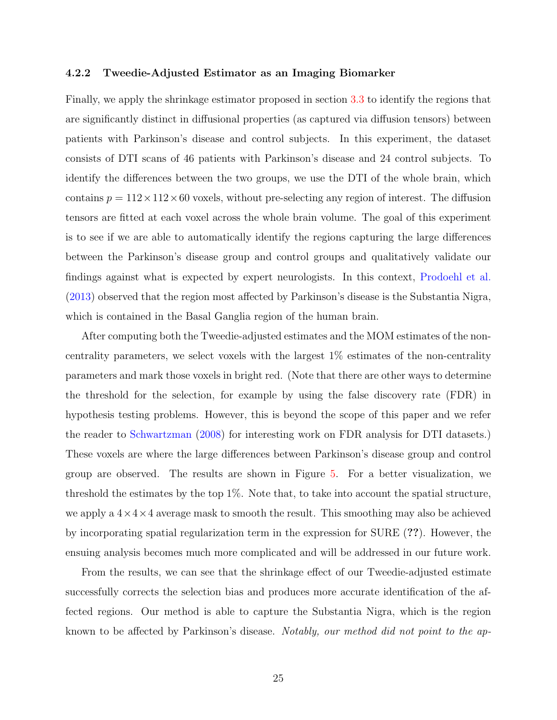#### <span id="page-24-0"></span>4.2.2 Tweedie-Adjusted Estimator as an Imaging Biomarker

Finally, we apply the shrinkage estimator proposed in section [3.3](#page-12-0) to identify the regions that are significantly distinct in diffusional properties (as captured via diffusion tensors) between patients with Parkinson's disease and control subjects. In this experiment, the dataset consists of DTI scans of 46 patients with Parkinson's disease and 24 control subjects. To identify the differences between the two groups, we use the DTI of the whole brain, which contains  $p = 112 \times 112 \times 60$  voxels, without pre-selecting any region of interest. The diffusion tensors are fitted at each voxel across the whole brain volume. The goal of this experiment is to see if we are able to automatically identify the regions capturing the large differences between the Parkinson's disease group and control groups and qualitatively validate our findings against what is expected by expert neurologists. In this context, [Prodoehl et al.](#page-51-8) [\(2013\)](#page-51-8) observed that the region most affected by Parkinson's disease is the Substantia Nigra, which is contained in the Basal Ganglia region of the human brain.

After computing both the Tweedie-adjusted estimates and the MOM estimates of the noncentrality parameters, we select voxels with the largest 1% estimates of the non-centrality parameters and mark those voxels in bright red. (Note that there are other ways to determine the threshold for the selection, for example by using the false discovery rate (FDR) in hypothesis testing problems. However, this is beyond the scope of this paper and we refer the reader to [Schwartzman](#page-52-10) [\(2008\)](#page-52-10) for interesting work on FDR analysis for DTI datasets.) These voxels are where the large differences between Parkinson's disease group and control group are observed. The results are shown in Figure [5.](#page-25-1) For a better visualization, we threshold the estimates by the top 1%. Note that, to take into account the spatial structure, we apply a  $4\times4\times4$  average mask to smooth the result. This smoothing may also be achieved by incorporating spatial regularization term in the expression for SURE (??). However, the ensuing analysis becomes much more complicated and will be addressed in our future work.

From the results, we can see that the shrinkage effect of our Tweedie-adjusted estimate successfully corrects the selection bias and produces more accurate identification of the affected regions. Our method is able to capture the Substantia Nigra, which is the region known to be affected by Parkinson's disease. Notably, our method did not point to the ap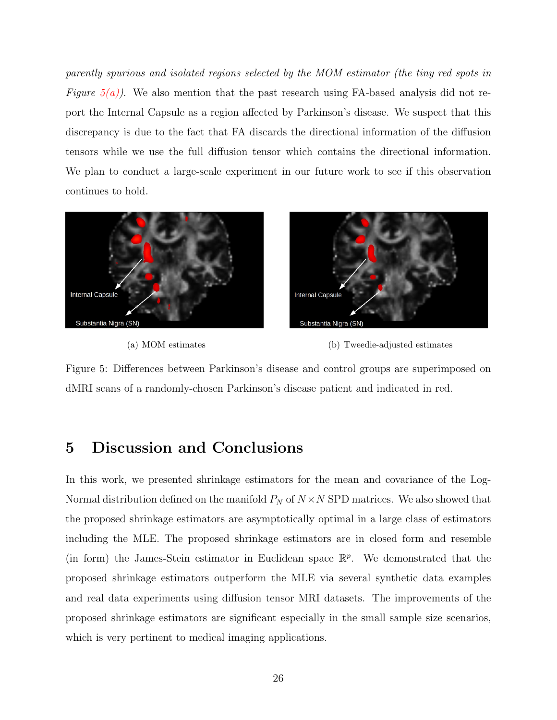parently spurious and isolated regions selected by the MOM estimator (the tiny red spots in Figure  $5(a)$ ). We also mention that the past research using FA-based analysis did not report the Internal Capsule as a region affected by Parkinson's disease. We suspect that this discrepancy is due to the fact that FA discards the directional information of the diffusion tensors while we use the full diffusion tensor which contains the directional information. We plan to conduct a large-scale experiment in our future work to see if this observation continues to hold.

<span id="page-25-2"></span>



<span id="page-25-1"></span>

Figure 5: Differences between Parkinson's disease and control groups are superimposed on dMRI scans of a randomly-chosen Parkinson's disease patient and indicated in red.

# <span id="page-25-0"></span>5 Discussion and Conclusions

In this work, we presented shrinkage estimators for the mean and covariance of the Log-Normal distribution defined on the manifold  $P_N$  of  $N \times N$  SPD matrices. We also showed that the proposed shrinkage estimators are asymptotically optimal in a large class of estimators including the MLE. The proposed shrinkage estimators are in closed form and resemble (in form) the James-Stein estimator in Euclidean space  $\mathbb{R}^p$ . We demonstrated that the proposed shrinkage estimators outperform the MLE via several synthetic data examples and real data experiments using diffusion tensor MRI datasets. The improvements of the proposed shrinkage estimators are significant especially in the small sample size scenarios, which is very pertinent to medical imaging applications.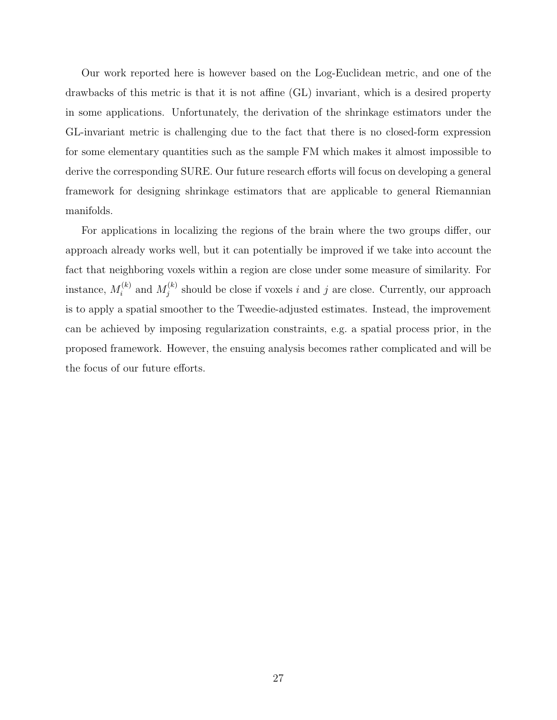Our work reported here is however based on the Log-Euclidean metric, and one of the drawbacks of this metric is that it is not affine (GL) invariant, which is a desired property in some applications. Unfortunately, the derivation of the shrinkage estimators under the GL-invariant metric is challenging due to the fact that there is no closed-form expression for some elementary quantities such as the sample FM which makes it almost impossible to derive the corresponding SURE. Our future research efforts will focus on developing a general framework for designing shrinkage estimators that are applicable to general Riemannian manifolds.

For applications in localizing the regions of the brain where the two groups differ, our approach already works well, but it can potentially be improved if we take into account the fact that neighboring voxels within a region are close under some measure of similarity. For instance,  $M_i^{(k)}$  $a_i^{(k)}$  and  $M_j^{(k)}$  $j_j^{(k)}$  should be close if voxels i and j are close. Currently, our approach is to apply a spatial smoother to the Tweedie-adjusted estimates. Instead, the improvement can be achieved by imposing regularization constraints, e.g. a spatial process prior, in the proposed framework. However, the ensuing analysis becomes rather complicated and will be the focus of our future efforts.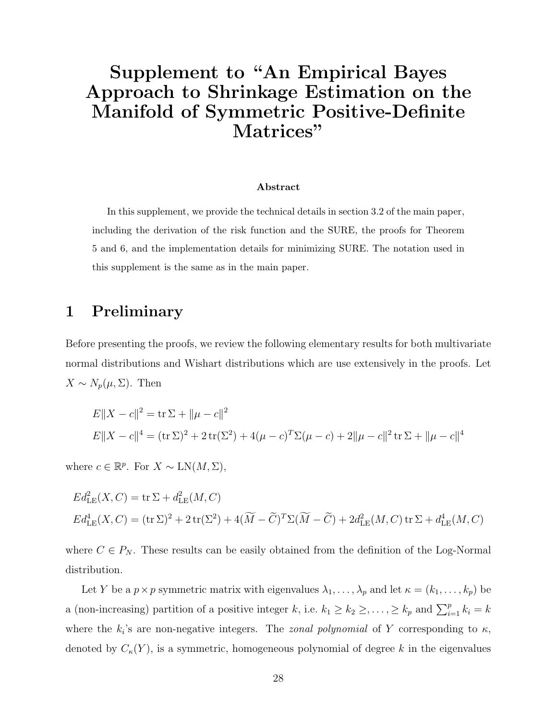# Supplement to "An Empirical Bayes Approach to Shrinkage Estimation on the Manifold of Symmetric Positive-Definite Matrices"

#### Abstract

In this supplement, we provide the technical details in section 3.2 of the main paper, including the derivation of the risk function and the SURE, the proofs for Theorem 5 and 6, and the implementation details for minimizing SURE. The notation used in this supplement is the same as in the main paper.

## 1 Preliminary

Before presenting the proofs, we review the following elementary results for both multivariate normal distributions and Wishart distributions which are use extensively in the proofs. Let  $X \sim N_p(\mu, \Sigma)$ . Then

$$
E||X - c||2 = \text{tr} \Sigma + ||\mu - c||2
$$
  

$$
E||X - c||4 = (\text{tr} \Sigma)^{2} + 2 \text{tr}(\Sigma^{2}) + 4(\mu - c)^{T} \Sigma(\mu - c) + 2||\mu - c||^{2} \text{tr} \Sigma + ||\mu - c||^{4}
$$

where  $c \in \mathbb{R}^p$ . For  $X \sim \text{LN}(M, \Sigma)$ ,

$$
Ed_{LE}^2(X, C) = \text{tr }\Sigma + d_{LE}^2(M, C)
$$
  

$$
Ed_{LE}^4(X, C) = (\text{tr }\Sigma)^2 + 2 \text{tr}(\Sigma^2) + 4(\widetilde{M} - \widetilde{C})^T \Sigma(\widetilde{M} - \widetilde{C}) + 2d_{LE}^2(M, C) \text{tr }\Sigma + d_{LE}^4(M, C)
$$

where  $C \in P_N$ . These results can be easily obtained from the definition of the Log-Normal distribution.

Let Y be a  $p \times p$  symmetric matrix with eigenvalues  $\lambda_1, \ldots, \lambda_p$  and let  $\kappa = (k_1, \ldots, k_p)$  be a (non-increasing) partition of a positive integer k, i.e.  $k_1 \geq k_2 \geq \ldots \geq k_p$  and  $\sum_{i=1}^{p} k_i = k$ where the  $k_i$ 's are non-negative integers. The *zonal polynomial* of Y corresponding to  $\kappa$ , denoted by  $C_{\kappa}(Y)$ , is a symmetric, homogeneous polynomial of degree k in the eigenvalues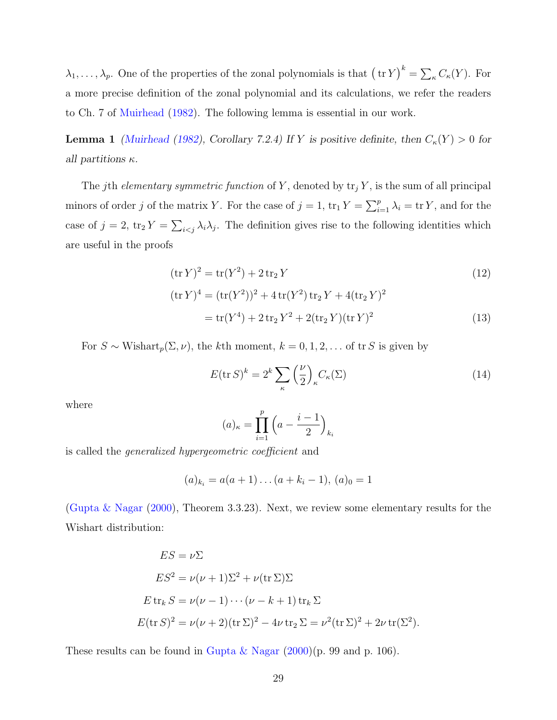$\lambda_1, \ldots, \lambda_p$ . One of the properties of the zonal polynomials is that  $(\text{tr } Y)^k = \sum_{\kappa} C_{\kappa}(Y)$ . For a more precise definition of the zonal polynomial and its calculations, we refer the readers to Ch. 7 of [Muirhead](#page-51-9) [\(1982\)](#page-51-9). The following lemma is essential in our work.

<span id="page-28-2"></span>**Lemma 1** [\(Muirhead](#page-51-9) [\(1982\)](#page-51-9), Corollary 7.2.4) If Y is positive definite, then  $C_{\kappa}(Y) > 0$  for all partitions  $\kappa$ .

The jth elementary symmetric function of Y, denoted by  $\text{tr}_j Y$ , is the sum of all principal minors of order j of the matrix Y. For the case of  $j = 1$ ,  $\text{tr}_1 Y = \sum_{i=1}^p \lambda_i = \text{tr } Y$ , and for the case of  $j = 2$ ,  $\text{tr}_2 Y = \sum_{i \leq j} \lambda_i \lambda_j$ . The definition gives rise to the following identities which are useful in the proofs

$$
(\text{tr}\,Y)^2 = \text{tr}(Y^2) + 2\,\text{tr}_2\,Y
$$
  
\n
$$
(\text{tr}\,Y)^4 = (\text{tr}(Y^2))^2 + 4\,\text{tr}(Y^2)\,\text{tr}_2\,Y + 4(\text{tr}_2\,Y)^2
$$
\n(12)

$$
= tr(Y^4) + 2 tr_2 Y^2 + 2(tr_2 Y)(tr Y)^2
$$
\n(13)

For  $S \sim \text{Wishart}_p(\Sigma, \nu)$ , the kth moment,  $k = 0, 1, 2, \ldots$  of tr S is given by

<span id="page-28-1"></span><span id="page-28-0"></span>
$$
E(\text{tr } S)^k = 2^k \sum_{\kappa} \left(\frac{\nu}{2}\right)_{\kappa} C_{\kappa}(\Sigma)
$$
 (14)

where

$$
(a)_{\kappa} = \prod_{i=1}^{p} \left( a - \frac{i-1}{2} \right)_{k_i}
$$

is called the generalized hypergeometric coefficient and

$$
(a)_{k_i} = a(a+1)\dots(a+k_i-1), (a)_0 = 1
$$

[\(Gupta & Nagar](#page-49-11) [\(2000\)](#page-49-11), Theorem 3.3.23). Next, we review some elementary results for the Wishart distribution:

$$
ES = \nu \Sigma
$$
  
\n
$$
ES^2 = \nu(\nu + 1)\Sigma^2 + \nu(\text{tr }\Sigma)\Sigma
$$
  
\n
$$
E \text{ tr}_k S = \nu(\nu - 1) \cdots (\nu - k + 1) \text{ tr}_k \Sigma
$$
  
\n
$$
E(\text{tr } S)^2 = \nu(\nu + 2)(\text{tr } \Sigma)^2 - 4\nu \text{ tr}_2 \Sigma = \nu^2(\text{tr } \Sigma)^2 + 2\nu \text{ tr}(\Sigma^2).
$$

These results can be found in [Gupta & Nagar](#page-49-11)  $(2000)(p. 99$  $(2000)(p. 99$  and p. 106).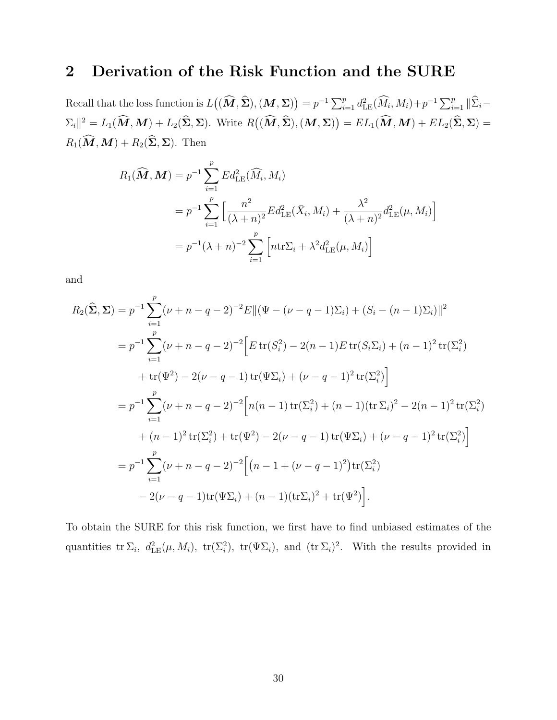# 2 Derivation of the Risk Function and the SURE

Recall that the loss function is  $L((\widehat{M}, \widehat{\Sigma}), (M, \Sigma)) = p^{-1} \sum_{i=1}^p d_{\text{LE}}^2(\widehat{M}_i, M_i) + p^{-1} \sum_{i=1}^p ||\widehat{\Sigma}_i \Sigma_i||^2 = L_1(\widehat{M}, M) + L_2(\widehat{\Sigma}, \Sigma)$ . Write  $R((\widehat{M}, \widehat{\Sigma}), (M, \Sigma)) = EL_1(\widehat{M}, M) + EL_2(\widehat{\Sigma}, \Sigma) =$  $R_1(\widehat{\boldsymbol{M}},\boldsymbol{M}) + R_2(\widehat{\boldsymbol{\Sigma}},\boldsymbol{\Sigma})$ . Then

$$
R_1(\widehat{M}, M) = p^{-1} \sum_{i=1}^p E d_{\text{LE}}^2(\widehat{M}_i, M_i)
$$
  
=  $p^{-1} \sum_{i=1}^p \left[ \frac{n^2}{(\lambda + n)^2} E d_{\text{LE}}^2(\bar{X}_i, M_i) + \frac{\lambda^2}{(\lambda + n)^2} d_{\text{LE}}^2(\mu, M_i) \right]$   
=  $p^{-1}(\lambda + n)^{-2} \sum_{i=1}^p \left[ n \text{tr} \Sigma_i + \lambda^2 d_{\text{LE}}^2(\mu, M_i) \right]$ 

and

$$
R_2(\hat{\Sigma}, \Sigma) = p^{-1} \sum_{i=1}^p (\nu + n - q - 2)^{-2} E ||(\Psi - (\nu - q - 1)\Sigma_i) + (S_i - (n - 1)\Sigma_i) ||^2
$$
  
\n
$$
= p^{-1} \sum_{i=1}^p (\nu + n - q - 2)^{-2} \Big[ E \operatorname{tr}(S_i^2) - 2(n - 1) E \operatorname{tr}(S_i \Sigma_i) + (n - 1)^2 \operatorname{tr}(\Sigma_i^2) + \operatorname{tr}(\Psi^2) - 2(\nu - q - 1) \operatorname{tr}(\Psi \Sigma_i) + (\nu - q - 1)^2 \operatorname{tr}(\Sigma_i^2) \Big]
$$
  
\n
$$
= p^{-1} \sum_{i=1}^p (\nu + n - q - 2)^{-2} \Big[ n(n - 1) \operatorname{tr}(\Sigma_i^2) + (n - 1) (\operatorname{tr} \Sigma_i)^2 - 2(n - 1)^2 \operatorname{tr}(\Sigma_i^2) + (n - 1)^2 \operatorname{tr}(\Sigma_i^2) + \operatorname{tr}(\Sigma_i^2) + \operatorname{tr}(\Sigma_i^2) + \operatorname{tr}(\Psi^2) - 2(\nu - q - 1) \operatorname{tr}(\Psi \Sigma_i) + (\nu - q - 1)^2 \operatorname{tr}(\Sigma_i^2) \Big]
$$
  
\n
$$
= p^{-1} \sum_{i=1}^p (\nu + n - q - 2)^{-2} \Big[ (n - 1 + (\nu - q - 1)^2) \operatorname{tr}(\Sigma_i^2) - 2(\nu - q - 1) \operatorname{tr}(\Psi \Sigma_i) + (n - 1)(\operatorname{tr} \Sigma_i)^2 + \operatorname{tr}(\Psi^2) \Big].
$$

To obtain the SURE for this risk function, we first have to find unbiased estimates of the quantities  $\mathrm{tr}\Sigma_i$ ,  $d_{\text{LE}}^2(\mu, M_i)$ ,  $\mathrm{tr}(\Sigma_i^2)$ ,  $\mathrm{tr}(\Psi\Sigma_i)$ , and  $(\mathrm{tr}\Sigma_i)^2$ . With the results provided in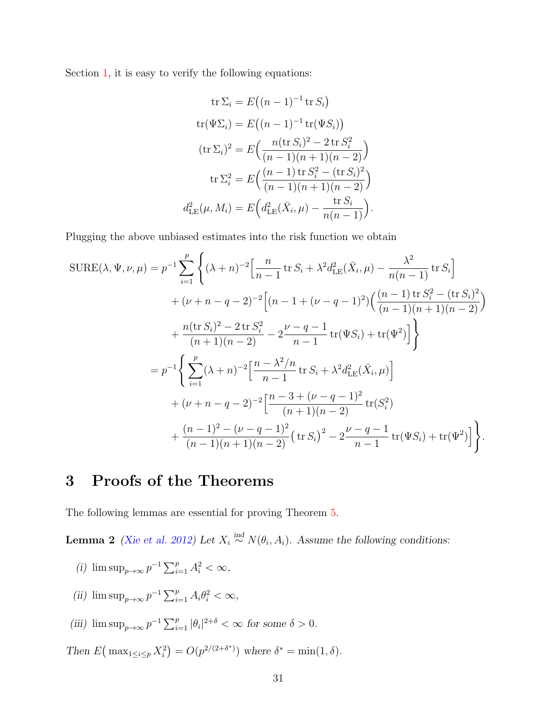Section [1,](#page-1-0) it is easy to verify the following equations:

tr 
$$
\Sigma_i = E((n-1)^{-1} \text{tr } S_i)
$$
  
\ntr $(\Psi \Sigma_i) = E((n-1)^{-1} \text{tr}(\Psi S_i))$   
\n $(\text{tr } \Sigma_i)^2 = E\left(\frac{n(\text{tr } S_i)^2 - 2 \text{tr } S_i^2}{(n-1)(n+1)(n-2)}\right)$   
\ntr  $\Sigma_i^2 = E\left(\frac{(n-1) \text{tr } S_i^2 - (\text{tr } S_i)^2}{(n-1)(n+1)(n-2)}\right)$   
\n $d_{\text{LE}}^2(\mu, M_i) = E\left(d_{\text{LE}}^2(\bar{X}_i, \mu) - \frac{\text{tr } S_i}{n(n-1)}\right).$ 

Plugging the above unbiased estimates into the risk function we obtain

$$
SUBE(\lambda, \Psi, \nu, \mu) = p^{-1} \sum_{i=1}^{p} \left\{ (\lambda + n)^{-2} \Big[ \frac{n}{n-1} \operatorname{tr} S_i + \lambda^2 d_{\text{LE}}^2(\bar{X}_i, \mu) - \frac{\lambda^2}{n(n-1)} \operatorname{tr} S_i \Big] \right. \\
\left. + (\nu + n - q - 2)^{-2} \Big[ (n - 1 + (\nu - q - 1)^2) \Big( \frac{(n-1) \operatorname{tr} S_i^2 - (\operatorname{tr} S_i)^2}{(n-1)(n+1)(n-2)} \Big) \right. \\
\left. + \frac{n(\operatorname{tr} S_i)^2 - 2 \operatorname{tr} S_i^2}{(n+1)(n-2)} - 2 \frac{\nu - q - 1}{n-1} \operatorname{tr}(\Psi S_i) + \operatorname{tr}(\Psi^2) \Big] \right\}
$$
\n
$$
= p^{-1} \Bigg\{ \sum_{i=1}^{p} (\lambda + n)^{-2} \Big[ \frac{n - \lambda^2/n}{n-1} \operatorname{tr} S_i + \lambda^2 d_{\text{LE}}^2(\bar{X}_i, \mu) \Big] \\
+ (\nu + n - q - 2)^{-2} \Big[ \frac{n - 3 + (\nu - q - 1)^2}{(n+1)(n-2)} \operatorname{tr} (S_i^2) \\
+ \frac{(n-1)^2 - (\nu - q - 1)^2}{(n-1)(n+1)(n-2)} (\operatorname{tr} S_i)^2 - 2 \frac{\nu - q - 1}{n-1} \operatorname{tr}(\Psi S_i) + \operatorname{tr}(\Psi^2) \Big] \Bigg\}.
$$

## 3 Proofs of the Theorems

The following lemmas are essential for proving Theorem [5.](#page-32-0)

<span id="page-30-0"></span>**Lemma 2** [\(Xie et al.](#page-53-3) [2012\)](#page-53-3) Let  $X_i \stackrel{\text{ind}}{\sim} N(\theta_i, A_i)$ . Assume the following conditions:

- (i)  $\limsup_{p\to\infty} p^{-1} \sum_{i=1}^p A_i^2 < \infty$ ,
- (ii)  $\limsup_{p\to\infty} p^{-1} \sum_{i=1}^p A_i \theta_i^2 < \infty$ ,
- (iii)  $\limsup_{p\to\infty} p^{-1} \sum_{i=1}^p |\theta_i|^{2+\delta} < \infty$  for some  $\delta > 0$ .

Then  $E\left(\max_{1\leq i\leq p} X_i^2\right) = O(p^{2/(2+\delta^*)})$  where  $\delta^* = \min(1, \delta)$ .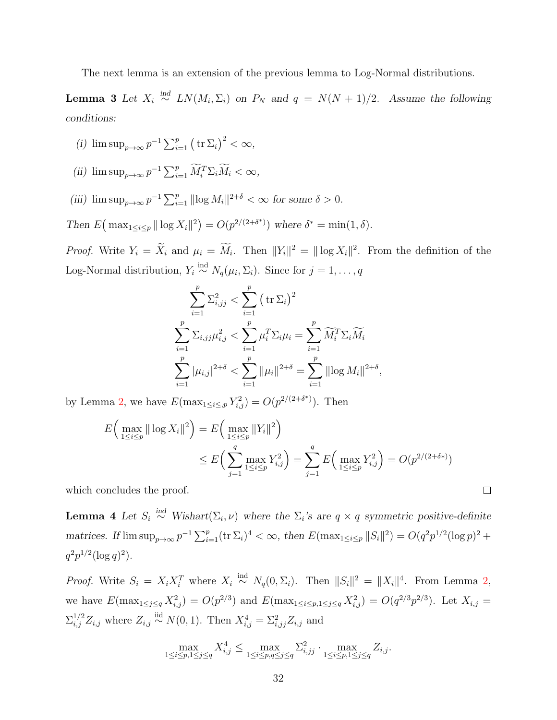The next lemma is an extension of the previous lemma to Log-Normal distributions.

<span id="page-31-0"></span>**Lemma 3** Let  $X_i \stackrel{ind}{\sim} LN(M_i, \Sigma_i)$  on  $P_N$  and  $q = N(N + 1)/2$ . Assume the following conditions:

- (i)  $\limsup_{p\to\infty} p^{-1} \sum_{i=1}^p (\text{tr } \Sigma_i)^2 < \infty$ ,
- (ii)  $\limsup_{p\to\infty} p^{-1} \sum_{i=1}^p \widetilde{M}_i^T \Sigma_i \widetilde{M}_i < \infty$ ,
- (iii)  $\limsup_{p\to\infty} p^{-1} \sum_{i=1}^p ||\log M_i||^{2+\delta} < \infty$  for some  $\delta > 0$ .

Then  $E(\max_{1 \leq i \leq p} || \log X_i ||^2) = O(p^{2/(2+\delta^*)})$  where  $\delta^* = \min(1, \delta)$ .

*Proof.* Write  $Y_i = \tilde{X}_i$  and  $\mu_i = \tilde{M}_i$ . Then  $||Y_i||^2 = ||\log X_i||^2$ . From the definition of the Log-Normal distribution,  $Y_i \stackrel{\text{ind}}{\sim} N_q(\mu_i, \Sigma_i)$ . Since for  $j = 1, \ldots, q$ 

$$
\sum_{i=1}^{p} \sum_{i,j}^{2} < \sum_{i=1}^{p} (\text{tr } \Sigma_{i})^{2}
$$
\n
$$
\sum_{i=1}^{p} \sum_{i,j} \mu_{i,j}^{2} < \sum_{i=1}^{p} \mu_{i}^{T} \Sigma_{i} \mu_{i} = \sum_{i=1}^{p} \widetilde{M}_{i}^{T} \Sigma_{i} \widetilde{M}_{i}
$$
\n
$$
\sum_{i=1}^{p} |\mu_{i,j}|^{2+\delta} < \sum_{i=1}^{p} ||\mu_{i}||^{2+\delta} = \sum_{i=1}^{p} ||\log M_{i}||^{2+\delta}
$$

by Lemma [2,](#page-30-0) we have  $E(\max_{1 \leq i \leq p} Y_{i,j}^2) = O(p^{2/(2+\delta^*)})$ . Then

$$
E\left(\max_{1 \le i \le p} \|\log X_i\|^2\right) = E\left(\max_{1 \le i \le p} \|Y_i\|^2\right)
$$
  

$$
\le E\left(\sum_{j=1}^q \max_{1 \le i \le p} Y_{i,j}^2\right) = \sum_{j=1}^q E\left(\max_{1 \le i \le p} Y_{i,j}^2\right) = O(p^{2/(2+\delta*)})
$$

,

 $\Box$ 

which concludes the proof.

<span id="page-31-1"></span>**Lemma 4** Let  $S_i \stackrel{ind}{\sim} Wishart(\Sigma_i, \nu)$  where the  $\Sigma_i$ 's are  $q \times q$  symmetric positive-definite matrices. If  $\limsup_{p\to\infty} p^{-1} \sum_{i=1}^p (\text{tr } \Sigma_i)^4 < \infty$ , then  $E(\max_{1 \le i \le p} ||S_i||^2) = O(q^2 p^{1/2} (\log p)^2 +$  $q^2p^{1/2}(\log q)^2$ .

*Proof.* Write  $S_i = X_i X_i^T$  where  $X_i \stackrel{\text{ind}}{\sim} N_q(0, \Sigma_i)$ . Then  $||S_i||^2 = ||X_i||^4$ . From Lemma [2,](#page-30-0) we have  $E(\max_{1 \leq j \leq q} X_{i,j}^2) = O(p^{2/3})$  and  $E(\max_{1 \leq i \leq p, 1 \leq j \leq q} X_{i,j}^2) = O(q^{2/3}p^{2/3})$ . Let  $X_{i,j} =$  $\Sigma_{i,j}^{1/2} Z_{i,j}$  where  $Z_{i,j} \stackrel{\text{iid}}{\sim} N(0, 1)$ . Then  $X_{i,j}^4 = \Sigma_{i,jj}^2 Z_{i,j}$  and

$$
\max_{1 \le i \le p, 1 \le j \le q} X_{i,j}^4 \le \max_{1 \le i \le p,q \le j \le q} \sum_{i,jj}^2 \cdot \max_{1 \le i \le p, 1 \le j \le q} Z_{i,j}.
$$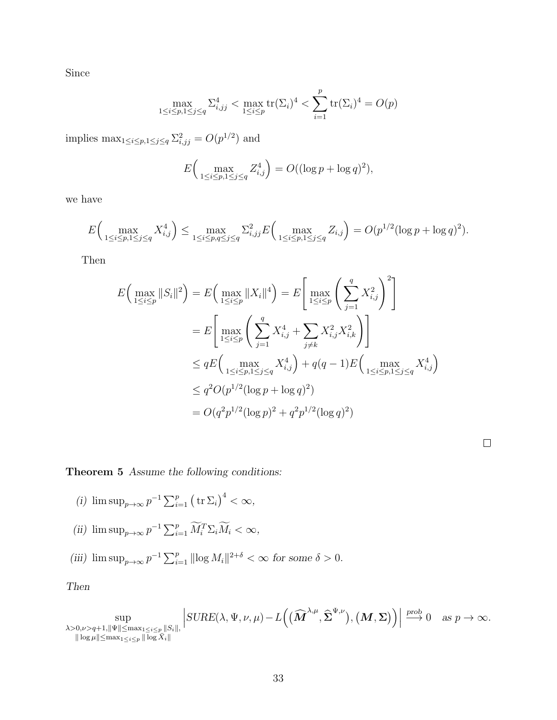Since

$$
\max_{1 \le i \le p, 1 \le j \le q} \sum_{i,j}^{4} < \max_{1 \le i \le p} \text{tr}(\Sigma_i)^4 < \sum_{i=1}^{p} \text{tr}(\Sigma_i)^4 = O(p)
$$

implies  $\max_{1 \leq i \leq p, 1 \leq j \leq q} \sum_{i,j}^{2} = O(p^{1/2})$  and

$$
E\Big(\max_{1 \le i \le p, 1 \le j \le q} Z_{i,j}^4\Big) = O((\log p + \log q)^2),
$$

we have

$$
E\Big(\max_{1 \le i \le p, 1 \le j \le q} X_{i,j}^4\Big) \le \max_{1 \le i \le p,q \le j \le q} \sum_{i,j}^2 E\Big(\max_{1 \le i \le p, 1 \le j \le q} Z_{i,j}\Big) = O(p^{1/2} (\log p + \log q)^2).
$$

Then

$$
E\Big(\max_{1 \le i \le p} ||S_i||^2\Big) = E\Big(\max_{1 \le i \le p} ||X_i||^4\Big) = E\Big[\max_{1 \le i \le p} \Bigg(\sum_{j=1}^q X_{i,j}^2\Bigg)^2\Big]
$$
  
= 
$$
E\Big[\max_{1 \le i \le p} \Bigg(\sum_{j=1}^q X_{i,j}^4 + \sum_{j \ne k} X_{i,j}^2 X_{i,k}^2\Bigg)\Bigg]
$$
  
\$\le qE\Big(\max\_{1 \le i \le p, 1 \le j \le q} X\_{i,j}^4\Big) + q(q-1)E\Big(\max\_{1 \le i \le p, 1 \le j \le q} X\_{i,j}^4\Big)\$  
\$\le q^2O(p^{1/2}(\log p + \log q)^2)\$  
\$= O(q^2p^{1/2}(\log p)^2 + q^2p^{1/2}(\log q)^2)\$

## <span id="page-32-0"></span>Theorem 5 Assume the following conditions:

- (i)  $\limsup_{p\to\infty} p^{-1} \sum_{i=1}^p (\operatorname{tr} \Sigma_i)^4 < \infty$ ,
- (ii)  $\limsup_{p\to\infty} p^{-1} \sum_{i=1}^p \widetilde{M}_i^T \Sigma_i \widetilde{M}_i < \infty$ ,
- (iii)  $\limsup_{p\to\infty} p^{-1} \sum_{i=1}^p ||\log M_i||^{2+\delta} < \infty$  for some  $\delta > 0$ .

### Then

sup  $\lambda > 0, \nu > q+1, \|\Psi\| \leq \max_{1 \leq i \leq p} \|S_i\|,$  $\|\log \mu\| \leq \max_{1 \leq i \leq p} \|\overline{\log X}_i\|$   $\textit{SUBE}(\lambda, \Psi, \nu, \mu) - L\Big( \big( \widehat{\boldsymbol{M}}^{\lambda, \mu}, \widehat{\boldsymbol{\Sigma}}^{\Psi, \nu} \big), \big( \boldsymbol{M}, \boldsymbol{\Sigma} \big) \Big) \Big|$  $\stackrel{\text{prob}}{\longrightarrow} 0 \text{ as } p \to \infty.$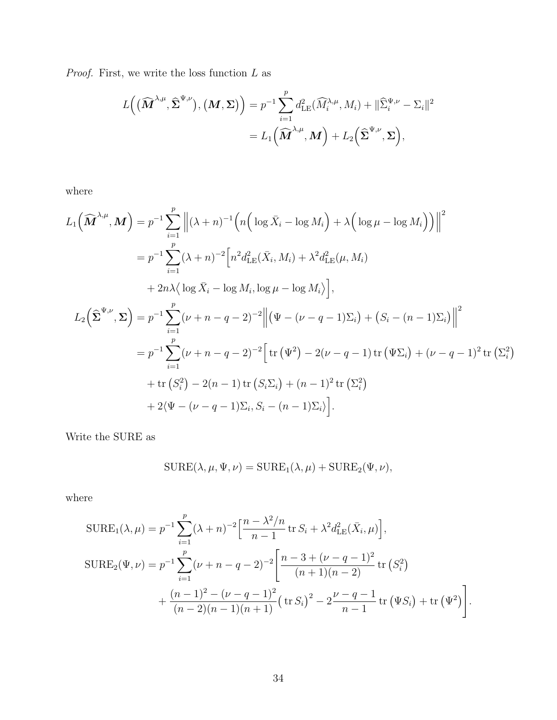${\it Proof.}$  First, we write the loss function  $L$  as

$$
L((\widehat{\boldsymbol{M}}^{\lambda,\mu},\widehat{\boldsymbol{\Sigma}}^{\Psi,\nu}),(\boldsymbol{M},\boldsymbol{\Sigma}))=p^{-1}\sum_{i=1}^{p}d_{\text{LE}}^{2}(\widehat{M}_{i}^{\lambda,\mu},M_{i})+\|\widehat{\Sigma}_{i}^{\Psi,\nu}-\Sigma_{i}\|^{2}
$$

$$
=L_{1}(\widehat{\boldsymbol{M}}^{\lambda,\mu},\boldsymbol{M})+L_{2}(\widehat{\boldsymbol{\Sigma}}^{\Psi,\nu},\boldsymbol{\Sigma}),
$$

where

$$
L_{1}(\widehat{M}^{\lambda,\mu},M) = p^{-1} \sum_{i=1}^{p} \left\| (\lambda+n)^{-1} \left( n \left( \log \bar{X}_{i} - \log M_{i} \right) + \lambda \left( \log \mu - \log M_{i} \right) \right) \right\|^{2}
$$
  
\n
$$
= p^{-1} \sum_{i=1}^{p} (\lambda+n)^{-2} \left[ n^{2} d_{\text{LE}}^{2}(\bar{X}_{i}, M_{i}) + \lambda^{2} d_{\text{LE}}^{2}(\mu, M_{i}) + 2n \lambda \left( \log \bar{X}_{i} - \log M_{i} \right) \right]
$$
  
\n
$$
+ 2n \lambda \left( \log \bar{X}_{i} - \log M_{i}, \log \mu - \log M_{i} \right),
$$
  
\n
$$
L_{2}(\widehat{\Sigma}^{\Psi,\nu},\Sigma) = p^{-1} \sum_{i=1}^{p} (\nu+n-q-2)^{-2} \left\| (\Psi-(\nu-q-1)\Sigma_{i}) + (S_{i}-(n-1)\Sigma_{i}) \right\|^{2}
$$
  
\n
$$
= p^{-1} \sum_{i=1}^{p} (\nu+n-q-2)^{-2} \left[ \text{tr}(\Psi^{2}) - 2(\nu-q-1) \text{tr}(\Psi \Sigma_{i}) + (\nu-q-1)^{2} \text{tr}(\Sigma_{i}^{2}) + \text{tr}(S_{i}^{2}) - 2(n-1) \text{tr}(S_{i}\Sigma_{i}) + (n-1)^{2} \text{tr}(\Sigma_{i}^{2}) + 2(\Psi-(\nu-q-1)\Sigma_{i}, S_{i}-(n-1)\Sigma_{i}) \right].
$$

Write the SURE as

$$
SURE(\lambda, \mu, \Psi, \nu) = SURE_1(\lambda, \mu) + SURE_2(\Psi, \nu),
$$

where

$$
\text{SURE}_{1}(\lambda, \mu) = p^{-1} \sum_{i=1}^{p} (\lambda + n)^{-2} \Big[ \frac{n - \lambda^{2}/n}{n - 1} \operatorname{tr} S_{i} + \lambda^{2} d_{\text{LE}}^{2}(\bar{X}_{i}, \mu) \Big],
$$
  
\n
$$
\text{SURE}_{2}(\Psi, \nu) = p^{-1} \sum_{i=1}^{p} (\nu + n - q - 2)^{-2} \Big[ \frac{n - 3 + (\nu - q - 1)^{2}}{(n + 1)(n - 2)} \operatorname{tr} (S_{i}^{2}) + \frac{(n - 1)^{2} - (\nu - q - 1)^{2}}{(n - 2)(n - 1)(n + 1)} \Big( \operatorname{tr} S_{i} \Big)^{2} - 2 \frac{\nu - q - 1}{n - 1} \operatorname{tr} (\Psi S_{i}) + \operatorname{tr} (\Psi^{2}) \Big].
$$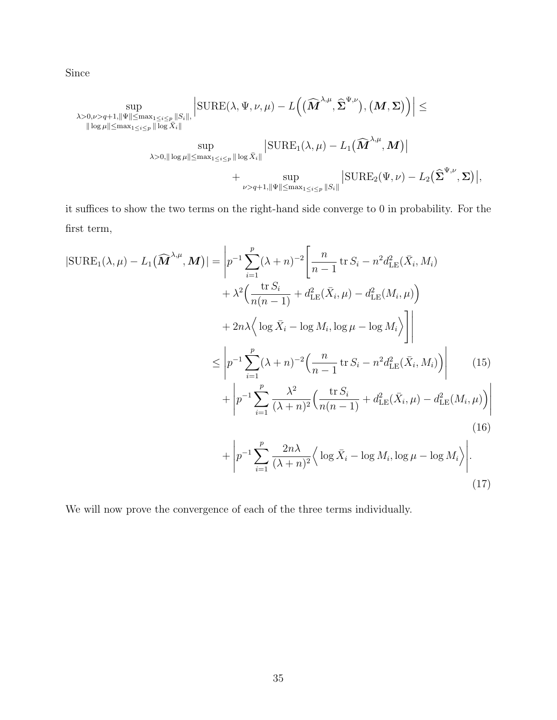Since

$$
\sup_{\substack{\lambda>0,\nu>q+1,\|\Psi\|\leq \max_{1\leq i\leq p}||S_i||,\\ ||\log\mu||\leq \max_{1\leq i\leq p}||\log\bar{X}_i||}}\left|\text{SURE}(\lambda,\Psi,\nu,\mu)-L\Big((\widehat{M}^{\lambda,\mu},\widehat{\Sigma}^{\Psi,\nu}),(\boldsymbol{M},\boldsymbol{\Sigma})\Big)\right|\leq\\ \sup_{\lambda>0,\||\log\mu\|\leq \max_{1\leq i\leq p}||\log\bar{X}_i||}\left|\text{SURE}_1(\lambda,\mu)-L_1(\widehat{\boldsymbol{M}}^{\lambda,\mu},\boldsymbol{M})\right|\\+\sup_{\nu>q+1,\|\Psi\|\leq \max_{1\leq i\leq p}||S_i||}\left|\text{SURE}_2(\Psi,\nu)-L_2(\widehat{\boldsymbol{\Sigma}}^{\Psi,\nu},\boldsymbol{\Sigma})\right|,
$$

it suffices to show the two terms on the right-hand side converge to 0 in probability. For the first term,

<span id="page-34-0"></span>
$$
|\text{SURE}_{1}(\lambda,\mu) - L_{1}(\widehat{\mathbf{M}}^{\lambda,\mu},\mathbf{M})| = \left| p^{-1} \sum_{i=1}^{p} (\lambda + n)^{-2} \left[ \frac{n}{n-1} \operatorname{tr} S_{i} - n^{2} d_{\text{LE}}^{2}(\bar{X}_{i}, M_{i}) + \lambda^{2} \left( \frac{\operatorname{tr} S_{i}}{n(n-1)} + d_{\text{LE}}^{2}(\bar{X}_{i}, \mu) - d_{\text{LE}}^{2}(M_{i}, \mu) \right) + 2n\lambda \left( \log \bar{X}_{i} - \log M_{i}, \log \mu - \log M_{i} \right) \right|
$$
  

$$
\leq \left| p^{-1} \sum_{i=1}^{p} (\lambda + n)^{-2} \left( \frac{n}{n-1} \operatorname{tr} S_{i} - n^{2} d_{\text{LE}}^{2}(\bar{X}_{i}, M_{i}) \right) \right| \qquad (15)
$$

$$
+ \left| p^{-1} \sum_{i=1}^{p} \frac{\lambda^{2}}{(\lambda + n)^{2}} \left( \frac{\operatorname{tr} S_{i}}{n(n-1)} + d_{\text{LE}}^{2}(\bar{X}_{i}, \mu) - d_{\text{LE}}^{2}(M_{i}, \mu) \right) \right| \qquad (16)
$$

$$
+ \left| p^{-1} \sum_{i=1}^{p} \frac{2n\lambda}{(\lambda + n)^{2}} \left( \log \bar{X}_{i} - \log M_{i}, \log \mu - \log M_{i} \right) \right| \qquad (16)
$$

<span id="page-34-2"></span><span id="page-34-1"></span>We will now prove the convergence of each of the three terms individually.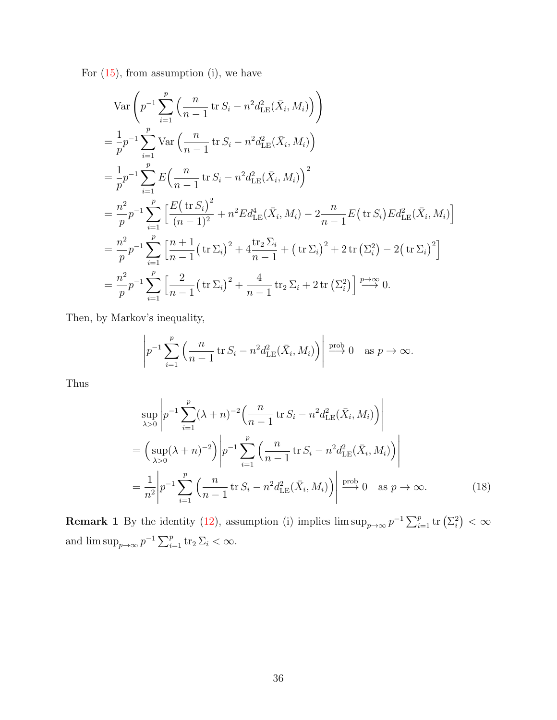For  $(15)$ , from assumption  $(i)$ , we have

$$
\operatorname{Var}\left(p^{-1}\sum_{i=1}^{p}\left(\frac{n}{n-1}\operatorname{tr}S_{i}-n^{2}d_{\text{LE}}^{2}(\bar{X}_{i},M_{i})\right)\right)
$$
\n
$$
=\frac{1}{p}p^{-1}\sum_{i=1}^{p}\operatorname{Var}\left(\frac{n}{n-1}\operatorname{tr}S_{i}-n^{2}d_{\text{LE}}^{2}(\bar{X}_{i},M_{i})\right)
$$
\n
$$
=\frac{1}{p}p^{-1}\sum_{i=1}^{p}E\left(\frac{n}{n-1}\operatorname{tr}S_{i}-n^{2}d_{\text{LE}}^{2}(\bar{X}_{i},M_{i})\right)^{2}
$$
\n
$$
=\frac{n^{2}}{p}p^{-1}\sum_{i=1}^{p}\left[\frac{E(\operatorname{tr}S_{i})^{2}}{(n-1)^{2}}+n^{2}Ed_{\text{LE}}^{4}(\bar{X}_{i},M_{i})-2\frac{n}{n-1}E(\operatorname{tr}S_{i})Ed_{\text{LE}}^{2}(\bar{X}_{i},M_{i})\right]
$$
\n
$$
=\frac{n^{2}}{p}p^{-1}\sum_{i=1}^{p}\left[\frac{n+1}{n-1}(\operatorname{tr}\Sigma_{i})^{2}+4\frac{\operatorname{tr}_{2}\Sigma_{i}}{n-1}+(\operatorname{tr}\Sigma_{i})^{2}+2\operatorname{tr}\left(\Sigma_{i}^{2}\right)-2(\operatorname{tr}\Sigma_{i})^{2}\right]
$$
\n
$$
=\frac{n^{2}}{p}p^{-1}\sum_{i=1}^{p}\left[\frac{2}{n-1}(\operatorname{tr}\Sigma_{i})^{2}+\frac{4}{n-1}\operatorname{tr}_{2}\Sigma_{i}+2\operatorname{tr}\left(\Sigma_{i}^{2}\right)\right]\stackrel{p\to\infty}{\longrightarrow}0.
$$

Then, by Markov's inequality,

$$
\left| p^{-1} \sum_{i=1}^p \left( \frac{n}{n-1} \operatorname{tr} S_i - n^2 d_{\mathrm{LE}}^2(\bar{X}_i, M_i) \right) \right| \stackrel{\text{prob}}{\longrightarrow} 0 \quad \text{as } p \to \infty.
$$

Thus

<span id="page-35-0"></span>
$$
\sup_{\lambda>0} \left| p^{-1} \sum_{i=1}^{p} (\lambda + n)^{-2} \left( \frac{n}{n-1} \operatorname{tr} S_i - n^2 d_{\text{LE}}^2(\bar{X}_i, M_i) \right) \right|
$$
  
=  $\left( \sup_{\lambda>0} (\lambda + n)^{-2} \right) \left| p^{-1} \sum_{i=1}^{p} \left( \frac{n}{n-1} \operatorname{tr} S_i - n^2 d_{\text{LE}}^2(\bar{X}_i, M_i) \right) \right|$   
=  $\frac{1}{n^2} \left| p^{-1} \sum_{i=1}^{p} \left( \frac{n}{n-1} \operatorname{tr} S_i - n^2 d_{\text{LE}}^2(\bar{X}_i, M_i) \right) \right| \xrightarrow{\text{prob}} 0 \text{ as } p \to \infty.$  (18)

**Remark 1** By the identity [\(12\)](#page-28-0), assumption (i) implies  $\limsup_{p\to\infty} p^{-1} \sum_{i=1}^p \text{tr}(\Sigma_i^2) < \infty$ and  $\limsup_{p\to\infty} p^{-1} \sum_{i=1}^p \text{tr}_2 \Sigma_i < \infty$ .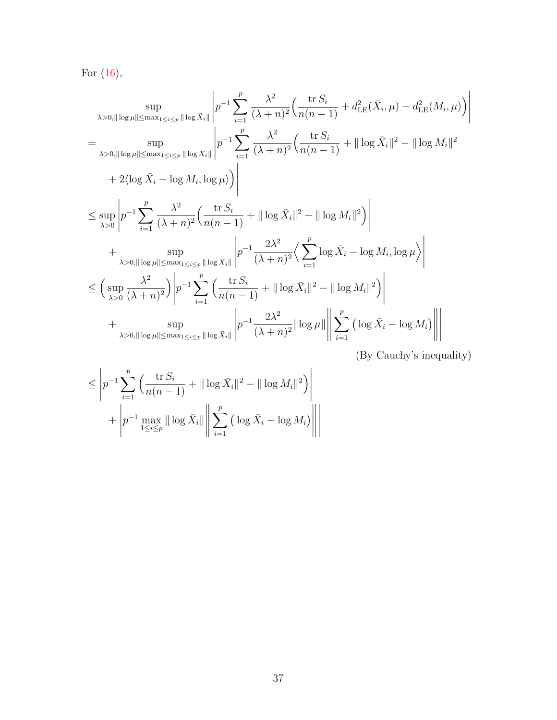For  $(16)$ ,

$$
\sup_{\lambda>0, \|\log \mu\| \le \max_{1 \le i \le p} \|\log \bar{X}_{i}\|} \left| p^{-1} \sum_{i=1}^{p} \frac{\lambda^{2}}{(\lambda+n)^{2}} \Big( \frac{\text{tr} S_{i}}{n(n-1)} + d_{\text{LE}}^{2}(\bar{X}_{i}, \mu) - d_{\text{LE}}^{2}(M_{i}, \mu) \Big) \right|
$$
\n
$$
= \sup_{\lambda>0, \|\log \mu\| \le \max_{1 \le i \le p} \|\log \bar{X}_{i}\|} \left| p^{-1} \sum_{i=1}^{p} \frac{\lambda^{2}}{(\lambda+n)^{2}} \Big( \frac{\text{tr} S_{i}}{n(n-1)} + \|\log \bar{X}_{i}\|^{2} - \|\log M_{i}\|^{2} + 2(\log \bar{X}_{i} - \log M_{i}, \log \mu) \Big) \right|
$$
\n
$$
+ 2(\log \bar{X}_{i} - \log M_{i}, \log \mu) \Bigg|
$$
\n
$$
\le \sup_{\lambda>0} \left| p^{-1} \sum_{i=1}^{p} \frac{\lambda^{2}}{(\lambda+n)^{2}} \Big( \frac{\text{tr} S_{i}}{n(n-1)} + \|\log \bar{X}_{i}\|^{2} - \|\log M_{i}\|^{2} \Big) \right|
$$
\n
$$
+ \sup_{\lambda>0, \|\log \mu\| \le \max_{1 \le i \le p} \|\log \bar{X}_{i}\|} \left| p^{-1} \frac{2\lambda^{2}}{(\lambda+n)^{2}} \Big( \sum_{i=1}^{p} \log \bar{X}_{i} - \log M_{i}, \log \mu \Big) \right|
$$
\n
$$
\le \left( \sup_{\lambda>0} \frac{\lambda^{2}}{(\lambda+n)^{2}} \right) \left| p^{-1} \sum_{i=1}^{p} \Big( \frac{\text{tr} S_{i}}{n(n-1)} + \|\log \bar{X}_{i}\|^{2} - \|\log M_{i}\|^{2} \Big) \right|
$$
\n
$$
+ \sup_{\lambda>0, \|\log \mu\| \le \max_{1 \le i \le p} \|\log \bar{X}_{i}\|} \left| p^{-1} \frac{2\lambda^{2}}{(\lambda+n)^{2}} \|\log \mu\| \left\| \sum_{i=1}^{p} \
$$

(By Cauchy's inequality)

$$
\leq \left| p^{-1} \sum_{i=1}^{p} \left( \frac{\operatorname{tr} S_i}{n(n-1)} + ||\log \bar{X}_i||^2 - ||\log M_i||^2 \right) \right|
$$

$$
+ \left| p^{-1} \max_{1 \leq i \leq p} ||\log \bar{X}_i|| \right| \sum_{i=1}^{p} \left( \log \bar{X}_i - \log M_i \right) \right|
$$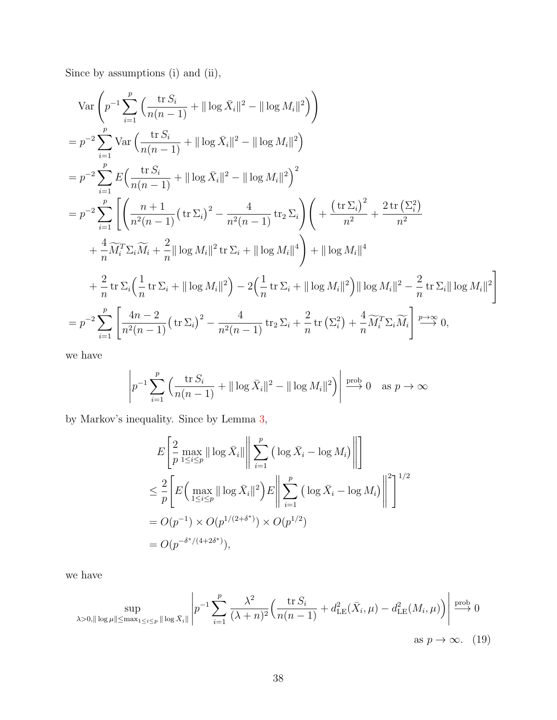Since by assumptions (i) and (ii),

$$
\operatorname{Var}\left(p^{-1}\sum_{i=1}^{p} \left(\frac{\operatorname{tr} S_{i}}{n(n-1)} + ||\log \bar{X}_{i}||^{2} - ||\log M_{i}||^{2}\right)\right)
$$
  
\n
$$
= p^{-2}\sum_{i=1}^{p} \operatorname{Var}\left(\frac{\operatorname{tr} S_{i}}{n(n-1)} + ||\log \bar{X}_{i}||^{2} - ||\log M_{i}||^{2}\right)
$$
  
\n
$$
= p^{-2}\sum_{i=1}^{p} E\left(\frac{\operatorname{tr} S_{i}}{n(n-1)} + ||\log \bar{X}_{i}||^{2} - ||\log M_{i}||^{2}\right)^{2}
$$
  
\n
$$
= p^{-2}\sum_{i=1}^{p} \left[\left(\frac{n+1}{n^{2}(n-1)}\left(\operatorname{tr} \Sigma_{i}\right)^{2} - \frac{4}{n^{2}(n-1)}\operatorname{tr}_{2} \Sigma_{i}\right)\left(\operatorname{tr}\left(\operatorname{tr} \Sigma_{i}\right)^{2} + \frac{2 \operatorname{tr} \left(\Sigma_{i}^{2}\right)}{n^{2}}\right)\right]
$$
  
\n
$$
+ \frac{4}{n} \widetilde{M}_{i}^{T} \Sigma_{i} \widetilde{M}_{i} + \frac{2}{n} ||\log M_{i}||^{2} \operatorname{tr} \Sigma_{i} + ||\log M_{i}||^{4}\right) + ||\log M_{i}||^{4}
$$
  
\n
$$
+ \frac{2}{n} \operatorname{tr} \Sigma_{i} \left(\frac{1}{n} \operatorname{tr} \Sigma_{i} + ||\log M_{i}||^{2}\right) - 2\left(\frac{1}{n} \operatorname{tr} \Sigma_{i} + ||\log M_{i}||^{2}\right) ||\log M_{i}||^{2} - \frac{2}{n} \operatorname{tr} \Sigma_{i} ||\log M_{i}||^{2}\right)
$$
  
\n
$$
= p^{-2} \sum_{i=1}^{p} \left[\frac{4n-2}{n^{2}(n-1)}\left(\operatorname{tr} \Sigma_{i}\right)^{2} - \frac{4}{n^{2}(n-1)}\operatorname{tr}_{2} \Sigma_{i} + \frac{2}{n} \operatorname{tr}\left(\Sigma_{i}^{2}\right) + \frac{4}{n} \widetilde{M}_{i}^{T} \Sigma_{i} \
$$

we have

$$
\left| p^{-1} \sum_{i=1}^p \left( \frac{\operatorname{tr} S_i}{n(n-1)} + ||\log \bar{X}_i||^2 - ||\log M_i||^2 \right) \right| \stackrel{\text{prob}}{\longrightarrow} 0 \quad \text{as } p \to \infty
$$

by Markov's inequality. Since by Lemma [3,](#page-31-0)

<span id="page-37-0"></span>
$$
E\left[\frac{2}{p}\max_{1\leq i\leq p} \|\log \bar{X}_{i}\| \|\sum_{i=1}^{p} \left(\log \bar{X}_{i} - \log M_{i}\right) \|\right]
$$
  
\n
$$
\leq \frac{2}{p} \left[E\left(\max_{1\leq i\leq p} \|\log \bar{X}_{i}\|^{2}\right) E\|\sum_{i=1}^{p} \left(\log \bar{X}_{i} - \log M_{i}\right) \|\right]^{2}\right]^{1/2}
$$
  
\n
$$
= O(p^{-1}) \times O(p^{1/(2+\delta^{*})}) \times O(p^{1/2})
$$
  
\n
$$
= O(p^{-\delta^{*}/(4+2\delta^{*})}),
$$

we have

$$
\sup_{\lambda>0, \|\log\mu\| \le \max_{1\le i \le p} \|\log \bar{X}_i\|} \left| p^{-1} \sum_{i=1}^p \frac{\lambda^2}{(\lambda+n)^2} \left( \frac{\operatorname{tr} S_i}{n(n-1)} + d_{\mathrm{LE}}^2(\bar{X}_i, \mu) - d_{\mathrm{LE}}^2(M_i, \mu) \right) \right| \overset{\text{prob}}{\longrightarrow} 0
$$
  
as  $p \to \infty$ . (19)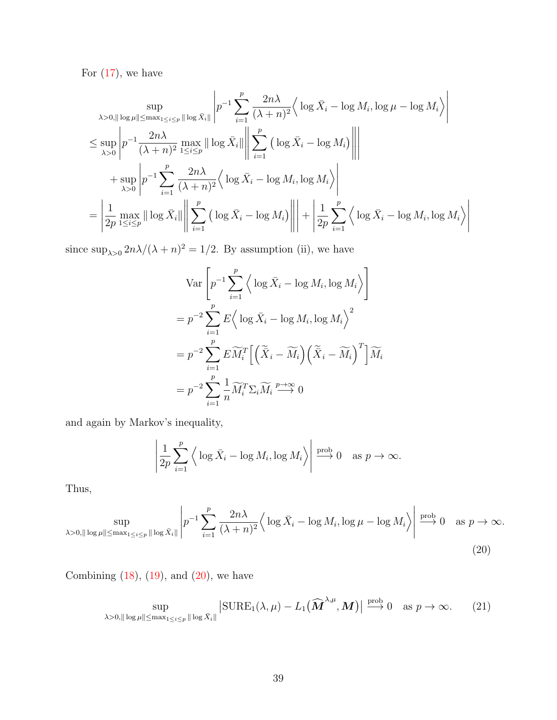For  $(17)$ , we have

$$
\sup_{\lambda>0,\|\log\mu\| \le \max_{1\le i\le p} \|\log \bar{X}_i\|} \left| p^{-1} \sum_{i=1}^p \frac{2n\lambda}{(\lambda+n)^2} \left\langle \log \bar{X}_i - \log M_i, \log \mu - \log M_i \right\rangle \right|
$$
  
\n
$$
\le \sup_{\lambda>0} \left| p^{-1} \frac{2n\lambda}{(\lambda+n)^2} \max_{1\le i\le p} \|\log \bar{X}_i\| \left\| \sum_{i=1}^p \left( \log \bar{X}_i - \log M_i \right) \right\|
$$
  
\n
$$
+ \sup_{\lambda>0} \left| p^{-1} \sum_{i=1}^p \frac{2n\lambda}{(\lambda+n)^2} \left\langle \log \bar{X}_i - \log M_i, \log M_i \right\rangle \right|
$$
  
\n
$$
= \left| \frac{1}{2p} \max_{1\le i\le p} \|\log \bar{X}_i\| \left\| \sum_{i=1}^p \left( \log \bar{X}_i - \log M_i \right) \right\| \right| + \left| \frac{1}{2p} \sum_{i=1}^p \left\langle \log \bar{X}_i - \log M_i, \log M_i \right\rangle \right|
$$

since  $\sup_{\lambda>0} 2n\lambda/(\lambda+n)^2 = 1/2$ . By assumption (ii), we have

$$
\operatorname{Var}\left[p^{-1}\sum_{i=1}^{p} \left\langle \log \bar{X}_{i} - \log M_{i}, \log M_{i} \right\rangle \right]
$$
  
=  $p^{-2}\sum_{i=1}^{p} E \left\langle \log \bar{X}_{i} - \log M_{i}, \log M_{i} \right\rangle^{2}$   
=  $p^{-2}\sum_{i=1}^{p} E\widetilde{M}_{i}^{T} \left[ \left(\widetilde{\bar{X}}_{i} - \widetilde{M}_{i}\right) \left(\widetilde{\bar{X}}_{i} - \widetilde{M}_{i}\right)^{T} \right] \widetilde{M}_{i}$   
=  $p^{-2}\sum_{i=1}^{p} \frac{1}{n} \widetilde{M}_{i}^{T} \Sigma_{i} \widetilde{M}_{i} \stackrel{p \to \infty}{\longrightarrow} 0$ 

and again by Markov's inequality,

<span id="page-38-1"></span><span id="page-38-0"></span>
$$
\left|\frac{1}{2p}\sum_{i=1}^p \left\langle \log \bar{X}_i - \log M_i, \log M_i \right\rangle \right| \stackrel{\text{prob}}{\longrightarrow} 0 \quad \text{as } p \to \infty.
$$

Thus,

$$
\sup_{\lambda>0,\|\log\mu\|\le\max_{1\le i\le p}\|\log\bar{X}_i\|}\left|p^{-1}\sum_{i=1}^p\frac{2n\lambda}{(\lambda+n)^2}\Big\langle\log\bar{X}_i-\log M_i,\log\mu-\log M_i\Big\rangle\right|\xrightarrow{\text{prob}}0\quad\text{as }p\to\infty.
$$
\n(20)

Combining  $(18)$ ,  $(19)$ , and  $(20)$ , we have

$$
\sup_{\lambda>0,\|\log\mu\|\le\max_{1\le i\le p}\|\log\bar{X}_i\|} \left|\text{SURE}_1(\lambda,\mu)-L_1(\widehat{\boldsymbol{M}}^{\lambda,\mu},\boldsymbol{M})\right|\xrightarrow{\text{prob}} 0 \quad \text{as } p\to\infty. \tag{21}
$$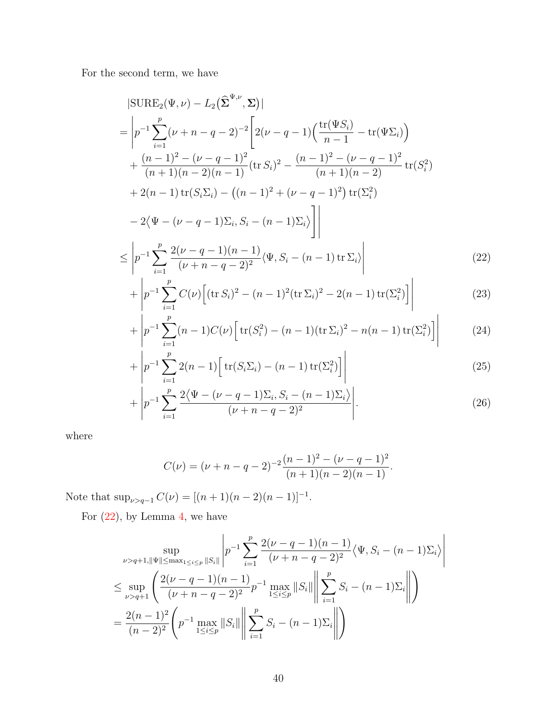For the second term, we have

$$
|\text{SURE}_{2}(\Psi,\nu) - L_{2}(\hat{\Sigma}^{\Psi,\nu},\Sigma)|
$$
\n
$$
= \left| p^{-1} \sum_{i=1}^{p} (\nu + n - q - 2)^{-2} \left[ 2(\nu - q - 1) \left( \frac{\text{tr}(\Psi S_{i})}{n-1} - \text{tr}(\Psi \Sigma_{i}) \right) + \frac{(n-1)^{2} - (\nu - q - 1)^{2}}{(n+1)(n-2)(n-1)} (\text{tr } S_{i})^{2} - \frac{(n-1)^{2} - (\nu - q - 1)^{2}}{(n+1)(n-2)} \text{tr}(S_{i}^{2}) + 2(n-1)\text{tr}(S_{i}\Sigma_{i}) - ((n-1)^{2} + (\nu - q - 1)^{2}) \text{tr}(\Sigma_{i}^{2}) - 2\langle \Psi - (\nu - q - 1)\Sigma_{i}, S_{i} - (n-1)\Sigma_{i} \rangle \right] \right|
$$
\n
$$
\leq \left| p^{-1} \sum_{i=1}^{p} \frac{2(\nu - q - 1)(n-1)}{(\nu + n - q - 2)^{2}} \langle \Psi, S_{i} - (n - 1) \text{tr } \Sigma_{i} \rangle \right|
$$
\n(22)

<span id="page-39-0"></span>
$$
\begin{aligned}\n &\stackrel{\text{def}}{=} \left| \frac{\nu}{i} \frac{(\nu + n - q - 2)^2}{(\nu + n - q - 2)^2} \right| \\
 &\quad + \left| p^{-1} \sum_{i} \frac{C(\nu)}{(\text{tr } S_i)^2 - (n - 1)^2 (\text{tr } \Sigma_i)^2 - 2(n - 1) \text{tr}(\Sigma_i^2)} \right| \n \end{aligned} \tag{23}
$$

<span id="page-39-1"></span>
$$
\begin{vmatrix} P & \sum_{i=1}^{p} C(\nu) \left[ \frac{(n-1)(n-2i)}{2} - 2(n-1) \frac{(n-2i)}{2} \right] & \end{vmatrix} \tag{20}
$$

$$
+\left|p^{-1}\sum_{i=1}^{N}(n-1)C(\nu)\left[\operatorname{tr}(S_i^2)-(n-1)(\operatorname{tr}\Sigma_i)^2-n(n-1)\operatorname{tr}(\Sigma_i^2)\right]\right|\tag{24}
$$

$$
+\left|p^{-1}\sum_{i=1}^{p}2(n-1)\left[\text{tr}(S_i\Sigma_i)-(n-1)\text{tr}(\Sigma_i^2)\right]\right|
$$
\n(25)

$$
+\left|p^{-1}\sum_{i=1}^{p}\frac{2\langle\Psi-(\nu-q-1)\Sigma_i,S_i-(n-1)\Sigma_i\rangle}{(\nu+n-q-2)^2}\right|.\tag{26}
$$

where

<span id="page-39-4"></span><span id="page-39-3"></span><span id="page-39-2"></span>
$$
C(\nu) = (\nu + n - q - 2)^{-2} \frac{(n-1)^2 - (\nu - q - 1)^2}{(n+1)(n-2)(n-1)}.
$$

Note that  $\sup_{\nu>q-1} C(\nu) = [(n+1)(n-2)(n-1)]^{-1}$ .

For  $(22)$ , by Lemma [4,](#page-31-1) we have

$$
\sup_{\nu>q+1, \|\Psi\| \le \max_{1 \le i \le p} \|S_i\|} \left| p^{-1} \sum_{i=1}^p \frac{2(\nu - q - 1)(n-1)}{(\nu + n - q - 2)^2} \langle \Psi, S_i - (n-1)\Sigma_i \rangle \right|
$$
  

$$
\le \sup_{\nu>q+1} \left( \frac{2(\nu - q - 1)(n-1)}{(\nu + n - q - 2)^2} p^{-1} \max_{1 \le i \le p} \|S_i\| \left\| \sum_{i=1}^p S_i - (n-1)\Sigma_i \right\| \right)
$$
  

$$
= \frac{2(n-1)^2}{(n-2)^2} \left( p^{-1} \max_{1 \le i \le p} \|S_i\| \left\| \sum_{i=1}^p S_i - (n-1)\Sigma_i \right\| \right)
$$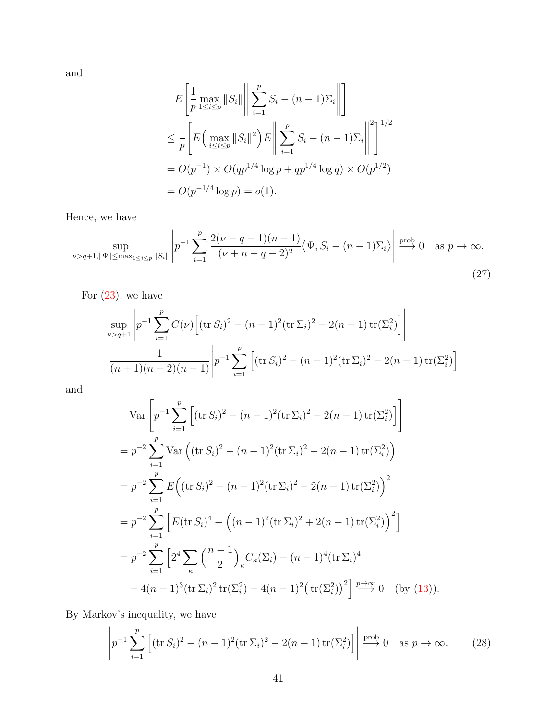and

<span id="page-40-0"></span>
$$
E\left[\frac{1}{p}\max_{1\leq i\leq p}||S_i||\left\|\sum_{i=1}^p S_i - (n-1)\Sigma_i\right\| \right]
$$
  
\n
$$
\leq \frac{1}{p}\left[E\left(\max_{i\leq i\leq p}||S_i||^2\right)E\left\|\sum_{i=1}^p S_i - (n-1)\Sigma_i\right\|^2\right]^{1/2}
$$
  
\n
$$
= O(p^{-1}) \times O(qp^{1/4}\log p + qp^{1/4}\log q) \times O(p^{1/2})
$$
  
\n
$$
= O(p^{-1/4}\log p) = o(1).
$$

Hence, we have

$$
\sup_{\nu > q+1, \|\Psi\| \le \max_{1 \le i \le p} \|S_i\|} \left| p^{-1} \sum_{i=1}^p \frac{2(\nu - q - 1)(n-1)}{(\nu + n - q - 2)^2} \langle \Psi, S_i - (n-1) \Sigma_i \rangle \right| \xrightarrow{\text{prob}} 0 \quad \text{as } p \to \infty.
$$
\n(27)

For  $(23)$ , we have

$$
\sup_{\nu > q+1} \left| p^{-1} \sum_{i=1}^{p} C(\nu) \left[ (\text{tr } S_i)^2 - (n-1)^2 (\text{tr } \Sigma_i)^2 - 2(n-1) \text{ tr}(\Sigma_i^2) \right] \right|
$$
  
= 
$$
\frac{1}{(n+1)(n-2)(n-1)} \left| p^{-1} \sum_{i=1}^{p} \left[ (\text{tr } S_i)^2 - (n-1)^2 (\text{tr } \Sigma_i)^2 - 2(n-1) \text{ tr}(\Sigma_i^2) \right] \right|
$$

and

$$
\operatorname{Var}\left[p^{-1}\sum_{i=1}^{p}\left[ (\operatorname{tr} S_{i})^{2} - (n-1)^{2} (\operatorname{tr} \Sigma_{i})^{2} - 2(n-1) \operatorname{tr}(\Sigma_{i}^{2}) \right] \right]
$$
\n
$$
= p^{-2} \sum_{i=1}^{p} \operatorname{Var}\left( (\operatorname{tr} S_{i})^{2} - (n-1)^{2} (\operatorname{tr} \Sigma_{i})^{2} - 2(n-1) \operatorname{tr}(\Sigma_{i}^{2}) \right)
$$
\n
$$
= p^{-2} \sum_{i=1}^{p} E\left( (\operatorname{tr} S_{i})^{2} - (n-1)^{2} (\operatorname{tr} \Sigma_{i})^{2} - 2(n-1) \operatorname{tr}(\Sigma_{i}^{2}) \right)^{2}
$$
\n
$$
= p^{-2} \sum_{i=1}^{p} \left[ E(\operatorname{tr} S_{i})^{4} - \left( (n-1)^{2} (\operatorname{tr} \Sigma_{i})^{2} + 2(n-1) \operatorname{tr}(\Sigma_{i}^{2}) \right)^{2} \right]
$$
\n
$$
= p^{-2} \sum_{i=1}^{p} \left[ 2^{4} \sum_{\kappa} \left( \frac{n-1}{2} \right)_{\kappa} C_{\kappa}(\Sigma_{i}) - (n-1)^{4} (\operatorname{tr} \Sigma_{i})^{4} - 4(n-1)^{3} (\operatorname{tr} \Sigma_{i})^{2} \operatorname{tr}(\Sigma_{i}^{2}) - 4(n-1)^{2} \left( \operatorname{tr}(\Sigma_{i}^{2}) \right)^{2} \right] \stackrel{p \to \infty}{\longrightarrow} 0 \quad \text{(by (13))}.
$$

By Markov's inequality, we have

<span id="page-40-1"></span>
$$
\left| p^{-1} \sum_{i=1}^p \left[ (\operatorname{tr} S_i)^2 - (n-1)^2 (\operatorname{tr} \Sigma_i)^2 - 2(n-1) \operatorname{tr} (\Sigma_i^2) \right] \right| \stackrel{\text{prob}}{\longrightarrow} 0 \quad \text{as } p \to \infty. \tag{28}
$$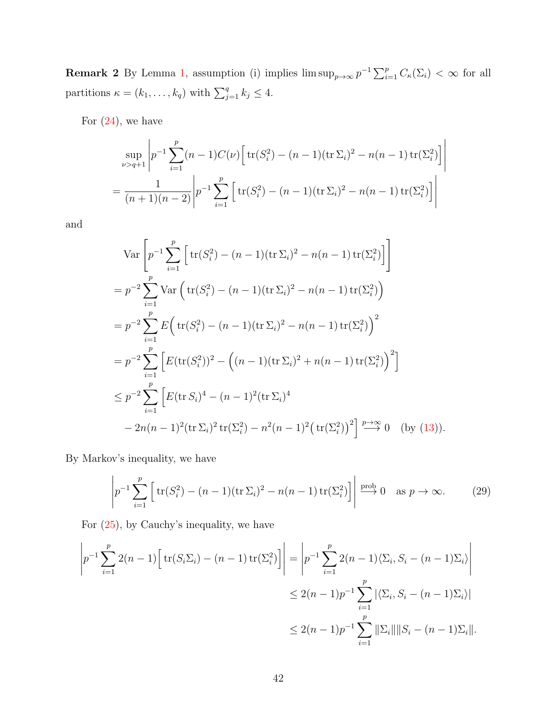**Remark 2** By Lemma [1,](#page-28-2) assumption (i) implies  $\limsup_{p\to\infty} p^{-1} \sum_{i=1}^p C_{\kappa}(\Sigma_i) < \infty$  for all partitions  $\kappa = (k_1, \ldots, k_q)$  with  $\sum_{j=1}^q k_j \leq 4$ .

For  $(24)$ , we have

$$
\sup_{\nu>q+1} \left| p^{-1} \sum_{i=1}^p (n-1) C(\nu) \left[ \text{tr}(S_i^2) - (n-1) (\text{tr} \Sigma_i)^2 - n(n-1) \text{tr}(\Sigma_i^2) \right] \right|
$$
  
= 
$$
\frac{1}{(n+1)(n-2)} \left| p^{-1} \sum_{i=1}^p \left[ \text{tr}(S_i^2) - (n-1) (\text{tr} \Sigma_i)^2 - n(n-1) \text{tr}(\Sigma_i^2) \right] \right|
$$

and

$$
\operatorname{Var}\left[p^{-1}\sum_{i=1}^{p} \left[\operatorname{tr}(S_{i}^{2}) - (n-1)(\operatorname{tr}\Sigma_{i})^{2} - n(n-1)\operatorname{tr}(\Sigma_{i}^{2})\right]\right]
$$
\n
$$
= p^{-2}\sum_{i=1}^{p} \operatorname{Var}\left(\operatorname{tr}(S_{i}^{2}) - (n-1)(\operatorname{tr}\Sigma_{i})^{2} - n(n-1)\operatorname{tr}(\Sigma_{i}^{2})\right)
$$
\n
$$
= p^{-2}\sum_{i=1}^{p} E\left(\operatorname{tr}(S_{i}^{2}) - (n-1)(\operatorname{tr}\Sigma_{i})^{2} - n(n-1)\operatorname{tr}(\Sigma_{i}^{2})\right)^{2}
$$
\n
$$
= p^{-2}\sum_{i=1}^{p} \left[E(\operatorname{tr}(S_{i}^{2}))^{2} - \left((n-1)(\operatorname{tr}\Sigma_{i})^{2} + n(n-1)\operatorname{tr}(\Sigma_{i}^{2})\right)^{2}\right]
$$
\n
$$
\leq p^{-2}\sum_{i=1}^{p} \left[E(\operatorname{tr}(S_{i})^{4} - (n-1)^{2}(\operatorname{tr}\Sigma_{i})^{4} - 2n(n-1)^{2}(\operatorname{tr}\Sigma_{i})^{2}\operatorname{tr}(\Sigma_{i}^{2}) - n^{2}(n-1)^{2}(\operatorname{tr}(\Sigma_{i}^{2}))^{2}\right] \xrightarrow{p \to \infty} 0 \quad \text{(by (13))}.
$$

By Markov's inequality, we have

<span id="page-41-0"></span>
$$
\left| p^{-1} \sum_{i=1}^p \left[ \text{tr}(S_i^2) - (n-1)(\text{tr}\,\Sigma_i)^2 - n(n-1)\,\text{tr}(\Sigma_i^2) \right] \right| \stackrel{\text{prob}}{\longrightarrow} 0 \quad \text{as } p \to \infty. \tag{29}
$$

For  $(25)$ , by Cauchy's inequality, we have

$$
\left| p^{-1} \sum_{i=1}^{p} 2(n-1) \left[ \text{tr}(S_i \Sigma_i) - (n-1) \text{tr}(\Sigma_i^2) \right] \right| = \left| p^{-1} \sum_{i=1}^{p} 2(n-1) \langle \Sigma_i, S_i - (n-1) \Sigma_i \rangle \right|
$$
  

$$
\leq 2(n-1)p^{-1} \sum_{i=1}^{p} |\langle \Sigma_i, S_i - (n-1) \Sigma_i \rangle|
$$
  

$$
\leq 2(n-1)p^{-1} \sum_{i=1}^{p} ||\Sigma_i|| ||S_i - (n-1) \Sigma_i||.
$$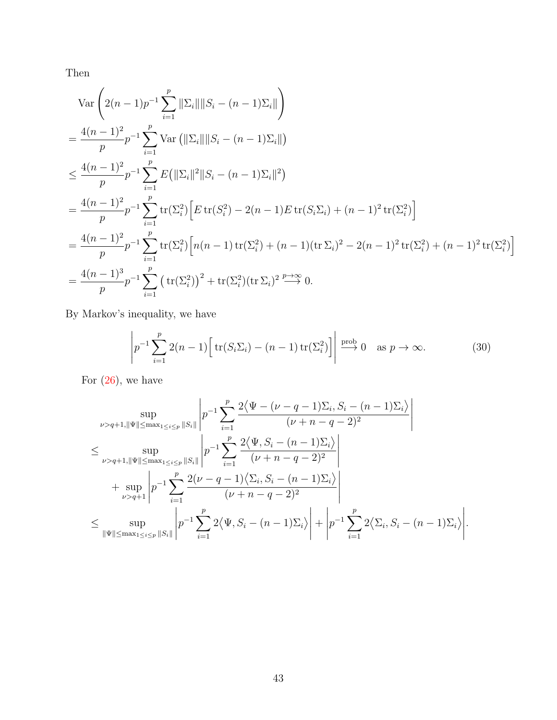Then

$$
\operatorname{Var}\left(2(n-1)p^{-1}\sum_{i=1}^{p} ||\Sigma_{i}|| ||S_{i} - (n-1)\Sigma_{i}||\right)
$$
\n
$$
= \frac{4(n-1)^{2}}{p}p^{-1}\sum_{i=1}^{p} \operatorname{Var}\left(||\Sigma_{i}|| ||S_{i} - (n-1)\Sigma_{i}||\right)
$$
\n
$$
\leq \frac{4(n-1)^{2}}{p}p^{-1}\sum_{i=1}^{p} E\left(||\Sigma_{i}||^{2}||S_{i} - (n-1)\Sigma_{i}||^{2}\right)
$$
\n
$$
= \frac{4(n-1)^{2}}{p}p^{-1}\sum_{i=1}^{p} \operatorname{tr}(\Sigma_{i}^{2})\left[E \operatorname{tr}(S_{i}^{2}) - 2(n-1)E \operatorname{tr}(S_{i}\Sigma_{i}) + (n-1)^{2} \operatorname{tr}(\Sigma_{i}^{2})\right]
$$
\n
$$
= \frac{4(n-1)^{2}}{p}p^{-1}\sum_{i=1}^{p} \operatorname{tr}(\Sigma_{i}^{2})\left[n(n-1)\operatorname{tr}(\Sigma_{i}^{2}) + (n-1)(\operatorname{tr}\Sigma_{i})^{2} - 2(n-1)^{2} \operatorname{tr}(\Sigma_{i}^{2}) + (n-1)^{2} \operatorname{tr}(\Sigma_{i}^{2})\right]
$$
\n
$$
= \frac{4(n-1)^{3}}{p}p^{-1}\sum_{i=1}^{p} \left(\operatorname{tr}(\Sigma_{i}^{2})\right)^{2} + \operatorname{tr}(\Sigma_{i}^{2})(\operatorname{tr}\Sigma_{i})^{2} \stackrel{p \to \infty}{\longrightarrow} 0.
$$

By Markov's inequality, we have

<span id="page-42-0"></span>
$$
\left| p^{-1} \sum_{i=1}^p 2(n-1) \left[ \text{tr}(S_i \Sigma_i) - (n-1) \text{tr}(\Sigma_i^2) \right] \right| \stackrel{\text{prob}}{\longrightarrow} 0 \quad \text{as } p \to \infty. \tag{30}
$$

For  $(26)$ , we have

$$
\sup_{\nu>q+1, \|\Psi\| \leq \max_{1 \leq i \leq p} \|S_i\|} \left| p^{-1} \sum_{i=1}^p \frac{2\langle \Psi - (\nu - q - 1)\Sigma_i, S_i - (n - 1)\Sigma_i \rangle}{(\nu + n - q - 2)^2} \right|
$$
\n
$$
\leq \sup_{\nu>q+1, \|\Psi\| \leq \max_{1 \leq i \leq p} \|S_i\|} \left| p^{-1} \sum_{i=1}^p \frac{2\langle \Psi, S_i - (n - 1)\Sigma_i \rangle}{(\nu + n - q - 2)^2} \right|
$$
\n
$$
+ \sup_{\nu>q+1} \left| p^{-1} \sum_{i=1}^p \frac{2(\nu - q - 1)\langle \Sigma_i, S_i - (n - 1)\Sigma_i \rangle}{(\nu + n - q - 2)^2} \right|
$$
\n
$$
\leq \sup_{\|\Psi\| \leq \max_{1 \leq i \leq p} \|S_i\|} \left| p^{-1} \sum_{i=1}^p 2\langle \Psi, S_i - (n - 1)\Sigma_i \rangle \right| + \left| p^{-1} \sum_{i=1}^p 2\langle \Sigma_i, S_i - (n - 1)\Sigma_i \rangle \right|.
$$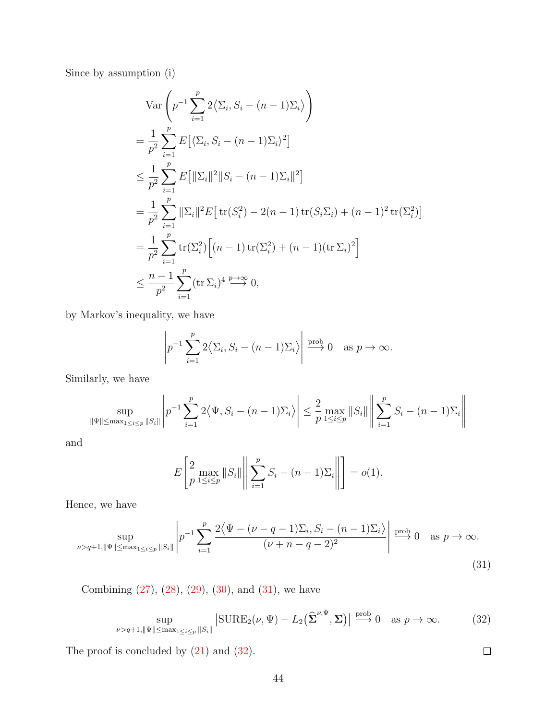Since by assumption (i)

$$
\operatorname{Var}\left(p^{-1}\sum_{i=1}^{p} 2\langle \Sigma_{i}, S_{i} - (n-1)\Sigma_{i} \rangle\right)
$$
\n
$$
= \frac{1}{p^{2}} \sum_{i=1}^{p} E\left[\langle \Sigma_{i}, S_{i} - (n-1)\Sigma_{i} \rangle^{2}\right]
$$
\n
$$
\leq \frac{1}{p^{2}} \sum_{i=1}^{p} E\left[\|\Sigma_{i}\|^{2}\|S_{i} - (n-1)\Sigma_{i}\|^{2}\right]
$$
\n
$$
= \frac{1}{p^{2}} \sum_{i=1}^{p} \|\Sigma_{i}\|^{2} E\left[\operatorname{tr}(S_{i}^{2}) - 2(n-1)\operatorname{tr}(S_{i}\Sigma_{i}) + (n-1)^{2}\operatorname{tr}(\Sigma_{i}^{2})\right]
$$
\n
$$
= \frac{1}{p^{2}} \sum_{i=1}^{p} \operatorname{tr}(\Sigma_{i}^{2})\left[(n-1)\operatorname{tr}(\Sigma_{i}^{2}) + (n-1)(\operatorname{tr}\Sigma_{i})^{2}\right]
$$
\n
$$
\leq \frac{n-1}{p^{2}} \sum_{i=1}^{p} (\operatorname{tr}\Sigma_{i})^{4} \stackrel{p \to \infty}{\longrightarrow} 0,
$$

by Markov's inequality, we have

$$
\left| p^{-1} \sum_{i=1}^p 2\langle \Sigma_i, S_i - (n-1)\Sigma_i \rangle \right| \stackrel{\text{prob}}{\longrightarrow} 0 \quad \text{as } p \to \infty.
$$

Similarly, we have

$$
\sup_{\|\Psi\| \le \max_{1 \le i \le p} \|S_i\|} \left| p^{-1} \sum_{i=1}^p 2\langle \Psi, S_i - (n-1)\Sigma_i \rangle \right| \le \frac{2}{p} \max_{1 \le i \le p} \|S_i\| \left\| \sum_{i=1}^p S_i - (n-1)\Sigma_i \right\|
$$

and

$$
E\left[\frac{2}{p}\max_{1\leq i\leq p}||S_i||\middle\|\sum_{i=1}^p S_i - (n-1)\Sigma_i\middle\|\right] = o(1).
$$

Hence, we have

$$
\sup_{\nu > q+1, \|\Psi\| \le \max_{1 \le i \le p} \|S_i\|} \left| p^{-1} \sum_{i=1}^p \frac{2\langle \Psi - (\nu - q - 1)\Sigma_i, S_i - (n - 1)\Sigma_i \rangle}{(\nu + n - q - 2)^2} \right| \xrightarrow{\text{prob}} 0 \text{ as } p \to \infty.
$$
\n(31)

Combining  $(27)$ ,  $(28)$ ,  $(29)$ ,  $(30)$ , and  $(31)$ , we have

$$
\sup_{\nu > q+1, \|\Psi\| \le \max_{1 \le i \le p} \|S_i\|} \left| \text{SUBE}_2(\nu, \Psi) - L_2(\hat{\Sigma}^{\nu, \Psi}, \Sigma) \right| \xrightarrow{\text{prob}} 0 \quad \text{as } p \to \infty. \tag{32}
$$

<span id="page-43-1"></span><span id="page-43-0"></span> $\Box$ 

The proof is concluded by [\(21\)](#page-38-1) and [\(32\)](#page-43-1).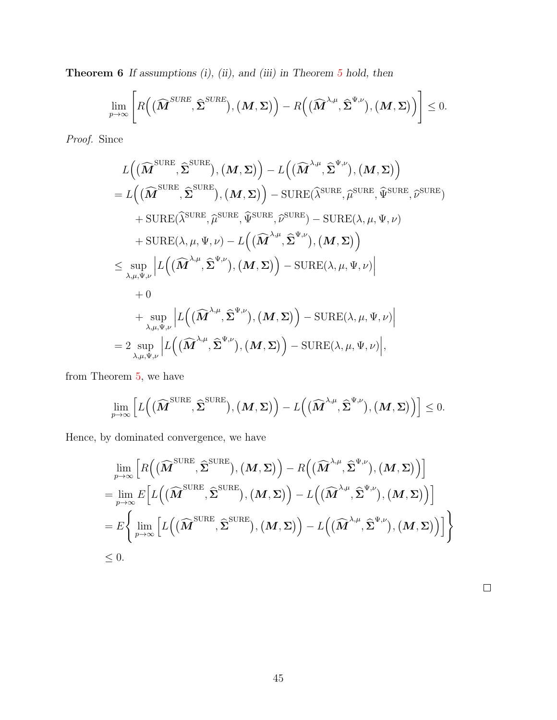<span id="page-44-0"></span>Theorem 6 If assumptions (i), (ii), and (iii) in Theorem [5](#page-32-0) hold, then

$$
\lim_{p\to\infty}\left[R\Big(\big(\widehat{\boldsymbol{M}}^{SURE},\widehat{\boldsymbol{\Sigma}}^{SURE}\big),\big(\boldsymbol{M},\boldsymbol{\Sigma}\big)\Big)-R\Big(\big(\widehat{\boldsymbol{M}}^{\lambda,\mu},\widehat{\boldsymbol{\Sigma}}^{\Psi,\nu}\big),\big(\boldsymbol{M},\boldsymbol{\Sigma}\big)\Big)\right]\leq 0.
$$

Proof. Since

$$
L((\widehat{M}^{\text{SURE}},\widehat{\Sigma}^{\text{SURE}}),(M,\Sigma))-L((\widehat{M}^{\lambda,\mu},\widehat{\Sigma}^{\Psi,\nu}),(M,\Sigma))
$$
\n
$$
=L((\widehat{M}^{\text{SURE}},\widehat{\Sigma}^{\text{SURE}}),(M,\Sigma))-{\text{SURE}}(\widehat{\lambda}^{\text{SURE}},\widehat{\mu}^{\text{SURE}},\widehat{\Psi}^{\text{SURE}},\widehat{\Psi}^{\text{SURE}},\widehat{\psi}^{\text{SURE}},\widehat{\psi}^{\text{SURE}},\widehat{\psi}^{\text{SURE}})
$$
\n
$$
+{\text{SURE}}(\widehat{\lambda}^{\text{SURE}},\widehat{\mu}^{\text{SURE}},\widehat{\psi}^{\text{SURE}})-{\text{SURE}}(\lambda,\mu,\Psi,\nu)
$$
\n
$$
+{\text{SURE}}(\lambda,\mu,\Psi,\nu)-L((\widehat{M}^{\lambda,\mu},\widehat{\Sigma}^{\Psi,\nu}),(M,\Sigma))
$$
\n
$$
\leq \sup_{\lambda,\mu,\Psi,\nu}|L((\widehat{M}^{\lambda,\mu},\widehat{\Sigma}^{\Psi,\nu}),(M,\Sigma))-{\text{SURE}}(\lambda,\mu,\Psi,\nu)|
$$
\n
$$
+0
$$
\n
$$
+ \sup_{\lambda,\mu,\Psi,\nu}|L((\widehat{M}^{\lambda,\mu},\widehat{\Sigma}^{\Psi,\nu}),(M,\Sigma))-{\text{SURE}}(\lambda,\mu,\Psi,\nu)|
$$
\n
$$
=2 \sup_{\lambda,\mu,\Psi,\nu}|L((\widehat{M}^{\lambda,\mu},\widehat{\Sigma}^{\Psi,\nu}),(M,\Sigma))-{\text{SURE}}(\lambda,\mu,\Psi,\nu)|,
$$

from Theorem [5,](#page-32-0) we have

$$
\lim_{p\to\infty}\Big[L\Big(\big(\widehat{\boldsymbol{M}}^{\text{SURE}},\widehat{\boldsymbol{\Sigma}}^{\text{SURE}}\big),\big(\boldsymbol{M},\boldsymbol{\Sigma}\big)\Big)-L\Big(\big(\widehat{\boldsymbol{M}}^{\lambda,\mu},\widehat{\boldsymbol{\Sigma}}^{\Psi,\nu}\big),\big(\boldsymbol{M},\boldsymbol{\Sigma}\big)\Big)\Big]\leq 0.
$$

Hence, by dominated convergence, we have

$$
\lim_{p \to \infty} \left[ R\left( (\widehat{\boldsymbol{M}}^{\text{SURE}}, \widehat{\boldsymbol{\Sigma}}^{\text{SURE}}), (\boldsymbol{M}, \boldsymbol{\Sigma}) \right) - R\left( (\widehat{\boldsymbol{M}}^{\lambda, \mu}, \widehat{\boldsymbol{\Sigma}}^{\Psi, \nu}), (\boldsymbol{M}, \boldsymbol{\Sigma}) \right) \right]
$$
\n
$$
= \lim_{p \to \infty} E \Big[ L\Big( (\widehat{\boldsymbol{M}}^{\text{SURE}}, \widehat{\boldsymbol{\Sigma}}^{\text{SURE}}), (\boldsymbol{M}, \boldsymbol{\Sigma}) \Big) - L\Big( (\widehat{\boldsymbol{M}}^{\lambda, \mu}, \widehat{\boldsymbol{\Sigma}}^{\Psi, \nu}), (\boldsymbol{M}, \boldsymbol{\Sigma}) \Big) \Big]
$$
\n
$$
= E \Big\{ \lim_{p \to \infty} \Big[ L\Big( (\widehat{\boldsymbol{M}}^{\text{SURE}}, \widehat{\boldsymbol{\Sigma}}^{\text{SURE}}), (\boldsymbol{M}, \boldsymbol{\Sigma}) \Big) - L\Big( (\widehat{\boldsymbol{M}}^{\lambda, \mu}, \widehat{\boldsymbol{\Sigma}}^{\Psi, \nu}), (\boldsymbol{M}, \boldsymbol{\Sigma}) \Big) \Big] \Big\}
$$
\n
$$
\leq 0.
$$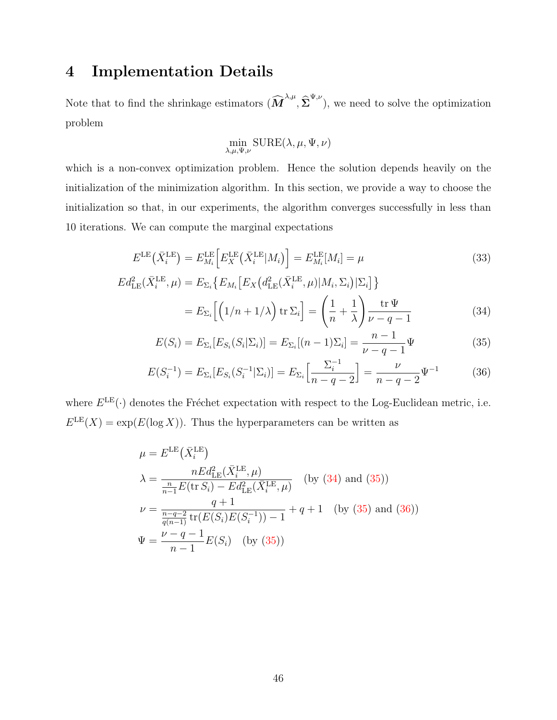# 4 Implementation Details

Note that to find the shrinkage estimators  $(\widehat{M}^{\lambda,\mu},\widehat{\Sigma}^{\Psi,\nu})$ , we need to solve the optimization problem

<span id="page-45-1"></span><span id="page-45-0"></span>
$$
\min_{\lambda,\mu,\Psi,\nu} \text{SURE}(\lambda,\mu,\Psi,\nu)
$$

which is a non-convex optimization problem. Hence the solution depends heavily on the initialization of the minimization algorithm. In this section, we provide a way to choose the initialization so that, in our experiments, the algorithm converges successfully in less than 10 iterations. We can compute the marginal expectations

$$
E^{\text{LE}}\left(\bar{X}_i^{\text{LE}}\right) = E_{M_i}^{\text{LE}}\left[E_X^{\text{LE}}\left(\bar{X}_i^{\text{LE}}|M_i\right)\right] = E_{M_i}^{\text{LE}}[M_i] = \mu\tag{33}
$$

$$
Ed_{LE}^2(\bar{X}_i^{LE}, \mu) = E_{\Sigma_i} \{ E_{M_i} \left[ E_X \left( d_{LE}^2(\bar{X}_i^{LE}, \mu) | M_i, \Sigma_i \right) | \Sigma_i \right] \}
$$
  

$$
= E_{\Sigma_i} \left[ \left( 1/n + 1/\lambda \right) \text{tr } \Sigma_i \right] = \left( \frac{1}{n} + \frac{1}{\lambda} \right) \frac{\text{tr } \Psi}{\nu - q - 1}
$$
 (34)

<span id="page-45-2"></span>
$$
E(S_i) = E_{\Sigma_i}[E_{S_i}(S_i|\Sigma_i)] = E_{\Sigma_i}[(n-1)\Sigma_i] = \frac{n-1}{\nu - q - 1}\Psi
$$
\n(35)

$$
E(S_i^{-1}) = E_{\Sigma_i}[E_{S_i}(S_i^{-1}|\Sigma_i)] = E_{\Sigma_i}\left[\frac{\Sigma_i^{-1}}{n-q-2}\right] = \frac{\nu}{n-q-2}\Psi^{-1}
$$
(36)

where  $E^{\text{LE}}(\cdot)$  denotes the Fréchet expectation with respect to the Log-Euclidean metric, i.e.  $E^{\text{LE}}(X) = \exp(E(\log X)).$  Thus the hyperparameters can be written as

$$
\mu = E^{LE}(\bar{X}_{i}^{LE})
$$
\n
$$
\lambda = \frac{nEd_{LE}^{2}(\bar{X}_{i}^{LE}, \mu)}{\frac{n}{n-1}E(\text{tr } S_{i}) - Ed_{LE}^{2}(\bar{X}_{i}^{LE}, \mu)} \quad \text{(by (34) and (35))}
$$
\n
$$
\nu = \frac{q+1}{\frac{n-q-2}{q(n-1)}}\text{tr}(E(S_{i})E(S_{i}^{-1})) - 1 + q + 1 \quad \text{(by (35) and (36))}
$$
\n
$$
\Psi = \frac{\nu - q - 1}{n - 1}E(S_{i}) \quad \text{(by (35))}
$$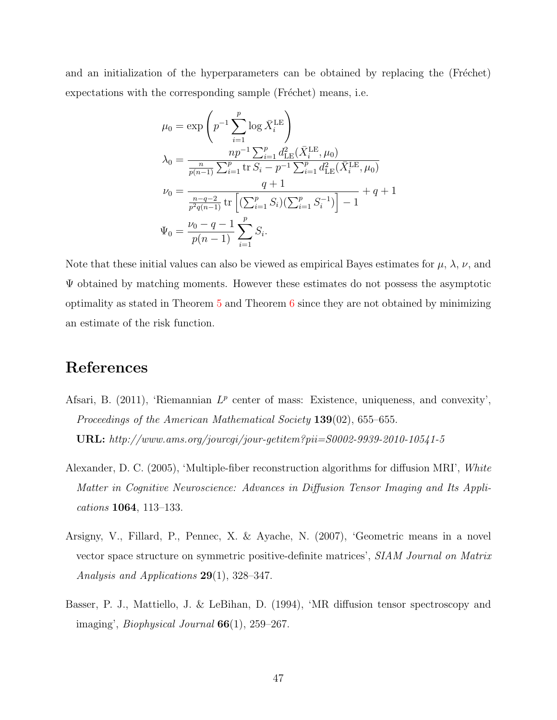and an initialization of the hyperparameters can be obtained by replacing the (Fréchet) expectations with the corresponding sample (Fréchet) means, i.e.

$$
\mu_0 = \exp\left(p^{-1} \sum_{i=1}^p \log \bar{X}_i^{\text{LE}}\right)
$$
  
\n
$$
\lambda_0 = \frac{np^{-1} \sum_{i=1}^p d_{\text{LE}}^2(\bar{X}_i^{\text{LE}}, \mu_0)}{\frac{n}{p(n-1)} \sum_{i=1}^p \text{tr } S_i - p^{-1} \sum_{i=1}^p d_{\text{LE}}^2(\bar{X}_i^{\text{LE}}, \mu_0)}
$$
  
\n
$$
\nu_0 = \frac{q+1}{\frac{n-q-2}{p^2q(n-1)} \text{tr } \left[(\sum_{i=1}^p S_i)(\sum_{i=1}^p S_i^{-1})\right] - 1} + q + 1
$$
  
\n
$$
\Psi_0 = \frac{\nu_0 - q - 1}{p(n-1)} \sum_{i=1}^p S_i.
$$

Note that these initial values can also be viewed as empirical Bayes estimates for  $\mu$ ,  $\lambda$ ,  $\nu$ , and  $\Psi$  obtained by matching moments. However these estimates do not possess the asymptotic optimality as stated in Theorem  $5$  and Theorem  $6$  since they are not obtained by minimizing an estimate of the risk function.

# References

- <span id="page-46-1"></span>Afsari, B. (2011), 'Riemannian  $L^p$  center of mass: Existence, uniqueness, and convexity', Proceedings of the American Mathematical Society 139(02), 655–655. URL: http://www.ams.org/jourcgi/jour-getitem?pii=S0002-9939-2010-10541-5
- <span id="page-46-3"></span>Alexander, D. C. (2005), 'Multiple-fiber reconstruction algorithms for diffusion MRI', White Matter in Cognitive Neuroscience: Advances in Diffusion Tensor Imaging and Its Applications 1064, 113–133.
- <span id="page-46-2"></span>Arsigny, V., Fillard, P., Pennec, X. & Ayache, N. (2007), 'Geometric means in a novel vector space structure on symmetric positive-definite matrices', SIAM Journal on Matrix Analysis and Applications 29(1), 328–347.
- <span id="page-46-0"></span>Basser, P. J., Mattiello, J. & LeBihan, D. (1994), 'MR diffusion tensor spectroscopy and imaging', *Biophysical Journal*  $66(1)$ , 259–267.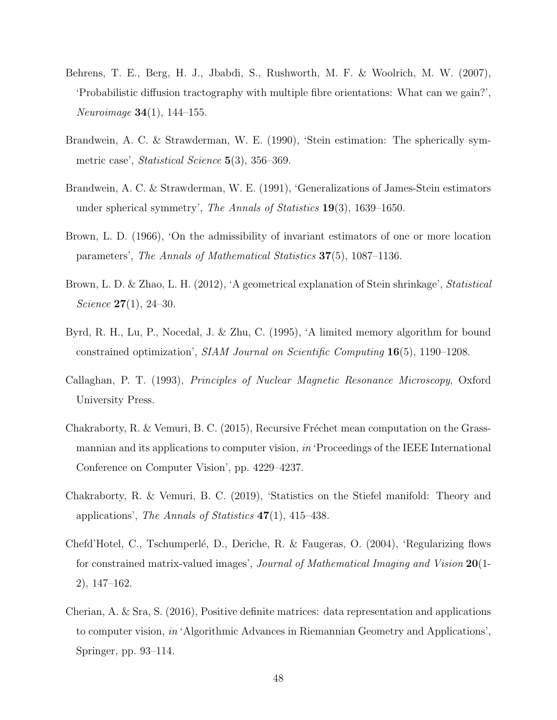- <span id="page-47-10"></span>Behrens, T. E., Berg, H. J., Jbabdi, S., Rushworth, M. F. & Woolrich, M. W. (2007), 'Probabilistic diffusion tractography with multiple fibre orientations: What can we gain?', Neuroimage 34(1), 144–155.
- <span id="page-47-3"></span>Brandwein, A. C. & Strawderman, W. E. (1990), 'Stein estimation: The spherically symmetric case', *Statistical Science* 5(3), 356–369.
- <span id="page-47-4"></span>Brandwein, A. C. & Strawderman, W. E. (1991), 'Generalizations of James-Stein estimators under spherical symmetry', The Annals of Statistics  $19(3)$ , 1639–1650.
- <span id="page-47-5"></span>Brown, L. D. (1966), 'On the admissibility of invariant estimators of one or more location parameters', The Annals of Mathematical Statistics 37(5), 1087–1136.
- <span id="page-47-6"></span>Brown, L. D. & Zhao, L. H. (2012), 'A geometrical explanation of Stein shrinkage', Statistical Science  $27(1)$ , 24-30.
- <span id="page-47-7"></span>Byrd, R. H., Lu, P., Nocedal, J. & Zhu, C. (1995), 'A limited memory algorithm for bound constrained optimization', SIAM Journal on Scientific Computing 16(5), 1190–1208.
- <span id="page-47-8"></span>Callaghan, P. T. (1993), Principles of Nuclear Magnetic Resonance Microscopy, Oxford University Press.
- <span id="page-47-1"></span>Chakraborty, R. & Vemuri, B. C.  $(2015)$ , Recursive Fréchet mean computation on the Grassmannian and its applications to computer vision, in 'Proceedings of the IEEE International Conference on Computer Vision', pp. 4229–4237.
- <span id="page-47-2"></span>Chakraborty, R. & Vemuri, B. C. (2019), 'Statistics on the Stiefel manifold: Theory and applications', The Annals of Statistics 47(1), 415–438.
- <span id="page-47-9"></span>Chefd'Hotel, C., Tschumperlé, D., Deriche, R. & Faugeras, O. (2004), 'Regularizing flows for constrained matrix-valued images', *Journal of Mathematical Imaging and Vision* 20(1-2), 147–162.
- <span id="page-47-0"></span>Cherian, A. & Sra, S. (2016), Positive definite matrices: data representation and applications to computer vision, in 'Algorithmic Advances in Riemannian Geometry and Applications', Springer, pp. 93–114.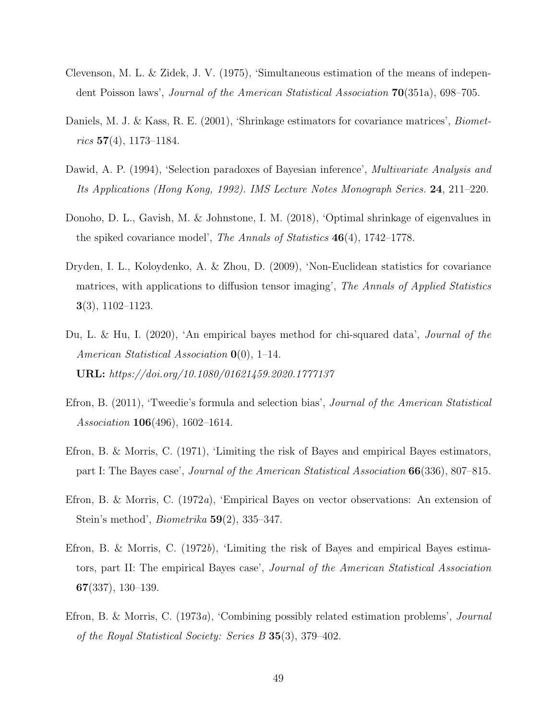- <span id="page-48-0"></span>Clevenson, M. L. & Zidek, J. V. (1975), 'Simultaneous estimation of the means of independent Poisson laws', Journal of the American Statistical Association 70(351a), 698–705.
- <span id="page-48-1"></span>Daniels, M. J. & Kass, R. E. (2001), 'Shrinkage estimators for covariance matrices', *Biomet* $rics$  57(4), 1173–1184.
- <span id="page-48-7"></span>Dawid, A. P. (1994), 'Selection paradoxes of Bayesian inference', *Multivariate Analysis and* Its Applications (Hong Kong, 1992). IMS Lecture Notes Monograph Series. 24, 211–220.
- <span id="page-48-2"></span>Donoho, D. L., Gavish, M. & Johnstone, I. M. (2018), 'Optimal shrinkage of eigenvalues in the spiked covariance model', The Annals of Statistics 46(4), 1742–1778.
- <span id="page-48-10"></span>Dryden, I. L., Koloydenko, A. & Zhou, D. (2009), 'Non-Euclidean statistics for covariance matrices, with applications to diffusion tensor imaging', The Annals of Applied Statistics 3(3), 1102–1123.
- <span id="page-48-9"></span>Du, L. & Hu, I. (2020), 'An empirical bayes method for chi-squared data', *Journal of the* American Statistical Association  $\mathbf{0}(0)$ , 1–14. URL: https://doi.org/10.1080/01621459.2020.1777137
- <span id="page-48-8"></span>Efron, B. (2011), 'Tweedie's formula and selection bias', Journal of the American Statistical Association 106(496), 1602–1614.
- <span id="page-48-3"></span>Efron, B. & Morris, C. (1971), 'Limiting the risk of Bayes and empirical Bayes estimators, part I: The Bayes case', Journal of the American Statistical Association 66(336), 807–815.
- <span id="page-48-5"></span>Efron, B. & Morris, C. (1972a), 'Empirical Bayes on vector observations: An extension of Stein's method', *Biometrika*  $59(2)$ , 335–347.
- <span id="page-48-4"></span>Efron, B. & Morris, C.  $(1972b)$ , 'Limiting the risk of Bayes and empirical Bayes estimators, part II: The empirical Bayes case', Journal of the American Statistical Association 67(337), 130–139.
- <span id="page-48-6"></span>Efron, B. & Morris, C. (1973a), 'Combining possibly related estimation problems', Journal of the Royal Statistical Society: Series B 35(3), 379–402.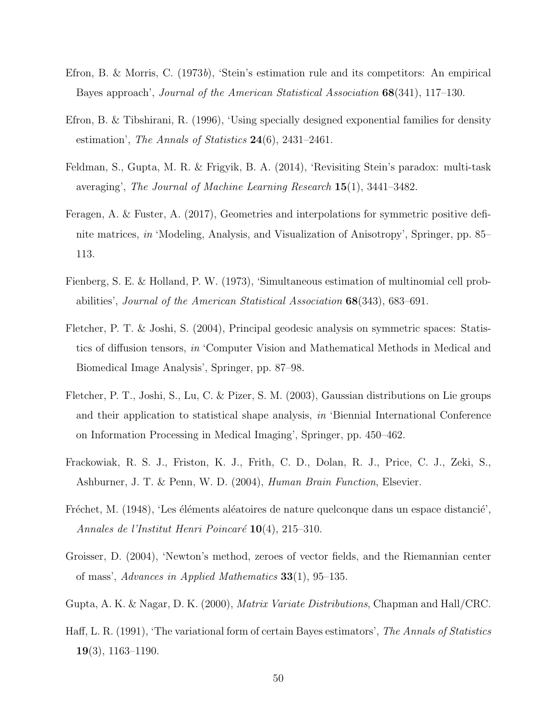- <span id="page-49-7"></span>Efron, B. & Morris, C. (1973b), 'Stein's estimation rule and its competitors: An empirical Bayes approach', Journal of the American Statistical Association 68(341), 117–130.
- <span id="page-49-9"></span>Efron, B. & Tibshirani, R. (1996), 'Using specially designed exponential families for density estimation', The Annals of Statistics  $24(6)$ ,  $2431-2461$ .
- <span id="page-49-5"></span>Feldman, S., Gupta, M. R. & Frigyik, B. A. (2014), 'Revisiting Stein's paradox: multi-task averaging', The Journal of Machine Learning Research 15(1), 3441–3482.
- <span id="page-49-8"></span>Feragen, A. & Fuster, A. (2017), Geometries and interpolations for symmetric positive definite matrices, in 'Modeling, Analysis, and Visualization of Anisotropy', Springer, pp. 85– 113.
- <span id="page-49-4"></span>Fienberg, S. E. & Holland, P. W. (1973), 'Simultaneous estimation of multinomial cell probabilities', Journal of the American Statistical Association 68(343), 683–691.
- <span id="page-49-10"></span>Fletcher, P. T. & Joshi, S. (2004), Principal geodesic analysis on symmetric spaces: Statistics of diffusion tensors, in 'Computer Vision and Mathematical Methods in Medical and Biomedical Image Analysis', Springer, pp. 87–98.
- <span id="page-49-2"></span>Fletcher, P. T., Joshi, S., Lu, C. & Pizer, S. M. (2003), Gaussian distributions on Lie groups and their application to statistical shape analysis, in 'Biennial International Conference on Information Processing in Medical Imaging', Springer, pp. 450–462.
- <span id="page-49-0"></span>Frackowiak, R. S. J., Friston, K. J., Frith, C. D., Dolan, R. J., Price, C. J., Zeki, S., Ashburner, J. T. & Penn, W. D. (2004), Human Brain Function, Elsevier.
- <span id="page-49-1"></span>Fréchet, M. (1948), 'Les éléments aléatoires de nature quelconque dans un espace distancié', Annales de l'Institut Henri Poincaré  $10(4)$ , 215–310.
- <span id="page-49-3"></span>Groisser, D. (2004), 'Newton's method, zeroes of vector fields, and the Riemannian center of mass', Advances in Applied Mathematics 33(1), 95–135.
- <span id="page-49-11"></span>Gupta, A. K. & Nagar, D. K. (2000), Matrix Variate Distributions, Chapman and Hall/CRC.
- <span id="page-49-6"></span>Haff, L. R. (1991), 'The variational form of certain Bayes estimators', The Annals of Statistics  $19(3)$ , 1163–1190.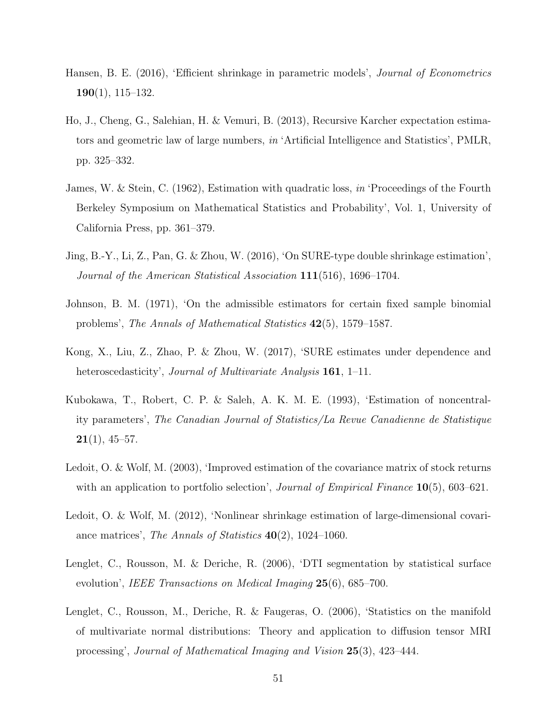- <span id="page-50-5"></span>Hansen, B. E. (2016), 'Efficient shrinkage in parametric models', *Journal of Econometrics* 190(1), 115–132.
- <span id="page-50-0"></span>Ho, J., Cheng, G., Salehian, H. & Vemuri, B. (2013), Recursive Karcher expectation estimators and geometric law of large numbers, in 'Artificial Intelligence and Statistics', PMLR, pp. 325–332.
- <span id="page-50-1"></span>James, W. & Stein, C. (1962), Estimation with quadratic loss, in 'Proceedings of the Fourth Berkeley Symposium on Mathematical Statistics and Probability', Vol. 1, University of California Press, pp. 361–379.
- <span id="page-50-3"></span>Jing, B.-Y., Li, Z., Pan, G. & Zhou, W. (2016), 'On SURE-type double shrinkage estimation', Journal of the American Statistical Association 111(516), 1696–1704.
- <span id="page-50-2"></span>Johnson, B. M. (1971), 'On the admissible estimators for certain fixed sample binomial problems', The Annals of Mathematical Statistics 42(5), 1579–1587.
- <span id="page-50-4"></span>Kong, X., Liu, Z., Zhao, P. & Zhou, W. (2017), 'SURE estimates under dependence and heteroscedasticity', Journal of Multivariate Analysis 161, 1–11.
- <span id="page-50-9"></span>Kubokawa, T., Robert, C. P. & Saleh, A. K. M. E. (1993), 'Estimation of noncentrality parameters', The Canadian Journal of Statistics/La Revue Canadienne de Statistique  $21(1), 45-57.$
- <span id="page-50-6"></span>Ledoit, O. & Wolf, M. (2003), 'Improved estimation of the covariance matrix of stock returns with an application to portfolio selection', *Journal of Empirical Finance*  $10(5)$ , 603–621.
- <span id="page-50-7"></span>Ledoit, O. & Wolf, M. (2012), 'Nonlinear shrinkage estimation of large-dimensional covariance matrices', The Annals of Statistics 40(2), 1024–1060.
- <span id="page-50-10"></span>Lenglet, C., Rousson, M. & Deriche, R. (2006), 'DTI segmentation by statistical surface evolution', IEEE Transactions on Medical Imaging 25(6), 685–700.
- <span id="page-50-8"></span>Lenglet, C., Rousson, M., Deriche, R. & Faugeras, O. (2006), 'Statistics on the manifold of multivariate normal distributions: Theory and application to diffusion tensor MRI processing', Journal of Mathematical Imaging and Vision 25(3), 423–444.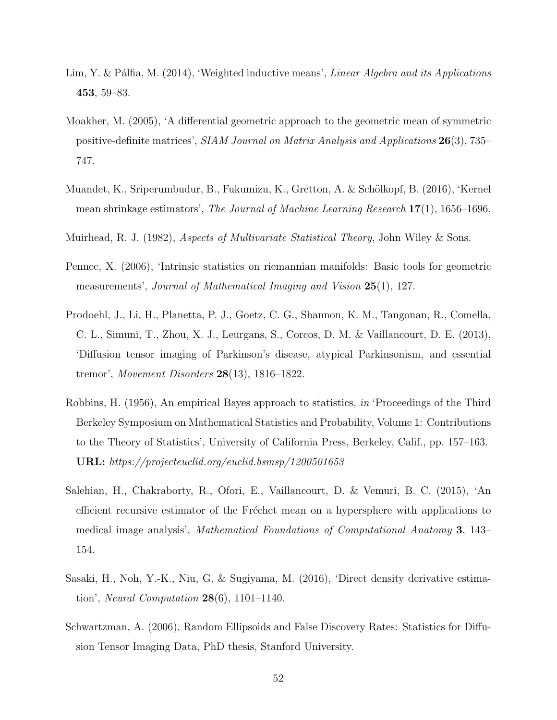- <span id="page-51-3"></span>Lim, Y. & Pálfia, M. (2014), 'Weighted inductive means', *Linear Algebra and its Applications* 453, 59–83.
- <span id="page-51-1"></span>Moakher, M. (2005), 'A differential geometric approach to the geometric mean of symmetric positive-definite matrices', SIAM Journal on Matrix Analysis and Applications 26(3), 735– 747.
- <span id="page-51-4"></span>Muandet, K., Sriperumbudur, B., Fukumizu, K., Gretton, A. & Schölkopf, B. (2016), 'Kernel mean shrinkage estimators', The Journal of Machine Learning Research 17(1), 1656–1696.
- <span id="page-51-9"></span>Muirhead, R. J. (1982), Aspects of Multivariate Statistical Theory, John Wiley & Sons.
- <span id="page-51-0"></span>Pennec, X. (2006), 'Intrinsic statistics on riemannian manifolds: Basic tools for geometric measurements', Journal of Mathematical Imaging and Vision 25(1), 127.
- <span id="page-51-8"></span>Prodoehl, J., Li, H., Planetta, P. J., Goetz, C. G., Shannon, K. M., Tangonan, R., Comella, C. L., Simuni, T., Zhou, X. J., Leurgans, S., Corcos, D. M. & Vaillancourt, D. E. (2013), 'Diffusion tensor imaging of Parkinson's disease, atypical Parkinsonism, and essential tremor', Movement Disorders  $28(13)$ , 1816–1822.
- <span id="page-51-6"></span>Robbins, H. (1956), An empirical Bayes approach to statistics, in 'Proceedings of the Third Berkeley Symposium on Mathematical Statistics and Probability, Volume 1: Contributions to the Theory of Statistics', University of California Press, Berkeley, Calif., pp. 157–163. URL: https://projecteuclid.org/euclid.bsmsp/1200501653
- <span id="page-51-2"></span>Salehian, H., Chakraborty, R., Ofori, E., Vaillancourt, D. & Vemuri, B. C. (2015), 'An efficient recursive estimator of the Fréchet mean on a hypersphere with applications to medical image analysis', Mathematical Foundations of Computational Anatomy 3, 143– 154.
- <span id="page-51-7"></span>Sasaki, H., Noh, Y.-K., Niu, G. & Sugiyama, M. (2016), 'Direct density derivative estimation', *Neural Computation*  $28(6)$ , 1101–1140.
- <span id="page-51-5"></span>Schwartzman, A. (2006), Random Ellipsoids and False Discovery Rates: Statistics for Diffusion Tensor Imaging Data, PhD thesis, Stanford University.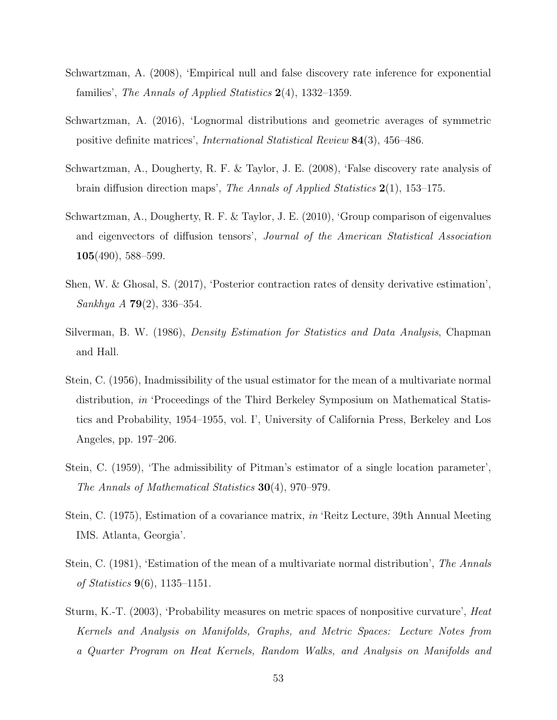- <span id="page-52-10"></span>Schwartzman, A. (2008), 'Empirical null and false discovery rate inference for exponential families', The Annals of Applied Statistics  $2(4)$ , 1332–1359.
- <span id="page-52-4"></span>Schwartzman, A. (2016), 'Lognormal distributions and geometric averages of symmetric positive definite matrices', International Statistical Review 84(3), 456–486.
- <span id="page-52-9"></span>Schwartzman, A., Dougherty, R. F. & Taylor, J. E. (2008), 'False discovery rate analysis of brain diffusion direction maps', The Annals of Applied Statistics 2(1), 153–175.
- <span id="page-52-6"></span>Schwartzman, A., Dougherty, R. F. & Taylor, J. E. (2010), 'Group comparison of eigenvalues and eigenvectors of diffusion tensors', Journal of the American Statistical Association  $105(490), 588-599.$
- <span id="page-52-8"></span>Shen, W. & Ghosal, S. (2017), 'Posterior contraction rates of density derivative estimation', Sankhya A 79(2), 336–354.
- <span id="page-52-7"></span>Silverman, B. W. (1986), Density Estimation for Statistics and Data Analysis, Chapman and Hall.
- <span id="page-52-1"></span>Stein, C. (1956), Inadmissibility of the usual estimator for the mean of a multivariate normal distribution, in 'Proceedings of the Third Berkeley Symposium on Mathematical Statistics and Probability, 1954–1955, vol. I', University of California Press, Berkeley and Los Angeles, pp. 197–206.
- <span id="page-52-2"></span>Stein, C. (1959), 'The admissibility of Pitman's estimator of a single location parameter', The Annals of Mathematical Statistics 30(4), 970–979.
- <span id="page-52-3"></span>Stein, C. (1975), Estimation of a covariance matrix, in 'Reitz Lecture, 39th Annual Meeting IMS. Atlanta, Georgia'.
- <span id="page-52-5"></span>Stein, C. (1981), 'Estimation of the mean of a multivariate normal distribution', The Annals of Statistics 9(6), 1135–1151.
- <span id="page-52-0"></span>Sturm, K.-T. (2003), 'Probability measures on metric spaces of nonpositive curvature', Heat Kernels and Analysis on Manifolds, Graphs, and Metric Spaces: Lecture Notes from a Quarter Program on Heat Kernels, Random Walks, and Analysis on Manifolds and